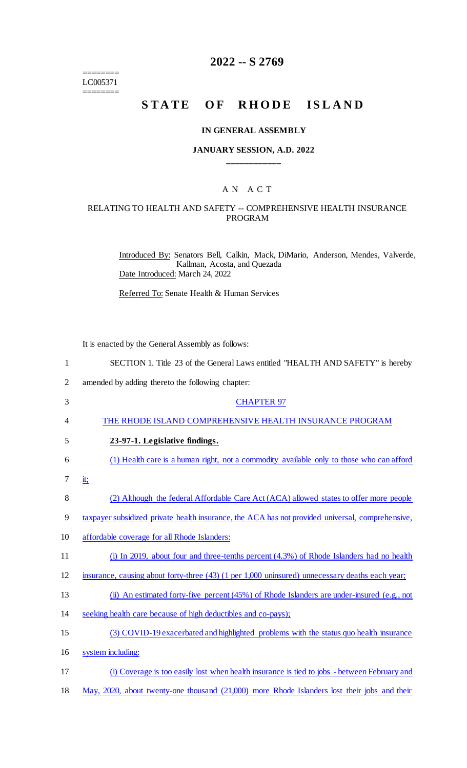======== LC005371

 $=$ 

## **2022 -- S 2769**

# **STATE OF RHODE ISLAND**

### **IN GENERAL ASSEMBLY**

## **JANUARY SESSION, A.D. 2022 \_\_\_\_\_\_\_\_\_\_\_\_**

## A N A C T

## RELATING TO HEALTH AND SAFETY -- COMPREHENSIVE HEALTH INSURANCE PROGRAM

Introduced By: Senators Bell, Calkin, Mack, DiMario, Anderson, Mendes, Valverde, Kallman, Acosta, and Quezada Date Introduced: March 24, 2022

Referred To: Senate Health & Human Services

It is enacted by the General Assembly as follows:

| 1              | SECTION 1. Title 23 of the General Laws entitled "HEALTH AND SAFETY" is hereby                   |
|----------------|--------------------------------------------------------------------------------------------------|
| $\overline{2}$ | amended by adding thereto the following chapter:                                                 |
| 3              | <b>CHAPTER 97</b>                                                                                |
| 4              | THE RHODE ISLAND COMPREHENSIVE HEALTH INSURANCE PROGRAM                                          |
| 5              | 23-97-1. Legislative findings.                                                                   |
| 6              | (1) Health care is a human right, not a commodity available only to those who can afford         |
| 7              | <u>it;</u>                                                                                       |
| 8              | (2) Although the federal Affordable Care Act (ACA) allowed states to offer more people           |
| 9              | taxpayer subsidized private health insurance, the ACA has not provided universal, comprehensive, |
| 10             | affordable coverage for all Rhode Islanders:                                                     |
| 11             | (i) In 2019, about four and three-tenths percent (4.3%) of Rhode Islanders had no health         |
| 12             | insurance, causing about forty-three (43) (1 per 1,000 uninsured) unnecessary deaths each year;  |
| 13             | (ii) An estimated forty-five percent (45%) of Rhode Islanders are under-insured (e.g., not       |
| 14             | seeking health care because of high deductibles and co-pays);                                    |
| 15             | (3) COVID-19 exacerbated and highlighted problems with the status quo health insurance           |
| 16             | system including:                                                                                |
| 17             | (i) Coverage is too easily lost when health insurance is tied to jobs - between February and     |
|                |                                                                                                  |

18 May, 2020, about twenty-one thousand (21,000) more Rhode Islanders lost their jobs and their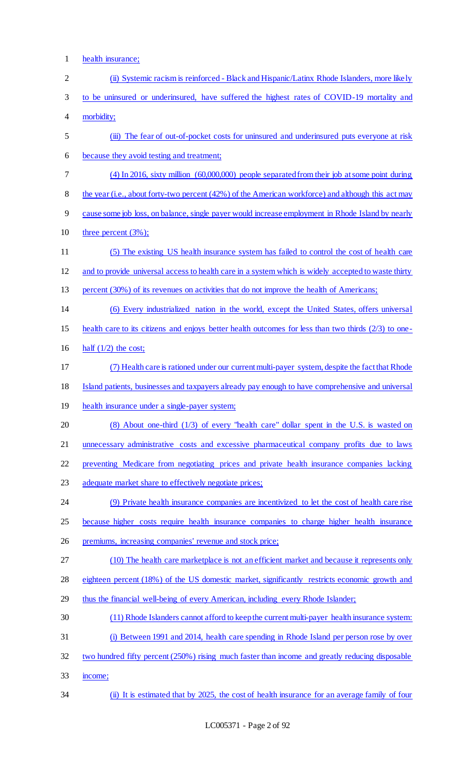1 health insurance;

| $\overline{2}$ | (ii) Systemic racism is reinforced - Black and Hispanic/Latinx Rhode Islanders, more like ly           |
|----------------|--------------------------------------------------------------------------------------------------------|
| 3              | to be uninsured or underinsured, have suffered the highest rates of COVID-19 mortality and             |
| $\overline{4}$ | morbidity;                                                                                             |
| 5              | (iii) The fear of out-of-pocket costs for uninsured and underinsured puts everyone at risk             |
| 6              | because they avoid testing and treatment;                                                              |
| 7              | $(4)$ In 2016, sixty million $(60,000,000)$ people separated from their job at some point during       |
| $8\,$          | the year (i.e., about forty-two percent (42%) of the American workforce) and although this act may     |
| 9              | cause some job loss, on balance, single payer would increase employment in Rhode Island by nearly      |
| 10             | three percent $(3\%)$ ;                                                                                |
| 11             | (5) The existing US health insurance system has failed to control the cost of health care              |
| 12             | and to provide universal access to health care in a system which is widely accepted to waste thirty    |
| 13             | percent (30%) of its revenues on activities that do not improve the health of Americans;               |
| 14             | (6) Every industrialized nation in the world, except the United States, offers universal               |
| 15             | health care to its citizens and enjoys better health outcomes for less than two thirds $(2/3)$ to one- |
| 16             | half $(1/2)$ the cost;                                                                                 |
| 17             | (7) Health care is rationed under our current multi-payer system, despite the fact that Rhode          |
| 18             | Island patients, businesses and taxpayers already pay enough to have comprehensive and universal       |
| 19             | health insurance under a single-payer system;                                                          |
| 20             | (8) About one-third (1/3) of every "health care" dollar spent in the U.S. is wasted on                 |
| 21             | unnecessary administrative costs and excessive pharmaceutical company profits due to laws              |
| 22             | preventing Medicare from negotiating prices and private health insurance companies lacking             |
| 23             | adequate market share to effectively negotiate prices;                                                 |
| 24             | (9) Private health insurance companies are incentivized to let the cost of health care rise            |
| 25             | because higher costs require health insurance companies to charge higher health insurance              |
| 26             | premiums, increasing companies' revenue and stock price;                                               |
| 27             | (10) The health care marketplace is not an efficient market and because it represents only             |
| 28             | eighteen percent (18%) of the US domestic market, significantly restricts economic growth and          |
| 29             | thus the financial well-being of every American, including every Rhode Islander;                       |
| 30             | (11) Rhode Islanders cannot afford to keep the current multi-payer health insurance system:            |
| 31             | (i) Between 1991 and 2014, health care spending in Rhode Island per person rose by over                |
| 32             | two hundred fifty percent (250%) rising much faster than income and greatly reducing disposable        |
| 33             | income;                                                                                                |
| 34             | (ii) It is estimated that by 2025, the cost of health insurance for an average family of four          |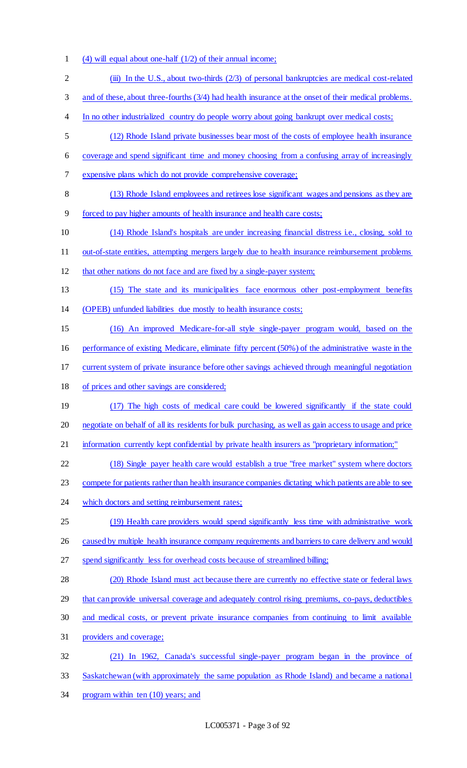- (4) will equal about one-half (1/2) of their annual income;
- 2 (iii) In the U.S., about two-thirds (2/3) of personal bankruptcies are medical cost-related
- 3 and of these, about three-fourths (3/4) had health insurance at the onset of their medical problems.
- 4 In no other industrialized country do people worry about going bankrupt over medical costs;
- (12) Rhode Island private businesses bear most of the costs of employee health insurance
- coverage and spend significant time and money choosing from a confusing array of increasingly
- expensive plans which do not provide comprehensive coverage;
- (13) Rhode Island employees and retirees lose significant wages and pensions as they are
- forced to pay higher amounts of health insurance and health care costs;
- 10 (14) Rhode Island's hospitals are under increasing financial distress i.e., closing, sold to
- out-of-state entities, attempting mergers largely due to health insurance reimbursement problems
- that other nations do not face and are fixed by a single-payer system;
- (15) The state and its municipalities face enormous other post-employment benefits
- (OPEB) unfunded liabilities due mostly to health insurance costs;
- (16) An improved Medicare-for-all style single-payer program would, based on the
- performance of existing Medicare, eliminate fifty percent (50%) of the administrative waste in the
- current system of private insurance before other savings achieved through meaningful negotiation
- of prices and other savings are considered;
- 19 (17) The high costs of medical care could be lowered significantly if the state could negotiate on behalf of all its residents for bulk purchasing, as well as gain access to usage and price
- 21 information currently kept confidential by private health insurers as "proprietary information;"
- (18) Single payer health care would establish a true "free market" system where doctors
- 23 compete for patients rather than health insurance companies dictating which patients are able to see
- 24 which doctors and setting reimbursement rates;
- (19) Health care providers would spend significantly less time with administrative work
- 26 caused by multiple health insurance company requirements and barriers to care delivery and would
- spend significantly less for overhead costs because of streamlined billing;
- (20) Rhode Island must act because there are currently no effective state or federal laws
- that can provide universal coverage and adequately control rising premiums, co-pays, deductibles
- and medical costs, or prevent private insurance companies from continuing to limit available
- providers and coverage;
- (21) In 1962, Canada's successful single-payer program began in the province of Saskatchewan (with approximately the same population as Rhode Island) and became a national
- program within ten (10) years; and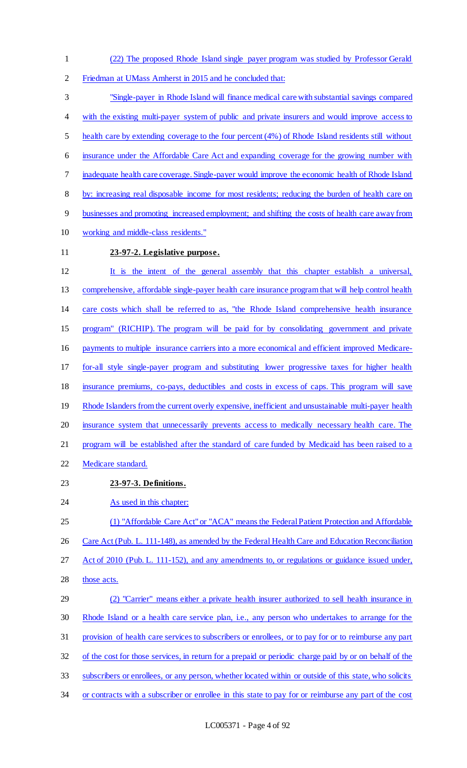- (22) The proposed Rhode Island single payer program was studied by Professor Gerald
- Friedman at UMass Amherst in 2015 and he concluded that:

 "Single-payer in Rhode Island will finance medical care with substantial savings compared 4 with the existing multi-payer system of public and private insurers and would improve access to health care by extending coverage to the four percent (4%) of Rhode Island residents still without insurance under the Affordable Care Act and expanding coverage for the growing number with inadequate health care coverage. Single-payer would improve the economic health of Rhode Island by: increasing real disposable income for most residents; reducing the burden of health care on businesses and promoting increased employment; and shifting the costs of health care away from working and middle-class residents." **23-97-2. Legislative purpose.**  It is the intent of the general assembly that this chapter establish a universal, comprehensive, affordable single-payer health care insurance program that will help control health care costs which shall be referred to as, "the Rhode Island comprehensive health insurance program" (RICHIP). The program will be paid for by consolidating government and private payments to multiple insurance carriers into a more economical and efficient improved Medicare- for-all style single-payer program and substituting lower progressive taxes for higher health insurance premiums, co-pays, deductibles and costs in excess of caps. This program will save 19 Rhode Islanders from the current overly expensive, inefficient and unsustainable multi-payer health insurance system that unnecessarily prevents access to medically necessary health care. The

- 21 program will be established after the standard of care funded by Medicaid has been raised to a
- Medicare standard.
- **23-97-3. Definitions.**
- 24 As used in this chapter:
- (1) "Affordable Care Act" or "ACA" means the Federal Patient Protection and Affordable
- 26 Care Act (Pub. L. 111-148), as amended by the Federal Health Care and Education Reconciliation
- Act of 2010 (Pub. L. 111-152), and any amendments to, or regulations or guidance issued under,
- 28 those acts.
- (2) "Carrier" means either a private health insurer authorized to sell health insurance in Rhode Island or a health care service plan, i.e., any person who undertakes to arrange for the provision of health care services to subscribers or enrollees, or to pay for or to reimburse any part of the cost for those services, in return for a prepaid or periodic charge paid by or on behalf of the subscribers or enrollees, or any person, whether located within or outside of this state, who solicits
- 34 or contracts with a subscriber or enrollee in this state to pay for or reimburse any part of the cost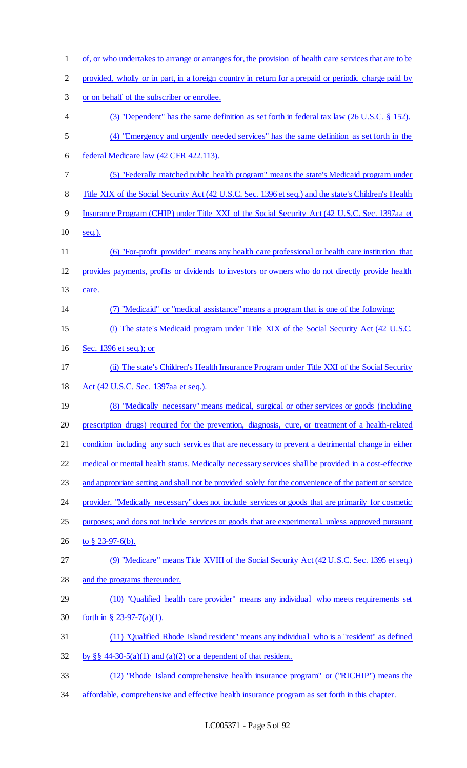of, or who undertakes to arrange or arranges for, the provision of health care services that are to be provided, wholly or in part, in a foreign country in return for a prepaid or periodic charge paid by or on behalf of the subscriber or enrollee. (3) "Dependent" has the same definition as set forth in federal tax law (26 U.S.C. § 152). (4) "Emergency and urgently needed services" has the same definition as set forth in the federal Medicare law (42 CFR 422.113). (5) "Federally matched public health program" means the state's Medicaid program under 8 Title XIX of the Social Security Act (42 U.S.C. Sec. 1396 et seq.) and the state's Children's Health Insurance Program (CHIP) under Title XXI of the Social Security Act (42 U.S.C. Sec. 1397aa et 10 <u>seq.).</u> (6) "For-profit provider" means any health care professional or health care institution that provides payments, profits or dividends to investors or owners who do not directly provide health care. (7) "Medicaid" or "medical assistance" means a program that is one of the following: (i) The state's Medicaid program under Title XIX of the Social Security Act (42 U.S.C. Sec. 1396 et seq.); or (ii) The state's Children's Health Insurance Program under Title XXI of the Social Security Act (42 U.S.C. Sec. 1397aa et seq.). (8) "Medically necessary" means medical, surgical or other services or goods (including prescription drugs) required for the prevention, diagnosis, cure, or treatment of a health-related 21 condition including any such services that are necessary to prevent a detrimental change in either medical or mental health status. Medically necessary services shall be provided in a cost-effective 23 and appropriate setting and shall not be provided solely for the convenience of the patient or service provider. "Medically necessary" does not include services or goods that are primarily for cosmetic purposes; and does not include services or goods that are experimental, unless approved pursuant 26 to § 23-97-6(b). (9) "Medicare" means Title XVIII of the Social Security Act (42 U.S.C. Sec. 1395 et seq.) and the programs thereunder. (10) "Qualified health care provider" means any individual who meets requirements set forth in § 23-97-7(a)(1). (11) "Qualified Rhode Island resident" means any individual who is a "resident" as defined 32 by §§ 44-30-5(a)(1) and (a)(2) or a dependent of that resident. (12) "Rhode Island comprehensive health insurance program" or ("RICHIP") means the affordable, comprehensive and effective health insurance program as set forth in this chapter.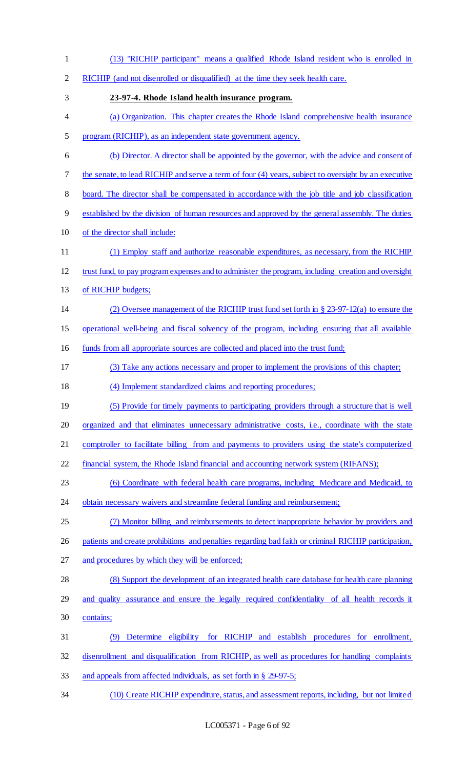(13) "RICHIP participant" means a qualified Rhode Island resident who is enrolled in RICHIP (and not disenrolled or disqualified) at the time they seek health care. **23-97-4. Rhode Island health insurance program.**  (a) Organization. This chapter creates the Rhode Island comprehensive health insurance program (RICHIP), as an independent state government agency. (b) Director. A director shall be appointed by the governor, with the advice and consent of 7 the senate, to lead RICHIP and serve a term of four (4) years, subject to oversight by an executive 8 board. The director shall be compensated in accordance with the job title and job classification established by the division of human resources and approved by the general assembly. The duties of the director shall include: (1) Employ staff and authorize reasonable expenditures, as necessary, from the RICHIP trust fund, to pay program expenses and to administer the program, including creation and oversight of RICHIP budgets; (2) Oversee management of the RICHIP trust fund set forth in § 23-97-12(a) to ensure the operational well-being and fiscal solvency of the program, including ensuring that all available funds from all appropriate sources are collected and placed into the trust fund; (3) Take any actions necessary and proper to implement the provisions of this chapter; (4) Implement standardized claims and reporting procedures; (5) Provide for timely payments to participating providers through a structure that is well 20 organized and that eliminates unnecessary administrative costs, i.e., coordinate with the state 21 comptroller to facilitate billing from and payments to providers using the state's computerized 22 financial system, the Rhode Island financial and accounting network system (RIFANS); (6) Coordinate with federal health care programs, including Medicare and Medicaid, to 24 obtain necessary waivers and streamline federal funding and reimbursement; (7) Monitor billing and reimbursements to detect inappropriate behavior by providers and patients and create prohibitions and penalties regarding bad faith or criminal RICHIP participation, and procedures by which they will be enforced; (8) Support the development of an integrated health care database for health care planning 29 and quality assurance and ensure the legally required confidentiality of all health records it contains; (9) Determine eligibility for RICHIP and establish procedures for enrollment, disenrollment and disqualification from RICHIP, as well as procedures for handling complaints and appeals from affected individuals, as set forth in § 29-97-5; (10) Create RICHIP expenditure, status, and assessment reports, including, but not limited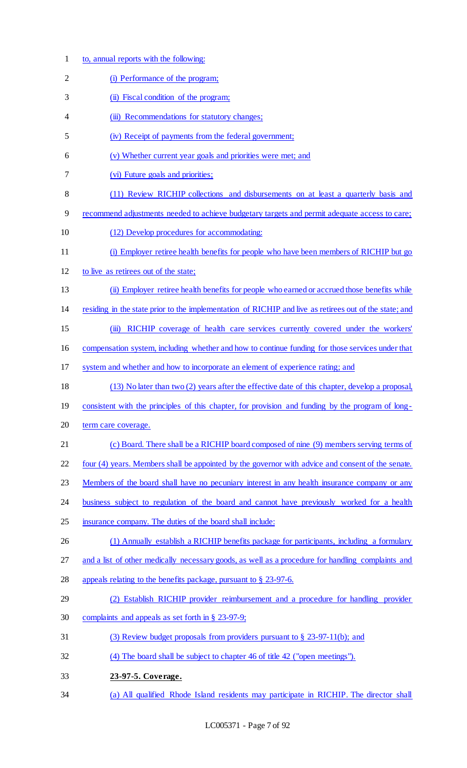- to, annual reports with the following:
- (i) Performance of the program;
- 3 (ii) Fiscal condition of the program;
- 4 (iii) Recommendations for statutory changes;
- (iv) Receipt of payments from the federal government;
- (v) Whether current year goals and priorities were met; and
- (vi) Future goals and priorities;
- (11) Review RICHIP collections and disbursements on at least a quarterly basis and
- recommend adjustments needed to achieve budgetary targets and permit adequate access to care;
- (12) Develop procedures for accommodating:
- (i) Employer retiree health benefits for people who have been members of RICHIP but go
- to live as retirees out of the state;
- (ii) Employer retiree health benefits for people who earned or accrued those benefits while
- residing in the state prior to the implementation of RICHIP and live as retirees out of the state; and
- (iii) RICHIP coverage of health care services currently covered under the workers'

compensation system, including whether and how to continue funding for those services under that

- system and whether and how to incorporate an element of experience rating; and
- (13) No later than two (2) years after the effective date of this chapter, develop a proposal,
- consistent with the principles of this chapter, for provision and funding by the program of long-
- 20 term care coverage.
- (c) Board. There shall be a RICHIP board composed of nine (9) members serving terms of
- four (4) years. Members shall be appointed by the governor with advice and consent of the senate.
- 23 Members of the board shall have no pecuniary interest in any health insurance company or any
- 24 business subject to regulation of the board and cannot have previously worked for a health
- insurance company. The duties of the board shall include:
- 26 (1) Annually establish a RICHIP benefits package for participants, including a formulary
- and a list of other medically necessary goods, as well as a procedure for handling complaints and
- appeals relating to the benefits package, pursuant to § 23-97-6.
- (2) Establish RICHIP provider reimbursement and a procedure for handling provider complaints and appeals as set forth in § 23-97-9;
- (3) Review budget proposals from providers pursuant to § 23-97-11(b); and
- (4) The board shall be subject to chapter 46 of title 42 ("open meetings").
- **23-97-5. Coverage.**
- (a) All qualified Rhode Island residents may participate in RICHIP. The director shall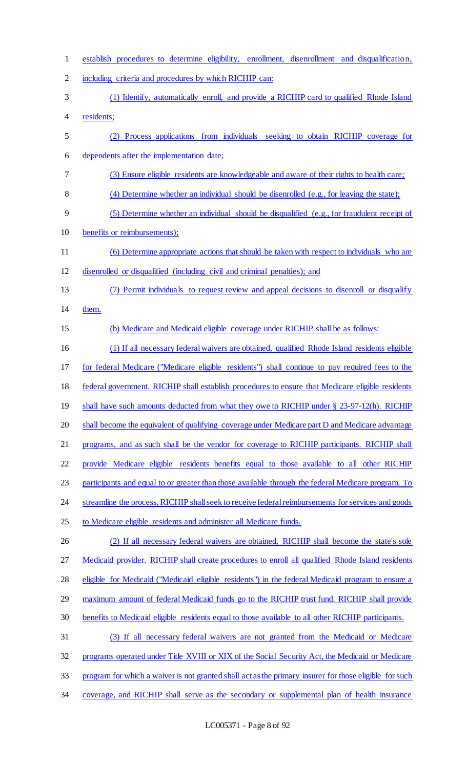| $\mathbf{1}$   | establish procedures to determine eligibility, enrollment, disenrollment and disqualification,         |
|----------------|--------------------------------------------------------------------------------------------------------|
| $\overline{2}$ | including criteria and procedures by which RICHIP can:                                                 |
| 3              | (1) Identify, automatically enroll, and provide a RICHIP card to qualified Rhode Island                |
| 4              | residents;                                                                                             |
| 5              | (2) Process applications from individuals seeking to obtain RICHIP coverage for                        |
| 6              | dependents after the implementation date;                                                              |
| 7              | (3) Ensure eligible residents are knowledgeable and aware of their rights to health care;              |
| 8              | $(4)$ Determine whether an individual should be disenrolled $(e.g., for leaving the state)$ ;          |
| 9              | $(5)$ Determine whether an individual should be disqualified (e.g., for fraudulent receipt of          |
| 10             | benefits or reimbursements);                                                                           |
| 11             | (6) Determine appropriate actions that should be taken with respect to individuals who are             |
| 12             | disenrolled or disqualified (including civil and criminal penalties); and                              |
| 13             | (7) Permit individuals to request review and appeal decisions to disented or disqualify                |
| 14             | them.                                                                                                  |
| 15             | (b) Medicare and Medicaid eligible coverage under RICHIP shall be as follows:                          |
| 16             | (1) If all necessary federal waivers are obtained, qualified Rhode Island residents eligible           |
| 17             | for federal Medicare ("Medicare eligible residents") shall continue to pay required fees to the        |
| 18             | federal government. RICHIP shall establish procedures to ensure that Medicare eligible residents       |
| 19             | shall have such amounts deducted from what they owe to RICHIP under § 23-97-12(h). RICHIP              |
| 20             | shall become the equivalent of qualifying coverage under Medicare part D and Medicare advantage        |
| 21             | programs, and as such shall be the vendor for coverage to RICHIP participants. RICHIP shall            |
| 22             | provide Medicare eligible residents benefits equal to those available to all other RICHIP              |
| 23             | participants and equal to or greater than those available through the federal Medicare program. To     |
| 24             | streamline the process, RICHIP shall seek to receive federal reimbursements for services and goods     |
| 25             | to Medicare eligible residents and administer all Medicare funds.                                      |
| 26             | (2) If all necessary federal waivers are obtained, RICHIP shall become the state's sole                |
| 27             | Medicaid provider. RICHIP shall create procedures to enroll all qualified Rhode Island residents       |
| 28             | eligible for Medicaid ("Medicaid eligible residents") in the federal Medicaid program to ensure a      |
| 29             | maximum amount of federal Medicaid funds go to the RICHIP trust fund. RICHIP shall provide             |
| 30             | benefits to Medicaid eligible residents equal to those available to all other RICHIP participants.     |
| 31             | (3) If all necessary federal waivers are not granted from the Medicaid or Medicare                     |
| 32             | programs operated under Title XVIII or XIX of the Social Security Act, the Medicaid or Medicare        |
| 33             | program for which a waiver is not granted shall act as the primary insurer for those eligible for such |
| 34             | coverage, and RICHIP shall serve as the secondary or supplemental plan of health insurance             |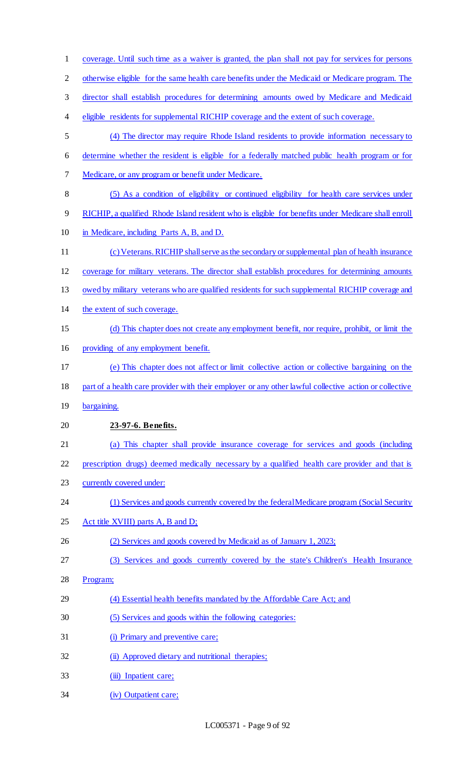| $\mathbf{1}$   | coverage. Until such time as a waiver is granted, the plan shall not pay for services for persons      |
|----------------|--------------------------------------------------------------------------------------------------------|
| $\overline{2}$ | otherwise eligible for the same health care benefits under the Medicaid or Medicare program. The       |
| 3              | director shall establish procedures for determining amounts owed by Medicare and Medicaid              |
| 4              | eligible residents for supplemental RICHIP coverage and the extent of such coverage.                   |
| 5              | (4) The director may require Rhode Island residents to provide information necessary to                |
| 6              | determine whether the resident is eligible for a federally matched public health program or for        |
| 7              | Medicare, or any program or benefit under Medicare.                                                    |
| 8              | (5) As a condition of eligibility or continued eligibility for health care services under              |
| 9              | RICHIP, a qualified Rhode Island resident who is eligible for benefits under Medicare shall enroll     |
| 10             | in Medicare, including Parts A, B, and D.                                                              |
| 11             | (c) Veterans. RICHIP shall serve as the secondary or supplemental plan of health insurance             |
| 12             | coverage for military veterans. The director shall establish procedures for determining amounts        |
| 13             | owed by military veterans who are qualified residents for such supplemental RICHIP coverage and        |
| 14             | the extent of such coverage.                                                                           |
| 15             | (d) This chapter does not create any employment benefit, nor require, prohibit, or limit the           |
| 16             | providing of any employment benefit.                                                                   |
| 17             | (e) This chapter does not affect or limit collective action or collective bargaining on the            |
| 18             | part of a health care provider with their employer or any other lawful collective action or collective |
| 19             | bargaining.                                                                                            |
| 20             | 23-97-6. Benefits.                                                                                     |
| 21             | (a) This chapter shall provide insurance coverage for services and goods (including                    |
| 22             | prescription drugs) deemed medically necessary by a qualified health care provider and that is         |
| 23             | currently covered under:                                                                               |
| 24             | (1) Services and goods currently covered by the federal Medicare program (Social Security              |
| 25             | Act title XVIII) parts A, B and D;                                                                     |
| 26             | (2) Services and goods covered by Medicaid as of January 1, 2023;                                      |
| 27             | (3) Services and goods currently covered by the state's Children's Health Insurance                    |
| 28             | Program;                                                                                               |
| 29             | (4) Essential health benefits mandated by the Affordable Care Act; and                                 |
| 30             | (5) Services and goods within the following categories:                                                |
| 31             | (i) Primary and preventive care;                                                                       |
| 32             | (ii) Approved dietary and nutritional therapies;                                                       |
| 33             | (iii) Inpatient care;                                                                                  |
| 34             | (iv) Outpatient care;                                                                                  |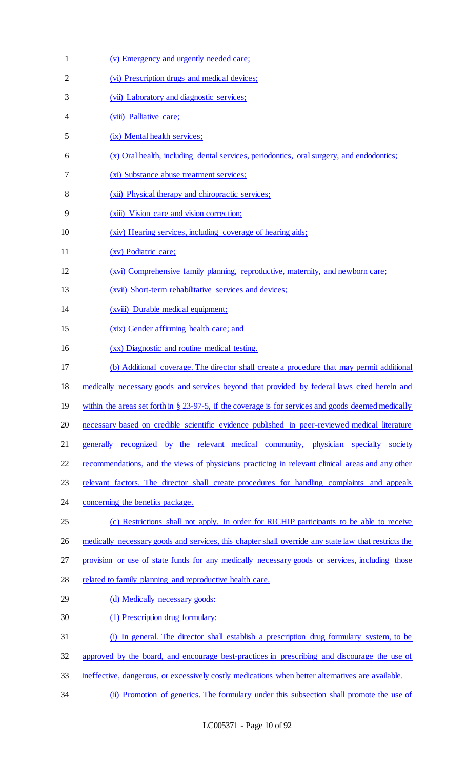| 1  | (v) Emergency and urgently needed care;                                                                |
|----|--------------------------------------------------------------------------------------------------------|
| 2  | (vi) Prescription drugs and medical devices;                                                           |
| 3  | (vii) Laboratory and diagnostic services;                                                              |
| 4  | (viii) Palliative care;                                                                                |
| 5  | (ix) Mental health services;                                                                           |
| 6  | (x) Oral health, including dental services, periodontics, oral surgery, and endodontics;               |
| 7  | (xi) Substance abuse treatment services;                                                               |
| 8  | (xii) Physical therapy and chiropractic services;                                                      |
| 9  | (xiii) Vision care and vision correction;                                                              |
| 10 | (xiv) Hearing services, including coverage of hearing aids;                                            |
| 11 | (xv) Podiatric care;                                                                                   |
| 12 | (xvi) Comprehensive family planning, reproductive, maternity, and newborn care;                        |
| 13 | (xvii) Short-term rehabilitative services and devices;                                                 |
| 14 | (xviii) Durable medical equipment;                                                                     |
| 15 | (xix) Gender affirming health care; and                                                                |
| 16 | (xx) Diagnostic and routine medical testing.                                                           |
| 17 | (b) Additional coverage. The director shall create a procedure that may permit additional              |
| 18 | medically necessary goods and services beyond that provided by federal laws cited herein and           |
| 19 | within the areas set forth in $\S$ 23-97-5, if the coverage is for services and goods deemed medically |
| 20 | necessary based on credible scientific evidence published in peer-reviewed medical literature          |
| 21 | generally recognized by the relevant medical community, physician specialty society                    |
| 22 | recommendations, and the views of physicians practicing in relevant clinical areas and any other       |
| 23 | relevant factors. The director shall create procedures for handling complaints and appeals             |
| 24 | concerning the benefits package.                                                                       |
| 25 | (c) Restrictions shall not apply. In order for RICHIP participants to be able to receive               |
| 26 | medically necessary goods and services, this chapter shall override any state law that restricts the   |
| 27 | provision or use of state funds for any medically necessary goods or services, including those         |
| 28 | related to family planning and reproductive health care.                                               |
| 29 | (d) Medically necessary goods:                                                                         |
| 30 | (1) Prescription drug formulary:                                                                       |
| 31 | (i) In general. The director shall establish a prescription drug formulary system, to be               |
| 32 | approved by the board, and encourage best-practices in prescribing and discourage the use of           |
| 33 | ineffective, dangerous, or excessively costly medications when better alternatives are available.      |
| 34 | (ii) Promotion of generics. The formulary under this subsection shall promote the use of               |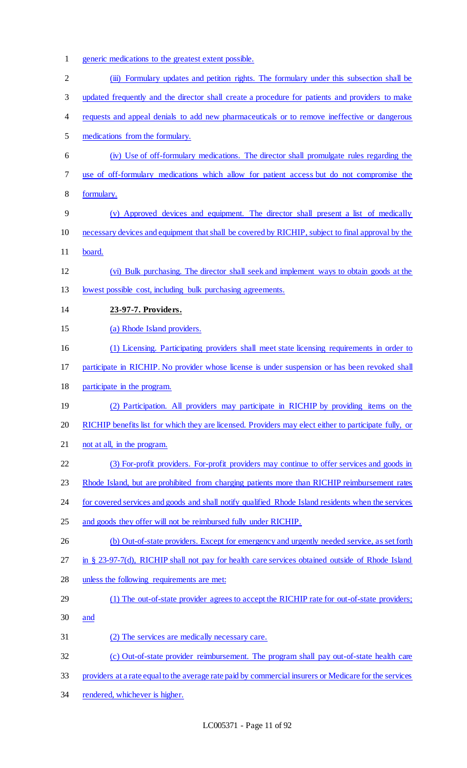- generic medications to the greatest extent possible.
- 2 (iii) Formulary updates and petition rights. The formulary under this subsection shall be
- updated frequently and the director shall create a procedure for patients and providers to make
- 4 requests and appeal denials to add new pharmaceuticals or to remove ineffective or dangerous
- medications from the formulary.
- (iv) Use of off-formulary medications. The director shall promulgate rules regarding the use of off-formulary medications which allow for patient access but do not compromise the
- formulary.
- (v) Approved devices and equipment. The director shall present a list of medically necessary devices and equipment that shall be covered by RICHIP, subject to final approval by the 11 board.
- (vi) Bulk purchasing. The director shall seek and implement ways to obtain goods at the lowest possible cost, including bulk purchasing agreements.
- **23-97-7. Providers.**
- (a) Rhode Island providers.
- 16 (1) Licensing. Participating providers shall meet state licensing requirements in order to
- participate in RICHIP. No provider whose license is under suspension or has been revoked shall
- participate in the program.
- (2) Participation. All providers may participate in RICHIP by providing items on the
- RICHIP benefits list for which they are licensed. Providers may elect either to participate fully, or
- 21 not at all, in the program.
- (3) For-profit providers. For-profit providers may continue to offer services and goods in
- 23 Rhode Island, but are prohibited from charging patients more than RICHIP reimbursement rates
- 24 for covered services and goods and shall notify qualified Rhode Island residents when the services
- 25 and goods they offer will not be reimbursed fully under RICHIP.
- 26 (b) Out-of-state providers. Except for emergency and urgently needed service, as set forth
- in § 23-97-7(d), RICHIP shall not pay for health care services obtained outside of Rhode Island
- unless the following requirements are met:
- (1) The out-of-state provider agrees to accept the RICHIP rate for out-of-state providers;
- and
- (2) The services are medically necessary care.
- (c) Out-of-state provider reimbursement. The program shall pay out-of-state health care
- providers at a rate equal to the average rate paid by commercial insurers or Medicare for the services
- rendered, whichever is higher.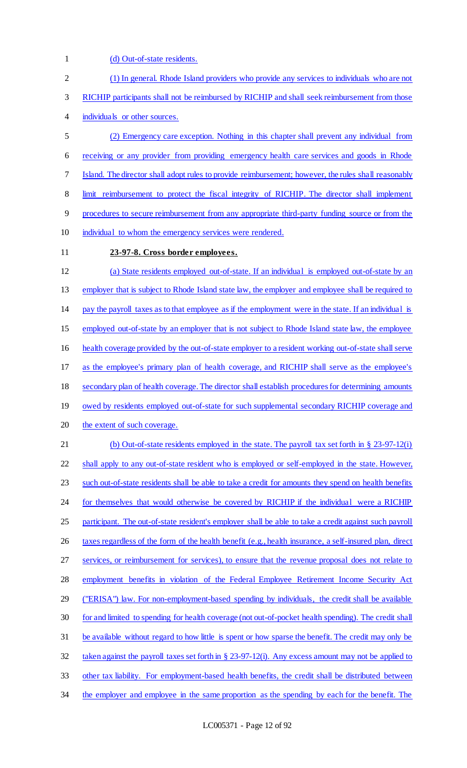1 (d) Out-of-state residents.

| $\overline{c}$ | (1) In general. Rhode Island providers who provide any services to individuals who are not              |
|----------------|---------------------------------------------------------------------------------------------------------|
| 3              | RICHIP participants shall not be reimbursed by RICHIP and shall seek reimbursement from those           |
| 4              | individuals or other sources.                                                                           |
| 5              | (2) Emergency care exception. Nothing in this chapter shall prevent any individual from                 |
| 6              | receiving or any provider from providing emergency health care services and goods in Rhode              |
| 7              | Island. The director shall adopt rules to provide reimbursement; however, the rules shall reasonably    |
| 8              | limit reimbursement to protect the fiscal integrity of RICHIP. The director shall implement             |
| 9              | procedures to secure reimbursement from any appropriate third-party funding source or from the          |
| 10             | individual to whom the emergency services were rendered.                                                |
| 11             | 23-97-8. Cross border employees.                                                                        |
| 12             | (a) State residents employed out-of-state. If an individual is employed out-of-state by an              |
| 13             | employer that is subject to Rhode Island state law, the employer and employee shall be required to      |
| 14             | pay the payroll taxes as to that employee as if the employment were in the state. If an individual is   |
| 15             | employed out-of-state by an employer that is not subject to Rhode Island state law, the employee        |
| 16             | health coverage provided by the out-of-state employer to a resident working out-of-state shall serve    |
| 17             | as the employee's primary plan of health coverage, and RICHIP shall serve as the employee's             |
| 18             | secondary plan of health coverage. The director shall establish procedures for determining amounts      |
| 19             | owed by residents employed out-of-state for such supplemental secondary RICHIP coverage and             |
| 20             | the extent of such coverage.                                                                            |
| 21             | (b) Out-of-state residents employed in the state. The payroll tax set forth in $\S 23-97-12(i)$         |
| 22             | shall apply to any out-of-state resident who is employed or self-employed in the state. However,        |
| 23             | such out-of-state residents shall be able to take a credit for amounts they spend on health benefits    |
| 24             | for themselves that would otherwise be covered by RICHIP if the individual were a RICHIP                |
| 25             | participant. The out-of-state resident's employer shall be able to take a credit against such payroll   |
| 26             | taxes regardless of the form of the health benefit (e.g., health insurance, a self-insured plan, direct |
| 27             | services, or reimbursement for services), to ensure that the revenue proposal does not relate to        |
| 28             | employment benefits in violation of the Federal Employee Retirement Income Security Act                 |
| 29             | ("ERISA") law. For non-employment-based spending by individuals, the credit shall be available          |
| 30             | for and limited to spending for health coverage (not out-of-pocket health spending). The credit shall   |
| 31             | be available without regard to how little is spent or how sparse the benefit. The credit may only be    |
| 32             | taken against the payroll taxes set forth in $\S 23-97-12(i)$ . Any excess amount may not be applied to |
| 33             | other tax liability. For employment-based health benefits, the credit shall be distributed between      |
| 34             | the employer and employee in the same proportion as the spending by each for the benefit. The           |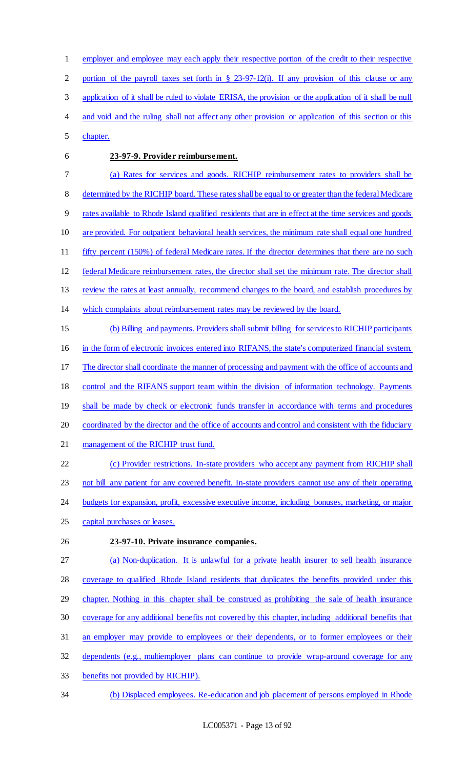employer and employee may each apply their respective portion of the credit to their respective portion of the payroll taxes set forth in § 23-97-12(i). If any provision of this clause or any application of it shall be ruled to violate ERISA, the provision or the application of it shall be null 4 and void and the ruling shall not affect any other provision or application of this section or this

- chapter.
- 

## **23-97-9. Provider reimbursement.**

 (a) Rates for services and goods. RICHIP reimbursement rates to providers shall be determined by the RICHIP board. These rates shall be equal to or greater than the federal Medicare rates available to Rhode Island qualified residents that are in effect at the time services and goods are provided. For outpatient behavioral health services, the minimum rate shall equal one hundred fifty percent (150%) of federal Medicare rates. If the director determines that there are no such federal Medicare reimbursement rates, the director shall set the minimum rate. The director shall review the rates at least annually, recommend changes to the board, and establish procedures by

which complaints about reimbursement rates may be reviewed by the board.

 (b) Billing and payments. Providers shall submit billing for services to RICHIP participants in the form of electronic invoices entered into RIFANS, the state's computerized financial system. 17 The director shall coordinate the manner of processing and payment with the office of accounts and control and the RIFANS support team within the division of information technology. Payments 19 shall be made by check or electronic funds transfer in accordance with terms and procedures coordinated by the director and the office of accounts and control and consistent with the fiduciary management of the RICHIP trust fund. (c) Provider restrictions. In-state providers who accept any payment from RICHIP shall

23 not bill any patient for any covered benefit. In-state providers cannot use any of their operating

budgets for expansion, profit, excessive executive income, including bonuses, marketing, or major

- capital purchases or leases.
- 

## **23-97-10. Private insurance companies.**

 (a) Non-duplication. It is unlawful for a private health insurer to sell health insurance coverage to qualified Rhode Island residents that duplicates the benefits provided under this chapter. Nothing in this chapter shall be construed as prohibiting the sale of health insurance coverage for any additional benefits not covered by this chapter, including additional benefits that

- 31 an employer may provide to employees or their dependents, or to former employees or their
- dependents (e.g., multiemployer plans can continue to provide wrap-around coverage for any
- benefits not provided by RICHIP).
- (b) Displaced employees. Re-education and job placement of persons employed in Rhode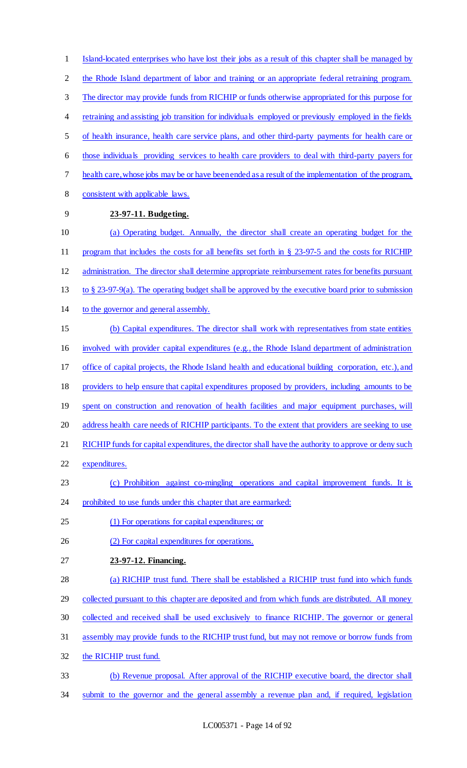Island-located enterprises who have lost their jobs as a result of this chapter shall be managed by 2 the Rhode Island department of labor and training or an appropriate federal retraining program. The director may provide funds from RICHIP or funds otherwise appropriated for this purpose for retraining and assisting job transition for individuals employed or previously employed in the fields of health insurance, health care service plans, and other third-party payments for health care or those individuals providing services to health care providers to deal with third-party payers for health care, whose jobs may be or have been ended as a result of the implementation of the program, consistent with applicable laws. **23-97-11. Budgeting.**  (a) Operating budget. Annually, the director shall create an operating budget for the program that includes the costs for all benefits set forth in § 23-97-5 and the costs for RICHIP administration. The director shall determine appropriate reimbursement rates for benefits pursuant to § 23-97-9(a). The operating budget shall be approved by the executive board prior to submission to the governor and general assembly. (b) Capital expenditures. The director shall work with representatives from state entities involved with provider capital expenditures (e.g., the Rhode Island department of administration 17 office of capital projects, the Rhode Island health and educational building corporation, etc.), and providers to help ensure that capital expenditures proposed by providers, including amounts to be 19 spent on construction and renovation of health facilities and major equipment purchases, will 20 address health care needs of RICHIP participants. To the extent that providers are seeking to use 21 RICHIP funds for capital expenditures, the director shall have the authority to approve or deny such expenditures. (c) Prohibition against co-mingling operations and capital improvement funds. It is 24 prohibited to use funds under this chapter that are earmarked: (1) For operations for capital expenditures; or (2) For capital expenditures for operations. **23-97-12. Financing.**  (a) RICHIP trust fund. There shall be established a RICHIP trust fund into which funds collected pursuant to this chapter are deposited and from which funds are distributed. All money collected and received shall be used exclusively to finance RICHIP. The governor or general assembly may provide funds to the RICHIP trust fund, but may not remove or borrow funds from the RICHIP trust fund. (b) Revenue proposal. After approval of the RICHIP executive board, the director shall submit to the governor and the general assembly a revenue plan and, if required, legislation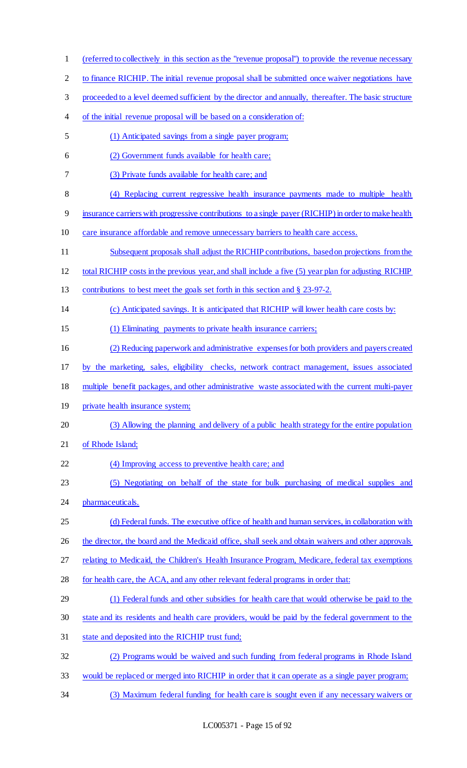| $\mathbf{1}$   | (referred to collectively in this section as the "revenue proposal") to provide the revenue necessary |
|----------------|-------------------------------------------------------------------------------------------------------|
| $\overline{2}$ | to finance RICHIP. The initial revenue proposal shall be submitted once waiver negotiations have      |
| 3              | proceeded to a level deemed sufficient by the director and annually, thereafter. The basic structure  |
| 4              | of the initial revenue proposal will be based on a consideration of:                                  |
| 5              | (1) Anticipated savings from a single payer program;                                                  |
| 6              | (2) Government funds available for health care;                                                       |
| 7              | (3) Private funds available for health care; and                                                      |
| 8              | (4) Replacing current regressive health insurance payments made to multiple health                    |
| 9              | insurance carriers with progressive contributions to a single payer (RICHIP) in order to make health  |
| 10             | care insurance affordable and remove unnecessary barriers to health care access.                      |
| 11             | Subsequent proposals shall adjust the RICHIP contributions, based on projections from the             |
| 12             | total RICHIP costs in the previous year, and shall include a five (5) year plan for adjusting RICHIP  |
| 13             | contributions to best meet the goals set forth in this section and § 23-97-2.                         |
| 14             | (c) Anticipated savings. It is anticipated that RICHIP will lower health care costs by:               |
| 15             | (1) Eliminating payments to private health insurance carriers;                                        |
| 16             | (2) Reducing paperwork and administrative expenses for both providers and payers created              |
| 17             | by the marketing, sales, eligibility checks, network contract management, issues associated           |
| 18             | multiple benefit packages, and other administrative waste associated with the current multi-payer     |
| 19             | private health insurance system;                                                                      |
| 20             | (3) Allowing the planning and delivery of a public health strategy for the entire population          |
| 21             | of Rhode Island;                                                                                      |
| 22             | (4) Improving access to preventive health care; and                                                   |
| 23             | (5) Negotiating on behalf of the state for bulk purchasing of medical supplies and                    |
| 24             | pharmaceuticals.                                                                                      |
| 25             | (d) Federal funds. The executive office of health and human services, in collaboration with           |
| 26             | the director, the board and the Medicaid office, shall seek and obtain waivers and other approvals    |
| 27             | relating to Medicaid, the Children's Health Insurance Program, Medicare, federal tax exemptions       |
| 28             | for health care, the ACA, and any other relevant federal programs in order that:                      |
| 29             | (1) Federal funds and other subsidies for health care that would otherwise be paid to the             |
| 30             | state and its residents and health care providers, would be paid by the federal government to the     |
| 31             | state and deposited into the RICHIP trust fund;                                                       |
| 32             | (2) Programs would be waived and such funding from federal programs in Rhode Island                   |
| 33             | would be replaced or merged into RICHIP in order that it can operate as a single payer program;       |
|                |                                                                                                       |

(3) Maximum federal funding for health care is sought even if any necessary waivers or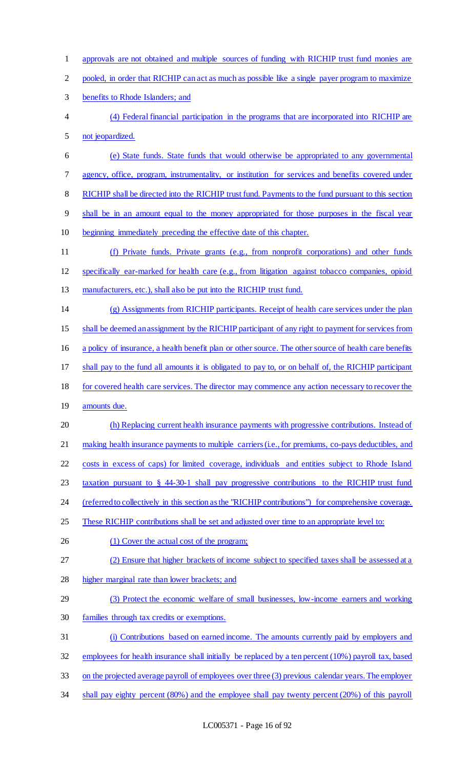approvals are not obtained and multiple sources of funding with RICHIP trust fund monies are 2 pooled, in order that RICHIP can act as much as possible like a single payer program to maximize benefits to Rhode Islanders; and (4) Federal financial participation in the programs that are incorporated into RICHIP are not jeopardized. (e) State funds. State funds that would otherwise be appropriated to any governmental agency, office, program, instrumentality, or institution for services and benefits covered under RICHIP shall be directed into the RICHIP trust fund. Payments to the fund pursuant to this section shall be in an amount equal to the money appropriated for those purposes in the fiscal year beginning immediately preceding the effective date of this chapter. (f) Private funds. Private grants (e.g., from nonprofit corporations) and other funds specifically ear-marked for health care (e.g., from litigation against tobacco companies, opioid manufacturers, etc.), shall also be put into the RICHIP trust fund. (g) Assignments from RICHIP participants. Receipt of health care services under the plan shall be deemed an assignment by the RICHIP participant of any right to payment for services from a policy of insurance, a health benefit plan or other source. The other source of health care benefits shall pay to the fund all amounts it is obligated to pay to, or on behalf of, the RICHIP participant for covered health care services. The director may commence any action necessary to recover the amounts due. (h) Replacing current health insurance payments with progressive contributions. Instead of 21 making health insurance payments to multiple carriers (i.e., for premiums, co-pays deductibles, and costs in excess of caps) for limited coverage, individuals and entities subject to Rhode Island 23 taxation pursuant to § 44-30-1 shall pay progressive contributions to the RICHIP trust fund 24 (referred to collectively in this section as the "RICHIP contributions") for comprehensive coverage. 25 These RICHIP contributions shall be set and adjusted over time to an appropriate level to: 26 (1) Cover the actual cost of the program; (2) Ensure that higher brackets of income subject to specified taxes shall be assessed at a higher marginal rate than lower brackets; and (3) Protect the economic welfare of small businesses, low-income earners and working families through tax credits or exemptions. (i) Contributions based on earned income. The amounts currently paid by employers and employees for health insurance shall initially be replaced by a ten percent (10%) payroll tax, based on the projected average payroll of employees over three (3) previous calendar years. The employer 34 shall pay eighty percent (80%) and the employee shall pay twenty percent (20%) of this payroll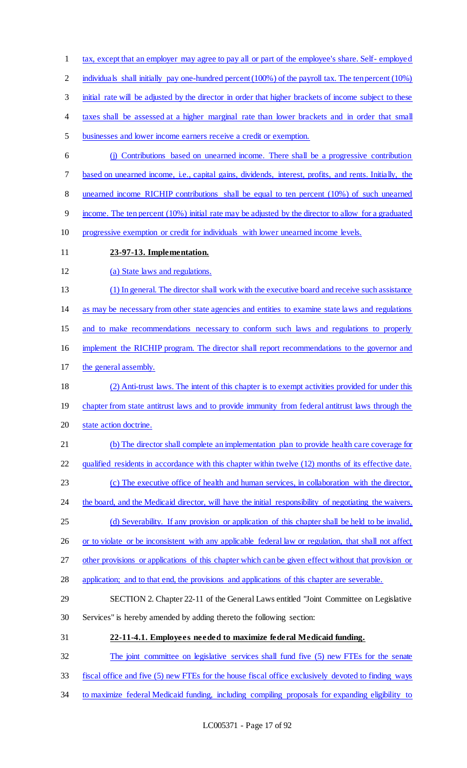tax, except that an employer may agree to pay all or part of the employee's share. Self- employed 2 individuals shall initially pay one-hundred percent (100%) of the payroll tax. The ten percent (10%) 3 initial rate will be adjusted by the director in order that higher brackets of income subject to these taxes shall be assessed at a higher marginal rate than lower brackets and in order that small businesses and lower income earners receive a credit or exemption. (j) Contributions based on unearned income. There shall be a progressive contribution 7 based on unearned income, i.e., capital gains, dividends, interest, profits, and rents. Initially, the unearned income RICHIP contributions shall be equal to ten percent (10%) of such unearned income. The ten percent (10%) initial rate may be adjusted by the director to allow for a graduated progressive exemption or credit for individuals with lower unearned income levels. **23-97-13. Implementation.**  12 (a) State laws and regulations. (1) In general. The director shall work with the executive board and receive such assistance as may be necessary from other state agencies and entities to examine state laws and regulations and to make recommendations necessary to conform such laws and regulations to properly implement the RICHIP program. The director shall report recommendations to the governor and the general assembly. (2) Anti-trust laws. The intent of this chapter is to exempt activities provided for under this 19 chapter from state antitrust laws and to provide immunity from federal antitrust laws through the state action doctrine. 21 (b) The director shall complete an implementation plan to provide health care coverage for qualified residents in accordance with this chapter within twelve (12) months of its effective date. (c) The executive office of health and human services, in collaboration with the director, 24 the board, and the Medicaid director, will have the initial responsibility of negotiating the waivers. (d) Severability. If any provision or application of this chapter shall be held to be invalid, 26 or to violate or be inconsistent with any applicable federal law or regulation, that shall not affect other provisions or applications of this chapter which can be given effect without that provision or 28 application; and to that end, the provisions and applications of this chapter are severable. SECTION 2. Chapter 22-11 of the General Laws entitled "Joint Committee on Legislative Services" is hereby amended by adding thereto the following section: **22-11-4.1. Employees needed to maximize federal Medicaid funding.**  The joint committee on legislative services shall fund five (5) new FTEs for the senate fiscal office and five (5) new FTEs for the house fiscal office exclusively devoted to finding ways to maximize federal Medicaid funding, including compiling proposals for expanding eligibility to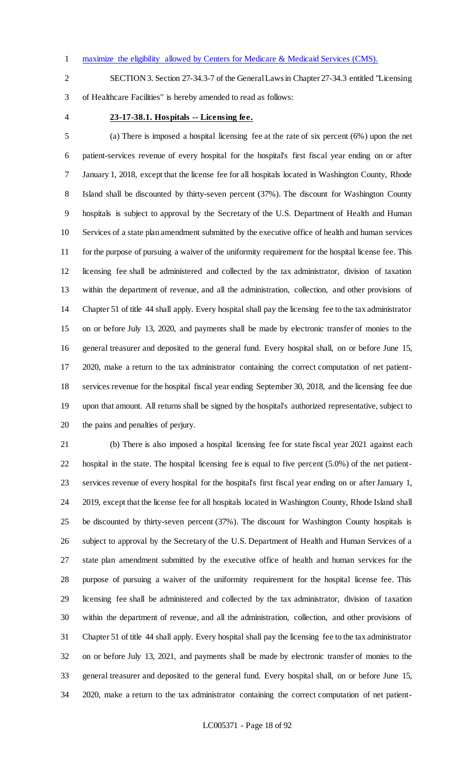maximize the eligibility allowed by Centers for Medicare & Medicaid Services (CMS).

 SECTION 3. Section 27-34.3-7 of the General Laws in Chapter 27-34.3 entitled "Licensing of Healthcare Facilities" is hereby amended to read as follows:

## **23-17-38.1. Hospitals -- Licensing fee.**

 (a) There is imposed a hospital licensing fee at the rate of six percent (6%) upon the net patient-services revenue of every hospital for the hospital's first fiscal year ending on or after January 1, 2018, except that the license fee for all hospitals located in Washington County, Rhode Island shall be discounted by thirty-seven percent (37%). The discount for Washington County hospitals is subject to approval by the Secretary of the U.S. Department of Health and Human Services of a state plan amendment submitted by the executive office of health and human services for the purpose of pursuing a waiver of the uniformity requirement for the hospital license fee. This licensing fee shall be administered and collected by the tax administrator, division of taxation within the department of revenue, and all the administration, collection, and other provisions of Chapter 51 of title 44 shall apply. Every hospital shall pay the licensing fee to the tax administrator on or before July 13, 2020, and payments shall be made by electronic transfer of monies to the general treasurer and deposited to the general fund. Every hospital shall, on or before June 15, 2020, make a return to the tax administrator containing the correct computation of net patient- services revenue for the hospital fiscal year ending September 30, 2018, and the licensing fee due upon that amount. All returns shall be signed by the hospital's authorized representative, subject to the pains and penalties of perjury.

 (b) There is also imposed a hospital licensing fee for state fiscal year 2021 against each hospital in the state. The hospital licensing fee is equal to five percent (5.0%) of the net patient- services revenue of every hospital for the hospital's first fiscal year ending on or after January 1, 2019, except that the license fee for all hospitals located in Washington County, Rhode Island shall be discounted by thirty-seven percent (37%). The discount for Washington County hospitals is subject to approval by the Secretary of the U.S. Department of Health and Human Services of a state plan amendment submitted by the executive office of health and human services for the purpose of pursuing a waiver of the uniformity requirement for the hospital license fee. This licensing fee shall be administered and collected by the tax administrator, division of taxation within the department of revenue, and all the administration, collection, and other provisions of Chapter 51 of title 44 shall apply. Every hospital shall pay the licensing fee to the tax administrator on or before July 13, 2021, and payments shall be made by electronic transfer of monies to the general treasurer and deposited to the general fund. Every hospital shall, on or before June 15, 2020, make a return to the tax administrator containing the correct computation of net patient-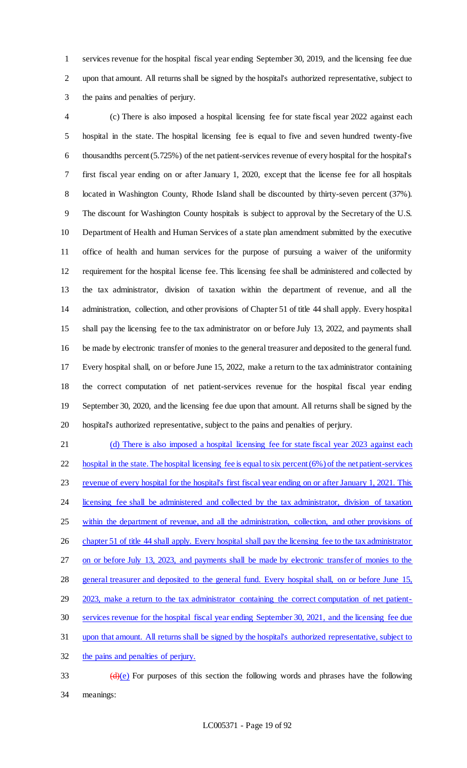services revenue for the hospital fiscal year ending September 30, 2019, and the licensing fee due upon that amount. All returns shall be signed by the hospital's authorized representative, subject to the pains and penalties of perjury.

 (c) There is also imposed a hospital licensing fee for state fiscal year 2022 against each hospital in the state. The hospital licensing fee is equal to five and seven hundred twenty-five thousandths percent (5.725%) of the net patient-services revenue of every hospital for the hospital's first fiscal year ending on or after January 1, 2020, except that the license fee for all hospitals 8 located in Washington County, Rhode Island shall be discounted by thirty-seven percent (37%). The discount for Washington County hospitals is subject to approval by the Secretary of the U.S. Department of Health and Human Services of a state plan amendment submitted by the executive office of health and human services for the purpose of pursuing a waiver of the uniformity requirement for the hospital license fee. This licensing fee shall be administered and collected by the tax administrator, division of taxation within the department of revenue, and all the administration, collection, and other provisions of Chapter 51 of title 44 shall apply. Every hospital shall pay the licensing fee to the tax administrator on or before July 13, 2022, and payments shall be made by electronic transfer of monies to the general treasurer and deposited to the general fund. Every hospital shall, on or before June 15, 2022, make a return to the tax administrator containing the correct computation of net patient-services revenue for the hospital fiscal year ending September 30, 2020, and the licensing fee due upon that amount. All returns shall be signed by the hospital's authorized representative, subject to the pains and penalties of perjury.

21 (d) There is also imposed a hospital licensing fee for state fiscal year 2023 against each hospital in the state. The hospital licensing fee is equal to six percent (6%) of the net patient-services 23 revenue of every hospital for the hospital's first fiscal year ending on or after January 1, 2021. This 24 licensing fee shall be administered and collected by the tax administrator, division of taxation within the department of revenue, and all the administration, collection, and other provisions of 26 chapter 51 of title 44 shall apply. Every hospital shall pay the licensing fee to the tax administrator on or before July 13, 2023, and payments shall be made by electronic transfer of monies to the 28 general treasurer and deposited to the general fund. Every hospital shall, on or before June 15, 2023, make a return to the tax administrator containing the correct computation of net patient- services revenue for the hospital fiscal year ending September 30, 2021, and the licensing fee due upon that amount. All returns shall be signed by the hospital's authorized representative, subject to the pains and penalties of perjury.

 $\left(\frac{d}{e}\right)$  For purposes of this section the following words and phrases have the following meanings: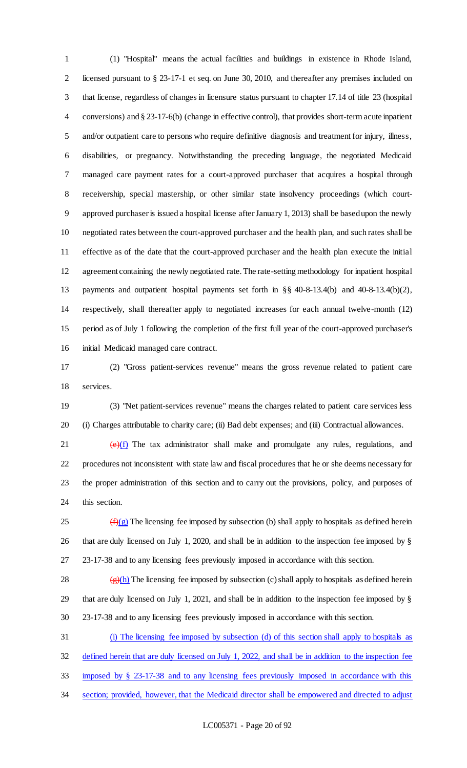(1) "Hospital" means the actual facilities and buildings in existence in Rhode Island, licensed pursuant to § 23-17-1 et seq. on June 30, 2010, and thereafter any premises included on that license, regardless of changes in licensure status pursuant to chapter 17.14 of title 23 (hospital conversions) and § 23-17-6(b) (change in effective control), that provides short-term acute inpatient and/or outpatient care to persons who require definitive diagnosis and treatment for injury, illness, disabilities, or pregnancy. Notwithstanding the preceding language, the negotiated Medicaid managed care payment rates for a court-approved purchaser that acquires a hospital through receivership, special mastership, or other similar state insolvency proceedings (which court- approved purchaser is issued a hospital license after January 1, 2013) shall be based upon the newly negotiated rates between the court-approved purchaser and the health plan, and such rates shall be effective as of the date that the court-approved purchaser and the health plan execute the initial agreement containing the newly negotiated rate. The rate-setting methodology for inpatient hospital payments and outpatient hospital payments set forth in §§ 40-8-13.4(b) and 40-8-13.4(b)(2), respectively, shall thereafter apply to negotiated increases for each annual twelve-month (12) period as of July 1 following the completion of the first full year of the court-approved purchaser's initial Medicaid managed care contract.

 (2) "Gross patient-services revenue" means the gross revenue related to patient care services.

 (3) "Net patient-services revenue" means the charges related to patient care services less (i) Charges attributable to charity care; (ii) Bad debt expenses; and (iii) Contractual allowances.

 $(e)(f)$  The tax administrator shall make and promulgate any rules, regulations, and procedures not inconsistent with state law and fiscal procedures that he or she deems necessary for the proper administration of this section and to carry out the provisions, policy, and purposes of this section.

 $\frac{f(x)}{g(x)}$  The licensing fee imposed by subsection (b) shall apply to hospitals as defined herein that are duly licensed on July 1, 2020, and shall be in addition to the inspection fee imposed by § 23-17-38 and to any licensing fees previously imposed in accordance with this section.

28  $\frac{1}{2}(h)$  The licensing fee imposed by subsection (c) shall apply to hospitals as defined herein that are duly licensed on July 1, 2021, and shall be in addition to the inspection fee imposed by § 23-17-38 and to any licensing fees previously imposed in accordance with this section.

(i) The licensing fee imposed by subsection (d) of this section shall apply to hospitals as

defined herein that are duly licensed on July 1, 2022, and shall be in addition to the inspection fee

imposed by § 23-17-38 and to any licensing fees previously imposed in accordance with this

34 section; provided, however, that the Medicaid director shall be empowered and directed to adjust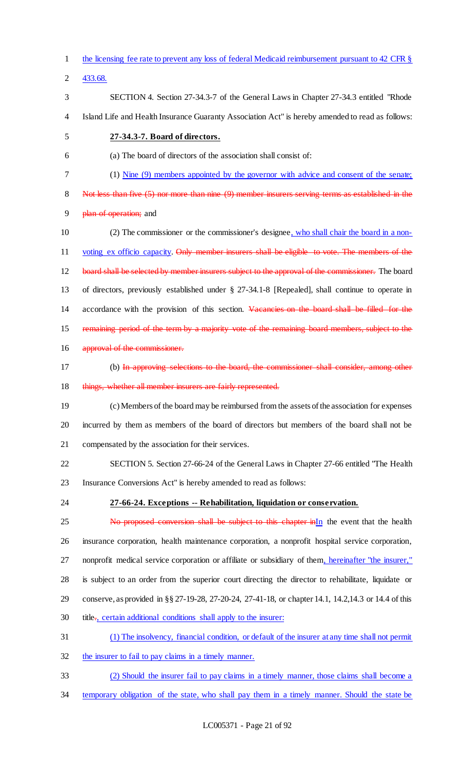the licensing fee rate to prevent any loss of federal Medicaid reimbursement pursuant to 42 CFR § 433.68. SECTION 4. Section 27-34.3-7 of the General Laws in Chapter 27-34.3 entitled "Rhode Island Life and Health Insurance Guaranty Association Act" is hereby amended to read as follows: **27-34.3-7. Board of directors.** (a) The board of directors of the association shall consist of: (1) Nine (9) members appointed by the governor with advice and consent of the senate; Not less than five (5) nor more than nine (9) member insurers serving terms as established in the 9 plan of operation; and 10 (2) The commissioner or the commissioner's designee, who shall chair the board in a non-11 voting ex officio capacity. Only member insurers shall be eligible to vote. The members of the 12 board shall be selected by member insurers subject to the approval of the commissioner. The board of directors, previously established under § 27-34.1-8 [Repealed], shall continue to operate in 14 accordance with the provision of this section. Vacancies on the board shall be filled for the remaining period of the term by a majority vote of the remaining board members, subject to the 16 approval of the commissioner. 17 (b) In approving selections to the board, the commissioner shall consider, among other 18 things, whether all member insurers are fairly represented. (c)Members of the board may be reimbursed from the assets of the association for expenses incurred by them as members of the board of directors but members of the board shall not be compensated by the association for their services. SECTION 5. Section 27-66-24 of the General Laws in Chapter 27-66 entitled "The Health Insurance Conversions Act" is hereby amended to read as follows: **27-66-24. Exceptions -- Rehabilitation, liquidation or conservation.** 25 No proposed conversion shall be subject to this chapter inIn the event that the health insurance corporation, health maintenance corporation, a nonprofit hospital service corporation, nonprofit medical service corporation or affiliate or subsidiary of them, hereinafter "the insurer," is subject to an order from the superior court directing the director to rehabilitate, liquidate or conserve, as provided in §§ 27-19-28, 27-20-24, 27-41-18, or chapter 14.1, 14.2,14.3 or 14.4 of this 30 title<sub>r</sub>, certain additional conditions shall apply to the insurer: (1) The insolvency, financial condition, or default of the insurer at any time shall not permit the insurer to fail to pay claims in a timely manner. (2) Should the insurer fail to pay claims in a timely manner, those claims shall become a temporary obligation of the state, who shall pay them in a timely manner. Should the state be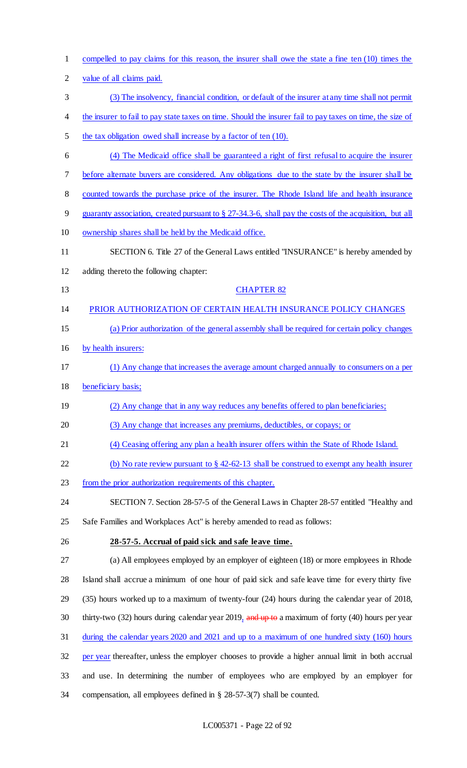| $\mathbf{1}$   | compelled to pay claims for this reason, the insurer shall owe the state a fine ten (10) times the        |
|----------------|-----------------------------------------------------------------------------------------------------------|
| $\overline{2}$ | value of all claims paid.                                                                                 |
| 3              | (3) The insolvency, financial condition, or default of the insurer at any time shall not permit           |
| 4              | the insurer to fail to pay state taxes on time. Should the insurer fail to pay taxes on time, the size of |
| 5              | the tax obligation owed shall increase by a factor of ten (10).                                           |
| 6              | (4) The Medicaid office shall be guaranteed a right of first refusal to acquire the insurer               |
| 7              | before alternate buyers are considered. Any obligations due to the state by the insurer shall be          |
| 8              | counted towards the purchase price of the insurer. The Rhode Island life and health insurance             |
| 9              | guaranty association, created pursuant to $\S$ 27-34.3-6, shall pay the costs of the acquisition, but all |
| 10             | ownership shares shall be held by the Medicaid office.                                                    |
| 11             | SECTION 6. Title 27 of the General Laws entitled "INSURANCE" is hereby amended by                         |
| 12             | adding thereto the following chapter:                                                                     |
| 13             | <b>CHAPTER 82</b>                                                                                         |
| 14             | PRIOR AUTHORIZATION OF CERTAIN HEALTH INSURANCE POLICY CHANGES                                            |
| 15             | (a) Prior authorization of the general assembly shall be required for certain policy changes              |
| 16             | by health insurers:                                                                                       |
| 17             | (1) Any change that increases the average amount charged annually to consumers on a per                   |
| 18             | beneficiary basis;                                                                                        |
| 19             | (2) Any change that in any way reduces any benefits offered to plan beneficiaries;                        |
| 20             | (3) Any change that increases any premiums, deductibles, or copays; or                                    |
| 21             | (4) Ceasing offering any plan a health insurer offers within the State of Rhode Island.                   |
| 22             | (b) No rate review pursuant to $\S$ 42-62-13 shall be construed to exempt any health insurer              |
| 23             | from the prior authorization requirements of this chapter.                                                |
| 24             | SECTION 7. Section 28-57-5 of the General Laws in Chapter 28-57 entitled "Healthy and                     |
| 25             | Safe Families and Workplaces Act" is hereby amended to read as follows:                                   |
| 26             | 28-57-5. Accrual of paid sick and safe leave time.                                                        |
| 27             | (a) All employees employed by an employer of eighteen (18) or more employees in Rhode                     |
| 28             | Island shall accrue a minimum of one hour of paid sick and safe leave time for every thirty five          |
| 29             | (35) hours worked up to a maximum of twenty-four (24) hours during the calendar year of 2018,             |
| 30             | thirty-two (32) hours during calendar year 2019, and up to a maximum of forty (40) hours per year         |
| 31             | during the calendar years 2020 and 2021 and up to a maximum of one hundred sixty (160) hours              |
| 32             | per year thereafter, unless the employer chooses to provide a higher annual limit in both accrual         |
| 33             | and use. In determining the number of employees who are employed by an employer for                       |
| 34             | compensation, all employees defined in $\S$ 28-57-3(7) shall be counted.                                  |

# LC005371 - Page 22 of 92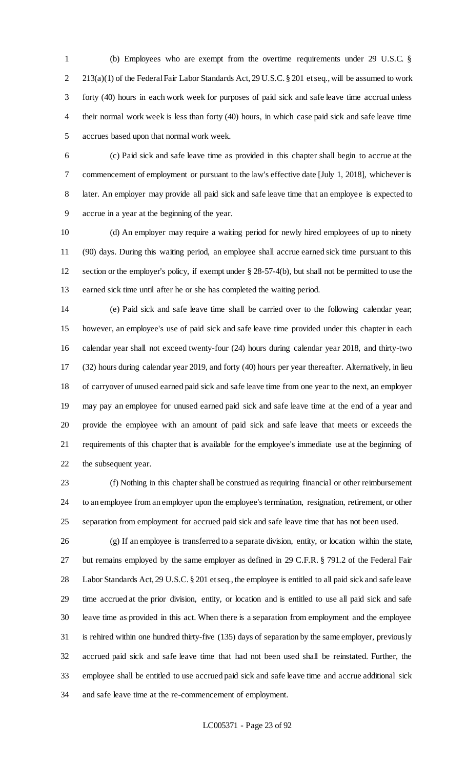(b) Employees who are exempt from the overtime requirements under 29 U.S.C. § 213(a)(1) of the Federal Fair Labor Standards Act, 29 U.S.C. § 201 et seq., will be assumed to work forty (40) hours in each work week for purposes of paid sick and safe leave time accrual unless their normal work week is less than forty (40) hours, in which case paid sick and safe leave time accrues based upon that normal work week.

 (c) Paid sick and safe leave time as provided in this chapter shall begin to accrue at the commencement of employment or pursuant to the law's effective date [July 1, 2018], whichever is later. An employer may provide all paid sick and safe leave time that an employee is expected to accrue in a year at the beginning of the year.

 (d) An employer may require a waiting period for newly hired employees of up to ninety (90) days. During this waiting period, an employee shall accrue earned sick time pursuant to this section or the employer's policy, if exempt under § 28-57-4(b), but shall not be permitted to use the earned sick time until after he or she has completed the waiting period.

 (e) Paid sick and safe leave time shall be carried over to the following calendar year; however, an employee's use of paid sick and safe leave time provided under this chapter in each calendar year shall not exceed twenty-four (24) hours during calendar year 2018, and thirty-two (32) hours during calendar year 2019, and forty (40) hours per year thereafter. Alternatively, in lieu of carryover of unused earned paid sick and safe leave time from one year to the next, an employer may pay an employee for unused earned paid sick and safe leave time at the end of a year and provide the employee with an amount of paid sick and safe leave that meets or exceeds the requirements of this chapter that is available for the employee's immediate use at the beginning of the subsequent year.

 (f) Nothing in this chapter shall be construed as requiring financial or other reimbursement to an employee from an employer upon the employee's termination, resignation, retirement, or other separation from employment for accrued paid sick and safe leave time that has not been used.

 (g) If an employee is transferred to a separate division, entity, or location within the state, but remains employed by the same employer as defined in 29 C.F.R. § 791.2 of the Federal Fair Labor Standards Act, 29 U.S.C. § 201 et seq., the employee is entitled to all paid sick and safe leave time accrued at the prior division, entity, or location and is entitled to use all paid sick and safe leave time as provided in this act. When there is a separation from employment and the employee is rehired within one hundred thirty-five (135) days of separation by the same employer, previously accrued paid sick and safe leave time that had not been used shall be reinstated. Further, the employee shall be entitled to use accrued paid sick and safe leave time and accrue additional sick and safe leave time at the re-commencement of employment.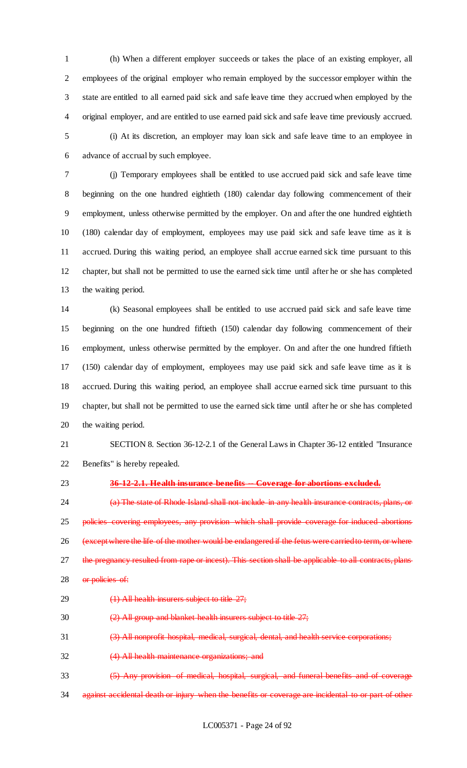(h) When a different employer succeeds or takes the place of an existing employer, all employees of the original employer who remain employed by the successor employer within the state are entitled to all earned paid sick and safe leave time they accrued when employed by the original employer, and are entitled to use earned paid sick and safe leave time previously accrued. (i) At its discretion, an employer may loan sick and safe leave time to an employee in

advance of accrual by such employee.

 (j) Temporary employees shall be entitled to use accrued paid sick and safe leave time beginning on the one hundred eightieth (180) calendar day following commencement of their employment, unless otherwise permitted by the employer. On and after the one hundred eightieth (180) calendar day of employment, employees may use paid sick and safe leave time as it is accrued. During this waiting period, an employee shall accrue earned sick time pursuant to this chapter, but shall not be permitted to use the earned sick time until after he or she has completed the waiting period.

 (k) Seasonal employees shall be entitled to use accrued paid sick and safe leave time beginning on the one hundred fiftieth (150) calendar day following commencement of their employment, unless otherwise permitted by the employer. On and after the one hundred fiftieth (150) calendar day of employment, employees may use paid sick and safe leave time as it is accrued. During this waiting period, an employee shall accrue earned sick time pursuant to this chapter, but shall not be permitted to use the earned sick time until after he or she has completed the waiting period.

 SECTION 8. Section 36-12-2.1 of the General Laws in Chapter 36-12 entitled "Insurance Benefits" is hereby repealed.

## **36-12-2.1. Health insurance benefits -- Coverage for abortions excluded.**

**(a)** The state of Rhode Island shall not include in any health insurance contracts, plans, or policies covering employees, any provision which shall provide coverage for induced abortions (except where the life of the mother would be endangered if the fetus were carried to term, or where 27 the pregnancy resulted from rape or incest). This section shall be applicable to all contracts, plans 28 or policies of:

29 (1) All health insurers subject to title 27;

(2) All group and blanket health insurers subject to title 27;

(3) All nonprofit hospital, medical, surgical, dental, and health service corporations;

(4) All health maintenance organizations; and

(5) Any provision of medical, hospital, surgical, and funeral benefits and of coverage

34 against accidental death or injury when the benefits or coverage are incidental to or part of other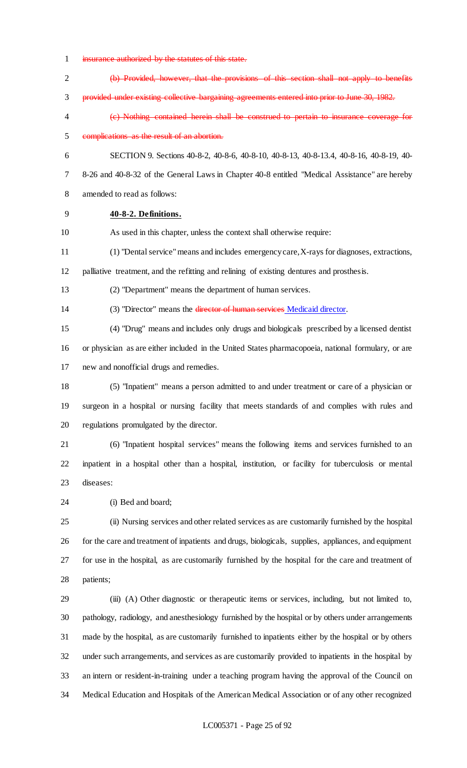- insurance authorized by the statutes of this state.
- (b) Provided, however, that the provisions of this section shall not apply to benefits provided under existing collective bargaining agreements entered into prior to June 30, 1982. (c) Nothing contained herein shall be construed to pertain to insurance coverage for complications as the result of an abortion. SECTION 9. Sections 40-8-2, 40-8-6, 40-8-10, 40-8-13, 40-8-13.4, 40-8-16, 40-8-19, 40- 8-26 and 40-8-32 of the General Laws in Chapter 40-8 entitled "Medical Assistance" are hereby amended to read as follows: **40-8-2. Definitions.** As used in this chapter, unless the context shall otherwise require: (1) "Dental service" means and includes emergency care, X-rays for diagnoses, extractions, palliative treatment, and the refitting and relining of existing dentures and prosthesis. (2) "Department" means the department of human services. (3) "Director" means the director of human services Medicaid director. (4) "Drug" means and includes only drugs and biologicals prescribed by a licensed dentist or physician as are either included in the United States pharmacopoeia, national formulary, or are new and nonofficial drugs and remedies. (5) "Inpatient" means a person admitted to and under treatment or care of a physician or surgeon in a hospital or nursing facility that meets standards of and complies with rules and regulations promulgated by the director. (6) "Inpatient hospital services" means the following items and services furnished to an inpatient in a hospital other than a hospital, institution, or facility for tuberculosis or mental diseases: (i) Bed and board; (ii) Nursing services and other related services as are customarily furnished by the hospital for the care and treatment of inpatients and drugs, biologicals, supplies, appliances, and equipment for use in the hospital, as are customarily furnished by the hospital for the care and treatment of patients; (iii) (A) Other diagnostic or therapeutic items or services, including, but not limited to, pathology, radiology, and anesthesiology furnished by the hospital or by others under arrangements made by the hospital, as are customarily furnished to inpatients either by the hospital or by others under such arrangements, and services as are customarily provided to inpatients in the hospital by
- an intern or resident-in-training under a teaching program having the approval of the Council on Medical Education and Hospitals of the American Medical Association or of any other recognized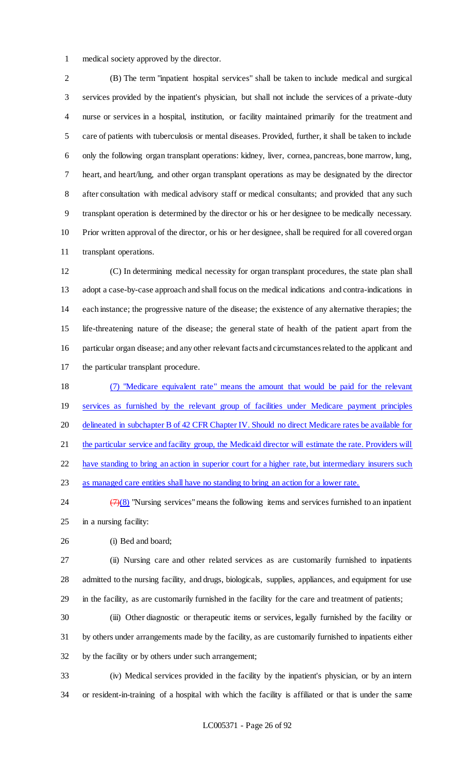medical society approved by the director.

 (B) The term "inpatient hospital services" shall be taken to include medical and surgical services provided by the inpatient's physician, but shall not include the services of a private-duty nurse or services in a hospital, institution, or facility maintained primarily for the treatment and care of patients with tuberculosis or mental diseases. Provided, further, it shall be taken to include only the following organ transplant operations: kidney, liver, cornea, pancreas, bone marrow, lung, heart, and heart/lung, and other organ transplant operations as may be designated by the director after consultation with medical advisory staff or medical consultants; and provided that any such transplant operation is determined by the director or his or her designee to be medically necessary. Prior written approval of the director, or his or her designee, shall be required for all covered organ transplant operations.

 (C) In determining medical necessity for organ transplant procedures, the state plan shall adopt a case-by-case approach and shall focus on the medical indications and contra-indications in each instance; the progressive nature of the disease; the existence of any alternative therapies; the life-threatening nature of the disease; the general state of health of the patient apart from the particular organ disease; and any other relevant facts and circumstances related to the applicant and the particular transplant procedure.

 (7) "Medicare equivalent rate" means the amount that would be paid for the relevant services as furnished by the relevant group of facilities under Medicare payment principles 20 delineated in subchapter B of 42 CFR Chapter IV. Should no direct Medicare rates be available for 21 the particular service and facility group, the Medicaid director will estimate the rate. Providers will have standing to bring an action in superior court for a higher rate, but intermediary insurers such as managed care entities shall have no standing to bring an action for a lower rate.

24  $\frac{7}{28}$  "Nursing services" means the following items and services furnished to an inpatient in a nursing facility:

(i) Bed and board;

 (ii) Nursing care and other related services as are customarily furnished to inpatients admitted to the nursing facility, and drugs, biologicals, supplies, appliances, and equipment for use in the facility, as are customarily furnished in the facility for the care and treatment of patients;

 (iii) Other diagnostic or therapeutic items or services, legally furnished by the facility or by others under arrangements made by the facility, as are customarily furnished to inpatients either by the facility or by others under such arrangement;

 (iv) Medical services provided in the facility by the inpatient's physician, or by an intern or resident-in-training of a hospital with which the facility is affiliated or that is under the same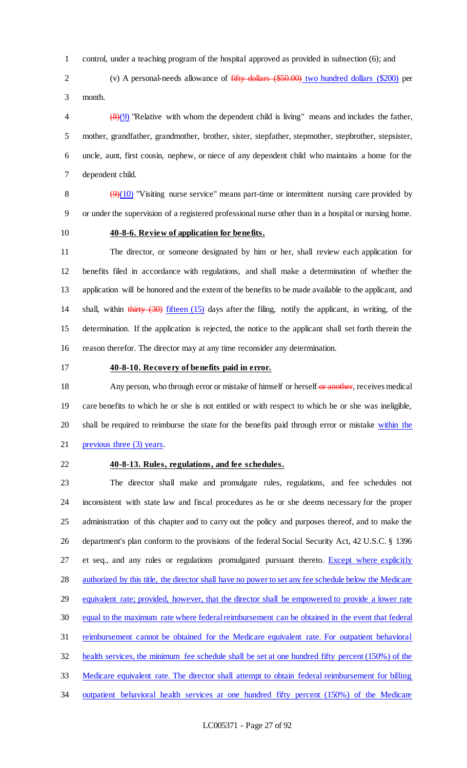control, under a teaching program of the hospital approved as provided in subsection (6); and

 (v) A personal-needs allowance of fifty dollars (\$50.00) two hundred dollars (\$200) per month.

 $\left(\frac{8}{9}\right)$  "Relative with whom the dependent child is living" means and includes the father, mother, grandfather, grandmother, brother, sister, stepfather, stepmother, stepbrother, stepsister, uncle, aunt, first cousin, nephew, or niece of any dependent child who maintains a home for the dependent child.

8  $\left(\frac{9}{10}\right)$  "V isiting nurse service" means part-time or intermittent nursing care provided by or under the supervision of a registered professional nurse other than in a hospital or nursing home.

## **40-8-6. Review of application for benefits.**

 The director, or someone designated by him or her, shall review each application for benefits filed in accordance with regulations, and shall make a determination of whether the application will be honored and the extent of the benefits to be made available to the applicant, and shall, within thirty (30) fifteen (15) days after the filing, notify the applicant, in writing, of the determination. If the application is rejected, the notice to the applicant shall set forth therein the reason therefor. The director may at any time reconsider any determination.

## **40-8-10. Recovery of benefits paid in error.**

18 Any person, who through error or mistake of himself or herself or another, receives medical care benefits to which he or she is not entitled or with respect to which he or she was ineligible, 20 shall be required to reimburse the state for the benefits paid through error or mistake within the 21 previous three (3) years.

#### **40-8-13. Rules, regulations, and fee schedules.**

 The director shall make and promulgate rules, regulations, and fee schedules not inconsistent with state law and fiscal procedures as he or she deems necessary for the proper administration of this chapter and to carry out the policy and purposes thereof, and to make the department's plan conform to the provisions of the federal Social Security Act, 42 U.S.C. § 1396 27 et seq., and any rules or regulations promulgated pursuant thereto. Except where explicitly 28 authorized by this title, the director shall have no power to set any fee schedule below the Medicare equivalent rate; provided, however, that the director shall be empowered to provide a lower rate equal to the maximum rate where federal reimbursement can be obtained in the event that federal reimbursement cannot be obtained for the Medicare equivalent rate. For outpatient behavioral health services, the minimum fee schedule shall be set at one hundred fifty percent (150%) of the Medicare equivalent rate. The director shall attempt to obtain federal reimbursement for billing 34 outpatient behavioral health services at one hundred fifty percent (150%) of the Medicare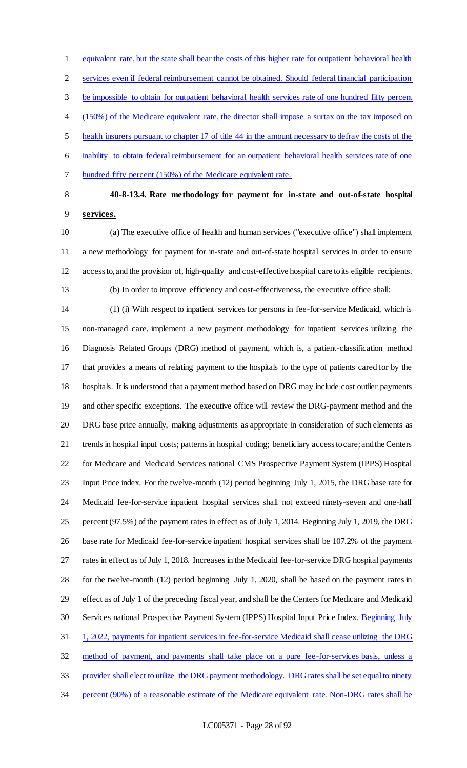equivalent rate, but the state shall bear the costs of this higher rate for outpatient behavioral health services even if federal reimbursement cannot be obtained. Should federal financial participation be impossible to obtain for outpatient behavioral health services rate of one hundred fifty percent (150%) of the Medicare equivalent rate, the director shall impose a surtax on the tax imposed on health insurers pursuant to chapter 17 of title 44 in the amount necessary to defray the costs of the inability to obtain federal reimbursement for an outpatient behavioral health services rate of one hundred fifty percent (150%) of the Medicare equivalent rate.

## **40-8-13.4. Rate methodology for payment for in-state and out-of-state hospital**

**services.**

 (a) The executive office of health and human services ("executive office") shall implement a new methodology for payment for in-state and out-of-state hospital services in order to ensure access to, and the provision of, high-quality and cost-effective hospital care to its eligible recipients. (b) In order to improve efficiency and cost-effectiveness, the executive office shall:

 (1) (i) With respect to inpatient services for persons in fee-for-service Medicaid, which is non-managed care, implement a new payment methodology for inpatient services utilizing the Diagnosis Related Groups (DRG) method of payment, which is, a patient-classification method that provides a means of relating payment to the hospitals to the type of patients cared for by the hospitals. It is understood that a payment method based on DRG may include cost outlier payments and other specific exceptions. The executive office will review the DRG-payment method and the DRG base price annually, making adjustments as appropriate in consideration of such elements as trends in hospital input costs; patterns in hospital coding; beneficiary access to care; and the Centers for Medicare and Medicaid Services national CMS Prospective Payment System (IPPS) Hospital Input Price index. For the twelve-month (12) period beginning July 1, 2015, the DRG base rate for Medicaid fee-for-service inpatient hospital services shall not exceed ninety-seven and one-half percent (97.5%) of the payment rates in effect as of July 1, 2014. Beginning July 1, 2019, the DRG base rate for Medicaid fee-for-service inpatient hospital services shall be 107.2% of the payment rates in effect as of July 1, 2018. Increases in the Medicaid fee-for-service DRG hospital payments for the twelve-month (12) period beginning July 1, 2020, shall be based on the payment rates in effect as of July 1 of the preceding fiscal year, and shall be the Centers for Medicare and Medicaid 30 Services national Prospective Payment System (IPPS) Hospital Input Price Index. Beginning July 1, 2022, payments for inpatient services in fee-for-service Medicaid shall cease utilizing the DRG method of payment, and payments shall take place on a pure fee-for-services basis, unless a provider shall elect to utilize the DRG payment methodology. DRG rates shall be set equal to ninety percent (90%) of a reasonable estimate of the Medicare equivalent rate. Non-DRG rates shall be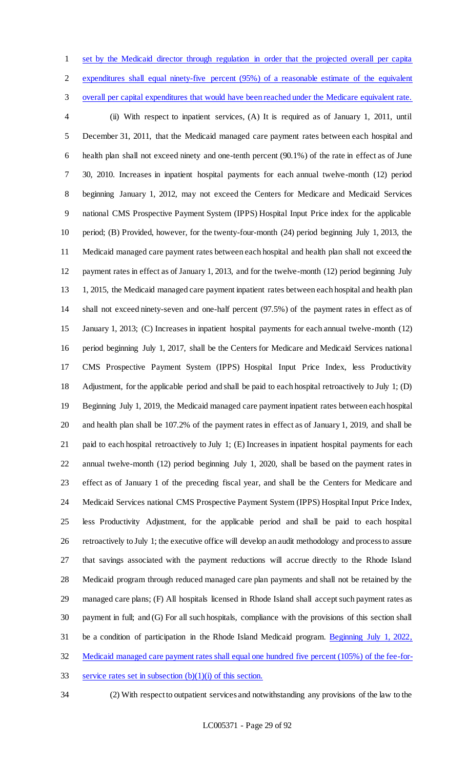set by the Medicaid director through regulation in order that the projected overall per capita expenditures shall equal ninety-five percent (95%) of a reasonable estimate of the equivalent overall per capital expenditures that would have been reached under the Medicare equivalent rate. (ii) With respect to inpatient services, (A) It is required as of January 1, 2011, until December 31, 2011, that the Medicaid managed care payment rates between each hospital and health plan shall not exceed ninety and one-tenth percent (90.1%) of the rate in effect as of June 30, 2010. Increases in inpatient hospital payments for each annual twelve-month (12) period beginning January 1, 2012, may not exceed the Centers for Medicare and Medicaid Services national CMS Prospective Payment System (IPPS) Hospital Input Price index for the applicable period; (B) Provided, however, for the twenty-four-month (24) period beginning July 1, 2013, the Medicaid managed care payment rates between each hospital and health plan shall not exceed the payment rates in effect as of January 1, 2013, and for the twelve-month (12) period beginning July 1, 2015, the Medicaid managed care payment inpatient rates between each hospital and health plan shall not exceed ninety-seven and one-half percent (97.5%) of the payment rates in effect as of January 1, 2013; (C) Increases in inpatient hospital payments for each annual twelve-month (12) period beginning July 1, 2017, shall be the Centers for Medicare and Medicaid Services national CMS Prospective Payment System (IPPS) Hospital Input Price Index, less Productivity Adjustment, for the applicable period and shall be paid to each hospital retroactively to July 1; (D) Beginning July 1, 2019, the Medicaid managed care payment inpatient rates between each hospital and health plan shall be 107.2% of the payment rates in effect as of January 1, 2019, and shall be paid to each hospital retroactively to July 1; (E) Increases in inpatient hospital payments for each annual twelve-month (12) period beginning July 1, 2020, shall be based on the payment rates in effect as of January 1 of the preceding fiscal year, and shall be the Centers for Medicare and Medicaid Services national CMS Prospective Payment System (IPPS) Hospital Input Price Index, less Productivity Adjustment, for the applicable period and shall be paid to each hospital retroactively to July 1; the executive office will develop an audit methodology and process to assure that savings associated with the payment reductions will accrue directly to the Rhode Island Medicaid program through reduced managed care plan payments and shall not be retained by the managed care plans; (F) All hospitals licensed in Rhode Island shall accept such payment rates as payment in full; and (G) For all such hospitals, compliance with the provisions of this section shall be a condition of participation in the Rhode Island Medicaid program. Beginning July 1, 2022, Medicaid managed care payment rates shall equal one hundred five percent (105%) of the fee-for-33 service rates set in subsection  $(b)(1)(i)$  of this section.

(2) With respect to outpatient services and notwithstanding any provisions of the law to the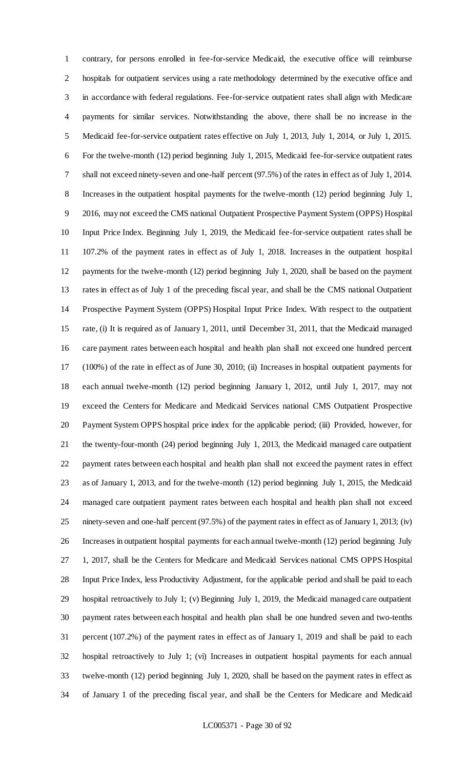contrary, for persons enrolled in fee-for-service Medicaid, the executive office will reimburse hospitals for outpatient services using a rate methodology determined by the executive office and in accordance with federal regulations. Fee-for-service outpatient rates shall align with Medicare payments for similar services. Notwithstanding the above, there shall be no increase in the Medicaid fee-for-service outpatient rates effective on July 1, 2013, July 1, 2014, or July 1, 2015. For the twelve-month (12) period beginning July 1, 2015, Medicaid fee-for-service outpatient rates shall not exceed ninety-seven and one-half percent (97.5%) of the rates in effect as of July 1, 2014. Increases in the outpatient hospital payments for the twelve-month (12) period beginning July 1, 2016, may not exceed the CMS national Outpatient Prospective Payment System (OPPS) Hospital Input Price Index. Beginning July 1, 2019, the Medicaid fee-for-service outpatient rates shall be 107.2% of the payment rates in effect as of July 1, 2018. Increases in the outpatient hospital payments for the twelve-month (12) period beginning July 1, 2020, shall be based on the payment rates in effect as of July 1 of the preceding fiscal year, and shall be the CMS national Outpatient Prospective Payment System (OPPS) Hospital Input Price Index. With respect to the outpatient rate, (i) It is required as of January 1, 2011, until December 31, 2011, that the Medicaid managed care payment rates between each hospital and health plan shall not exceed one hundred percent (100%) of the rate in effect as of June 30, 2010; (ii) Increases in hospital outpatient payments for each annual twelve-month (12) period beginning January 1, 2012, until July 1, 2017, may not exceed the Centers for Medicare and Medicaid Services national CMS Outpatient Prospective Payment System OPPS hospital price index for the applicable period; (iii) Provided, however, for the twenty-four-month (24) period beginning July 1, 2013, the Medicaid managed care outpatient payment rates between each hospital and health plan shall not exceed the payment rates in effect as of January 1, 2013, and for the twelve-month (12) period beginning July 1, 2015, the Medicaid managed care outpatient payment rates between each hospital and health plan shall not exceed ninety-seven and one-half percent (97.5%) of the payment rates in effect as of January 1, 2013; (iv) Increases in outpatient hospital payments for each annual twelve-month (12) period beginning July 1, 2017, shall be the Centers for Medicare and Medicaid Services national CMS OPPS Hospital Input Price Index, less Productivity Adjustment, for the applicable period and shall be paid to each hospital retroactively to July 1; (v) Beginning July 1, 2019, the Medicaid managed care outpatient payment rates between each hospital and health plan shall be one hundred seven and two-tenths percent (107.2%) of the payment rates in effect as of January 1, 2019 and shall be paid to each hospital retroactively to July 1; (vi) Increases in outpatient hospital payments for each annual twelve-month (12) period beginning July 1, 2020, shall be based on the payment rates in effect as of January 1 of the preceding fiscal year, and shall be the Centers for Medicare and Medicaid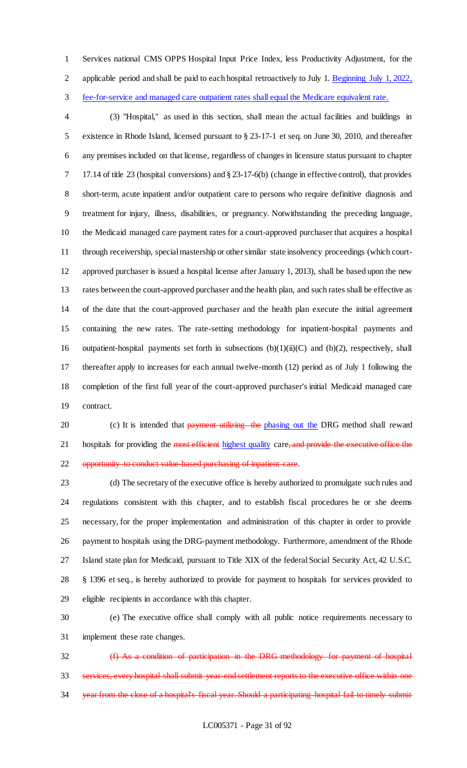Services national CMS OPPS Hospital Input Price Index, less Productivity Adjustment, for the applicable period and shall be paid to each hospital retroactively to July 1. Beginning July 1, 2022, fee-for-service and managed care outpatient rates shall equal the Medicare equivalent rate.

 (3) "Hospital," as used in this section, shall mean the actual facilities and buildings in existence in Rhode Island, licensed pursuant to § 23-17-1 et seq. on June 30, 2010, and thereafter any premises included on that license, regardless of changes in licensure status pursuant to chapter 17.14 of title 23 (hospital conversions) and § 23-17-6(b) (change in effective control), that provides short-term, acute inpatient and/or outpatient care to persons who require definitive diagnosis and treatment for injury, illness, disabilities, or pregnancy. Notwithstanding the preceding language, the Medicaid managed care payment rates for a court-approved purchaser that acquires a hospital through receivership, special mastership or other similar state insolvency proceedings (which court- approved purchaser is issued a hospital license after January 1, 2013), shall be based upon the new rates between the court-approved purchaser and the health plan, and such rates shall be effective as of the date that the court-approved purchaser and the health plan execute the initial agreement containing the new rates. The rate-setting methodology for inpatient-hospital payments and outpatient-hospital payments set forth in subsections (b)(1)(ii)(C) and (b)(2), respectively, shall thereafter apply to increases for each annual twelve-month (12) period as of July 1 following the completion of the first full year of the court-approved purchaser's initial Medicaid managed care contract.

20 (c) It is intended that payment utilizing the phasing out the DRG method shall reward 21 hospitals for providing the most efficient highest quality care, and provide the executive office the 22 opportunity to conduct value based purchasing of inpatient care.

 (d) The secretary of the executive office is hereby authorized to promulgate such rules and regulations consistent with this chapter, and to establish fiscal procedures he or she deems necessary, for the proper implementation and administration of this chapter in order to provide payment to hospitals using the DRG-payment methodology. Furthermore, amendment of the Rhode Island state plan for Medicaid, pursuant to Title XIX of the federal Social Security Act, 42 U.S.C. § 1396 et seq., is hereby authorized to provide for payment to hospitals for services provided to eligible recipients in accordance with this chapter.

 (e) The executive office shall comply with all public notice requirements necessary to implement these rate changes.

 (f) As a condition of participation in the DRG methodology for payment of hospital services, every hospital shall submit year-end settlement reports to the executive office within one year from the close of a hospital's fiscal year. Should a participating hospital fail to timely submit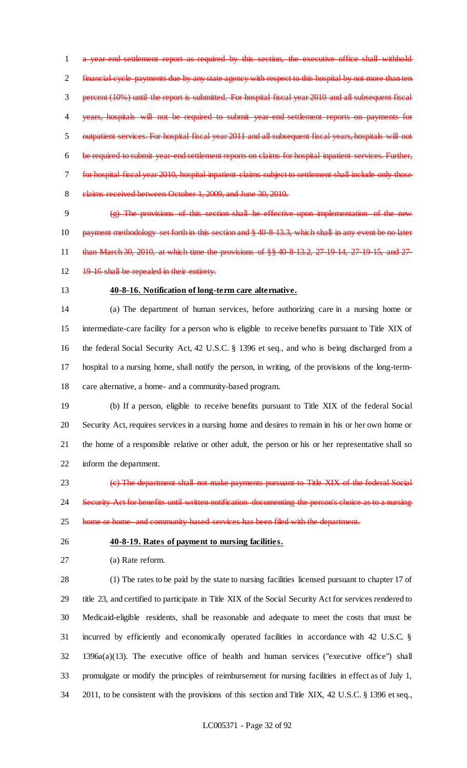a year-end settlement report as required by this section, the executive office shall withhold financial-cycle payments due by any state agency with respect to this hospital by not more than ten percent (10%) until the report is submitted. For hospital fiscal year 2010 and all subsequent fiscal years, hospitals will not be required to submit year-end settlement reports on payments for outpatient services. For hospital fiscal year 2011 and all subsequent fiscal years, hospitals will not be required to submit year-end settlement reports on claims for hospital inpatient services. Further, for hospital fiscal year 2010, hospital inpatient claims subject to settlement shall include only those 8 elaims received between October 1, 2009, and June 30, 2010.

 (g) The provisions of this section shall be effective upon implementation of the new 10 payment methodology set forth in this section and § 40-8-13.3, which shall in any event be no later than March 30, 2010, at which time the provisions of §§ 40-8-13.2, 27-19-14, 27-19-15, and 27-

- 12 19-16 shall be repealed in their entirety.
- 

## **40-8-16. Notification of long-term care alternative.**

 (a) The department of human services, before authorizing care in a nursing home or intermediate-care facility for a person who is eligible to receive benefits pursuant to Title XIX of the federal Social Security Act, 42 U.S.C. § 1396 et seq., and who is being discharged from a hospital to a nursing home, shall notify the person, in writing, of the provisions of the long-term-care alternative, a home- and a community-based program.

 (b) If a person, eligible to receive benefits pursuant to Title XIX of the federal Social Security Act, requires services in a nursing home and desires to remain in his or her own home or the home of a responsible relative or other adult, the person or his or her representative shall so inform the department.

 (c) The department shall not make payments pursuant to Title XIX of the federal Social Security Act for benefits until written notification documenting the person's choice as to a nursing

25 home or home and community based services has been filed with the department.

- **40-8-19. Rates of payment to nursing facilities.**
- (a) Rate reform.

 (1) The rates to be paid by the state to nursing facilities licensed pursuant to chapter 17 of title 23, and certified to participate in Title XIX of the Social Security Act for services rendered to Medicaid-eligible residents, shall be reasonable and adequate to meet the costs that must be incurred by efficiently and economically operated facilities in accordance with 42 U.S.C. § 1396a(a)(13). The executive office of health and human services ("executive office") shall promulgate or modify the principles of reimbursement for nursing facilities in effect as of July 1, 2011, to be consistent with the provisions of this section and Title XIX, 42 U.S.C. § 1396 et seq.,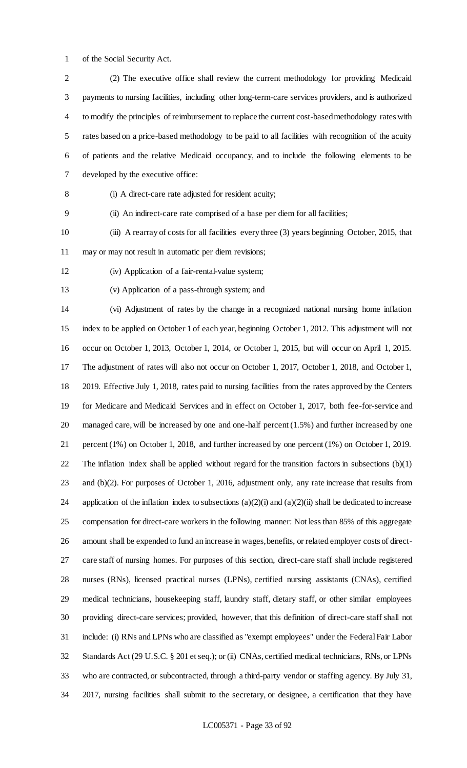of the Social Security Act.

 (2) The executive office shall review the current methodology for providing Medicaid payments to nursing facilities, including other long-term-care services providers, and is authorized to modify the principles of reimbursement to replace the current cost-based methodology rates with rates based on a price-based methodology to be paid to all facilities with recognition of the acuity of patients and the relative Medicaid occupancy, and to include the following elements to be developed by the executive office:

(i) A direct-care rate adjusted for resident acuity;

(ii) An indirect-care rate comprised of a base per diem for all facilities;

 (iii) A rearray of costs for all facilities every three (3) years beginning October, 2015, that may or may not result in automatic per diem revisions;

- (iv) Application of a fair-rental-value system;
- (v) Application of a pass-through system; and

 (vi) Adjustment of rates by the change in a recognized national nursing home inflation index to be applied on October 1 of each year, beginning October 1, 2012. This adjustment will not occur on October 1, 2013, October 1, 2014, or October 1, 2015, but will occur on April 1, 2015. The adjustment of rates will also not occur on October 1, 2017, October 1, 2018, and October 1, 2019. Effective July 1, 2018, rates paid to nursing facilities from the rates approved by the Centers for Medicare and Medicaid Services and in effect on October 1, 2017, both fee-for-service and managed care, will be increased by one and one-half percent (1.5%) and further increased by one percent (1%) on October 1, 2018, and further increased by one percent (1%) on October 1, 2019. The inflation index shall be applied without regard for the transition factors in subsections (b)(1) and (b)(2). For purposes of October 1, 2016, adjustment only, any rate increase that results from 24 application of the inflation index to subsections  $(a)(2)(i)$  and  $(a)(2)(ii)$  shall be dedicated to increase compensation for direct-care workers in the following manner: Not less than 85% of this aggregate amount shall be expended to fund an increase in wages, benefits, or related employer costs of direct- care staff of nursing homes. For purposes of this section, direct-care staff shall include registered nurses (RNs), licensed practical nurses (LPNs), certified nursing assistants (CNAs), certified medical technicians, housekeeping staff, laundry staff, dietary staff, or other similar employees providing direct-care services; provided, however, that this definition of direct-care staff shall not include: (i) RNs and LPNs who are classified as "exempt employees" under the Federal Fair Labor Standards Act (29 U.S.C. § 201 et seq.); or (ii) CNAs, certified medical technicians, RNs, or LPNs who are contracted, or subcontracted, through a third-party vendor or staffing agency. By July 31, 2017, nursing facilities shall submit to the secretary, or designee, a certification that they have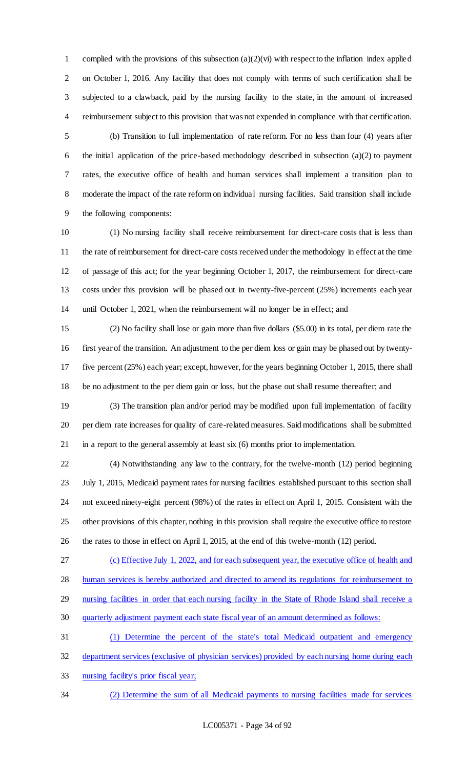1 complied with the provisions of this subsection  $(a)(2)(vi)$  with respect to the inflation index applied on October 1, 2016. Any facility that does not comply with terms of such certification shall be subjected to a clawback, paid by the nursing facility to the state, in the amount of increased reimbursement subject to this provision that was not expended in compliance with that certification.

 (b) Transition to full implementation of rate reform. For no less than four (4) years after the initial application of the price-based methodology described in subsection (a)(2) to payment rates, the executive office of health and human services shall implement a transition plan to moderate the impact of the rate reform on individual nursing facilities. Said transition shall include the following components:

 (1) No nursing facility shall receive reimbursement for direct-care costs that is less than the rate of reimbursement for direct-care costs received under the methodology in effect at the time of passage of this act; for the year beginning October 1, 2017, the reimbursement for direct-care costs under this provision will be phased out in twenty-five-percent (25%) increments each year until October 1, 2021, when the reimbursement will no longer be in effect; and

 (2) No facility shall lose or gain more than five dollars (\$5.00) in its total, per diem rate the first year of the transition. An adjustment to the per diem loss or gain may be phased out by twenty- five percent (25%) each year; except, however, for the years beginning October 1, 2015, there shall be no adjustment to the per diem gain or loss, but the phase out shall resume thereafter; and

 (3) The transition plan and/or period may be modified upon full implementation of facility per diem rate increases for quality of care-related measures. Said modifications shall be submitted in a report to the general assembly at least six (6) months prior to implementation.

 (4) Notwithstanding any law to the contrary, for the twelve-month (12) period beginning July 1, 2015, Medicaid payment rates for nursing facilities established pursuant to this section shall not exceed ninety-eight percent (98%) of the rates in effect on April 1, 2015. Consistent with the other provisions of this chapter, nothing in this provision shall require the executive office to restore the rates to those in effect on April 1, 2015, at the end of this twelve-month (12) period.

(c) Effective July 1, 2022, and for each subsequent year, the executive office of health and

28 human services is hereby authorized and directed to amend its regulations for reimbursement to

- nursing facilities in order that each nursing facility in the State of Rhode Island shall receive a
- quarterly adjustment payment each state fiscal year of an amount determined as follows:
- (1) Determine the percent of the state's total Medicaid outpatient and emergency department services (exclusive of physician services) provided by each nursing home during each
- nursing facility's prior fiscal year;
- (2) Determine the sum of all Medicaid payments to nursing facilities made for services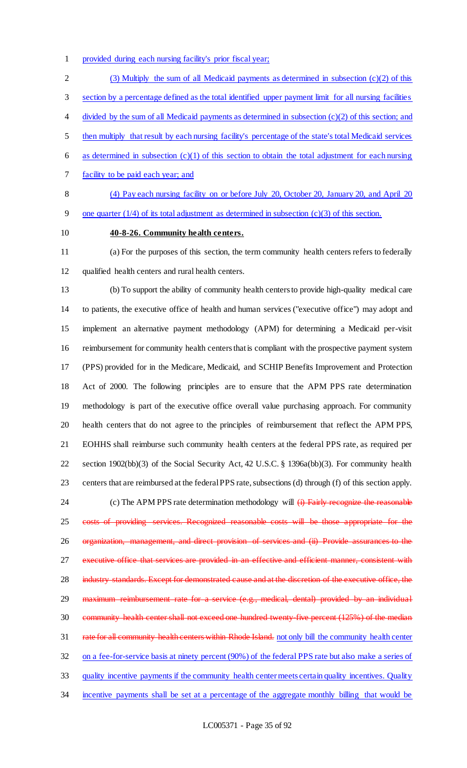provided during each nursing facility's prior fiscal year;

 (3) Multiply the sum of all Medicaid payments as determined in subsection (c)(2) of this section by a percentage defined as the total identified upper payment limit for all nursing facilities 4 divided by the sum of all Medicaid payments as determined in subsection (c)(2) of this section; and then multiply that result by each nursing facility's percentage of the state's total Medicaid services 6 as determined in subsection  $(c)(1)$  of this section to obtain the total adjustment for each nursing

facility to be paid each year; and

 (4) Pay each nursing facility on or before July 20, October 20, January 20, and April 20 one quarter (1/4) of its total adjustment as determined in subsection (c)(3) of this section.

## **40-8-26. Community health centers.**

 (a) For the purposes of this section, the term community health centers refers to federally qualified health centers and rural health centers.

 (b) To support the ability of community health centers to provide high-quality medical care to patients, the executive office of health and human services ("executive office") may adopt and implement an alternative payment methodology (APM) for determining a Medicaid per-visit reimbursement for community health centers that is compliant with the prospective payment system (PPS) provided for in the Medicare, Medicaid, and SCHIP Benefits Improvement and Protection Act of 2000. The following principles are to ensure that the APM PPS rate determination methodology is part of the executive office overall value purchasing approach. For community health centers that do not agree to the principles of reimbursement that reflect the APM PPS, EOHHS shall reimburse such community health centers at the federal PPS rate, as required per section 1902(bb)(3) of the Social Security Act, 42 U.S.C. § 1396a(bb)(3). For community health centers that are reimbursed at the federal PPS rate, subsections (d) through (f) of this section apply. 24 (c) The APM PPS rate determination methodology will (i) Fairly recognize the reasonable costs of providing services. Recognized reasonable costs will be those appropriate for the organization, management, and direct provision of services and (ii) Provide assurances to the 27 executive office that services are provided in an effective and efficient manner, consistent with 28 industry standards. Except for demonstrated cause and at the discretion of the executive office, the 29 maximum reimbursement rate for a service (e.g., medical, dental) provided by an individual

 community health center shall not exceed one hundred twenty-five percent (125%) of the median 31 rate for all community health centers within Rhode Island. not only bill the community health center

on a fee-for-service basis at ninety percent (90%) of the federal PPS rate but also make a series of

quality incentive payments if the community health center meets certain quality incentives. Quality

incentive payments shall be set at a percentage of the aggregate monthly billing that would be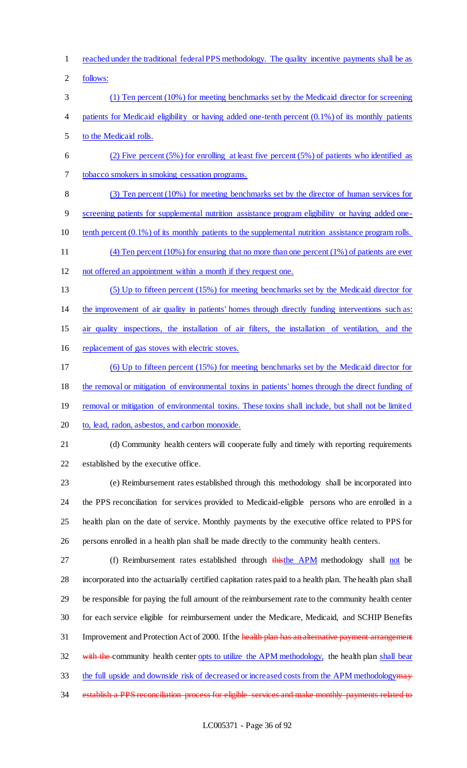- reached under the traditional federal PPS methodology. The quality incentive payments shall be as
- follows:
- (1) Ten percent (10%) for meeting benchmarks set by the Medicaid director for screening patients for Medicaid eligibility or having added one-tenth percent (0.1%) of its monthly patients to the Medicaid rolls.
- 6 (2) Five percent  $(5\%)$  for enrolling at least five percent  $(5\%)$  of patients who identified as tobacco smokers in smoking cessation programs.
- (3) Ten percent (10%) for meeting benchmarks set by the director of human services for
- screening patients for supplemental nutrition assistance program eligibility or having added one-
- 10 tenth percent (0.1%) of its monthly patients to the supplemental nutrition assistance program rolls.
- (4) Ten percent (10%) for ensuring that no more than one percent (1%) of patients are ever
- not offered an appointment within a month if they request one.
- (5) Up to fifteen percent (15%) for meeting benchmarks set by the Medicaid director for the improvement of air quality in patients' homes through directly funding interventions such as:
- air quality inspections, the installation of air filters, the installation of ventilation, and the
- replacement of gas stoves with electric stoves.
- (6) Up to fifteen percent (15%) for meeting benchmarks set by the Medicaid director for
- the removal or mitigation of environmental toxins in patients' homes through the direct funding of
- removal or mitigation of environmental toxins. These toxins shall include, but shall not be limited
- 20 to, lead, radon, asbestos, and carbon monoxide.
- 

(d) Community health centers will cooperate fully and timely with reporting requirements

established by the executive office.

 (e) Reimbursement rates established through this methodology shall be incorporated into the PPS reconciliation for services provided to Medicaid-eligible persons who are enrolled in a health plan on the date of service. Monthly payments by the executive office related to PPS for persons enrolled in a health plan shall be made directly to the community health centers.

27 (f) Reimbursement rates established through thisthe APM methodology shall not be incorporated into the actuarially certified capitation rates paid to a health plan. The health plan shall be responsible for paying the full amount of the reimbursement rate to the community health center for each service eligible for reimbursement under the Medicare, Medicaid, and SCHIP Benefits 31 Improvement and Protection Act of 2000. If the health plan has an alternative payment arrangement 32 with the community health center opts to utilize the APM methodology, the health plan shall bear 33 the full upside and downside risk of decreased or increased costs from the APM methodology may

34 establish a PPS reconciliation process for eligible services and make monthly payments related to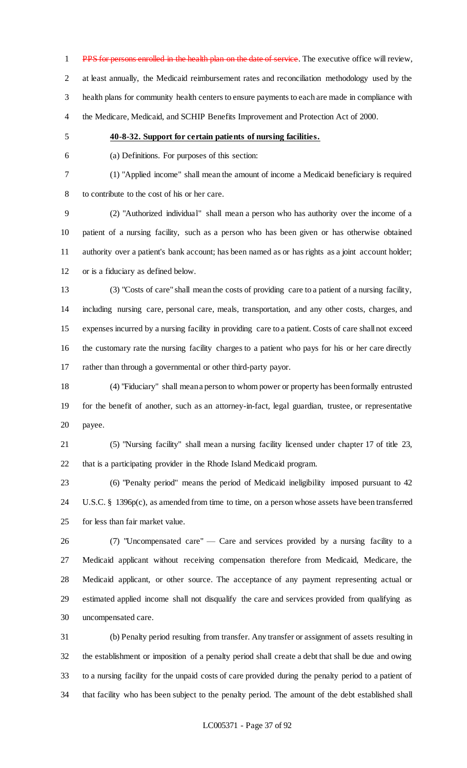1 PPS for persons enrolled in the health plan on the date of service. The executive office will review, at least annually, the Medicaid reimbursement rates and reconciliation methodology used by the health plans for community health centers to ensure payments to each are made in compliance with the Medicare, Medicaid, and SCHIP Benefits Improvement and Protection Act of 2000.

### **40-8-32. Support for certain patients of nursing facilities.**

(a) Definitions. For purposes of this section:

(1) "Applied income" shall mean the amount of income a Medicaid beneficiary is required

to contribute to the cost of his or her care.

 (2) "Authorized individual" shall mean a person who has authority over the income of a patient of a nursing facility, such as a person who has been given or has otherwise obtained authority over a patient's bank account; has been named as or has rights as a joint account holder; or is a fiduciary as defined below.

 (3) "Costs of care" shall mean the costs of providing care to a patient of a nursing facility, including nursing care, personal care, meals, transportation, and any other costs, charges, and expenses incurred by a nursing facility in providing care to a patient. Costs of care shall not exceed the customary rate the nursing facility charges to a patient who pays for his or her care directly rather than through a governmental or other third-party payor.

 (4) "Fiduciary" shall mean a person to whom power or property has been formally entrusted for the benefit of another, such as an attorney-in-fact, legal guardian, trustee, or representative payee.

 (5) "Nursing facility" shall mean a nursing facility licensed under chapter 17 of title 23, that is a participating provider in the Rhode Island Medicaid program.

 (6) "Penalty period" means the period of Medicaid ineligibility imposed pursuant to 42 U.S.C. § 1396p(c), as amended from time to time, on a person whose assets have been transferred for less than fair market value.

 (7) "Uncompensated care" — Care and services provided by a nursing facility to a Medicaid applicant without receiving compensation therefore from Medicaid, Medicare, the Medicaid applicant, or other source. The acceptance of any payment representing actual or estimated applied income shall not disqualify the care and services provided from qualifying as uncompensated care.

 (b) Penalty period resulting from transfer. Any transfer or assignment of assets resulting in the establishment or imposition of a penalty period shall create a debt that shall be due and owing to a nursing facility for the unpaid costs of care provided during the penalty period to a patient of that facility who has been subject to the penalty period. The amount of the debt established shall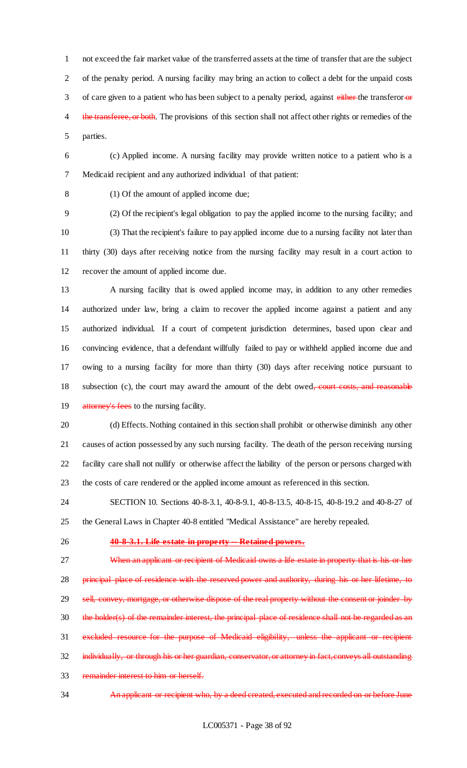not exceed the fair market value of the transferred assets at the time of transfer that are the subject of the penalty period. A nursing facility may bring an action to collect a debt for the unpaid costs 3 of care given to a patient who has been subject to a penalty period, against either the transferor-or 4 the transferee, or both. The provisions of this section shall not affect other rights or remedies of the parties.

 (c) Applied income. A nursing facility may provide written notice to a patient who is a Medicaid recipient and any authorized individual of that patient:

(1) Of the amount of applied income due;

 (2) Of the recipient's legal obligation to pay the applied income to the nursing facility; and (3) That the recipient's failure to pay applied income due to a nursing facility not later than thirty (30) days after receiving notice from the nursing facility may result in a court action to recover the amount of applied income due.

 A nursing facility that is owed applied income may, in addition to any other remedies authorized under law, bring a claim to recover the applied income against a patient and any authorized individual. If a court of competent jurisdiction determines, based upon clear and convincing evidence, that a defendant willfully failed to pay or withheld applied income due and owing to a nursing facility for more than thirty (30) days after receiving notice pursuant to 18 subsection (c), the court may award the amount of the debt owed<del>, court costs, and reasonable</del> 19 attorney's fees to the nursing facility.

 (d) Effects. Nothing contained in this section shall prohibit or otherwise diminish any other causes of action possessed by any such nursing facility. The death of the person receiving nursing facility care shall not nullify or otherwise affect the liability of the person or persons charged with the costs of care rendered or the applied income amount as referenced in this section.

 SECTION 10. Sections 40-8-3.1, 40-8-9.1, 40-8-13.5, 40-8-15, 40-8-19.2 and 40-8-27 of the General Laws in Chapter 40-8 entitled "Medical Assistance" are hereby repealed.

### **40-8-3.1. Life estate in property -- Retained powers.**

**When an applicant or recipient of Medicaid owns a life estate in property that is his or her** 28 principal place of residence with the reserved power and authority, during his or her lifetime, to 29 sell, convey, mortgage, or otherwise dispose of the real property without the consent or joinder by the holder(s) of the remainder interest, the principal place of residence shall not be regarded as an excluded resource for the purpose of Medicaid eligibility, unless the applicant or recipient 32 individually, or through his or her guardian, conservator, or attorney in fact, conveys all outstanding remainder interest to him or herself.

An applicant or recipient who, by a deed created, executed and recorded on or before June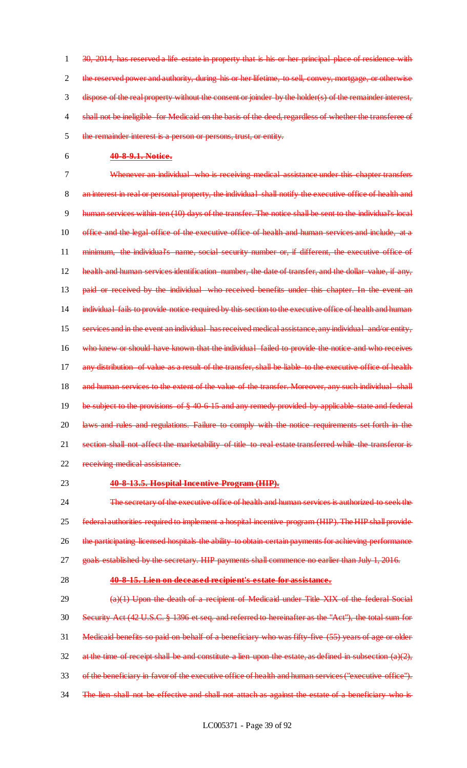30, 2014, has reserved a life estate in property that is his or her principal place of residence with the reserved power and authority, during his or her lifetime, to sell, convey, mortgage, or otherwise dispose of the real property without the consent or joinder by the holder(s) of the remainder interest, 4 shall not be ineligible for Medicaid on the basis of the deed, regardless of whether the transferee of the remainder interest is a person or persons, trust, or entity.

6 **40-8-9.1. Notice.**

7 Whenever an individual who is receiving medical assistance under this chapter transfers 8 an interest in real or personal property, the individual shall notify the executive office of health and 9 human services within ten (10) days of the transfer. The notice shall be sent to the individual's local 10 office and the legal office of the executive office of health and human services and include, at a 11 minimum, the individual's name, social security number or, if different, the executive office of 12 health and human services identification number, the date of transfer, and the dollar value, if any, 13 paid or received by the individual who received benefits under this chapter. In the event an 14 individual fails to provide notice required by this section to the executive office of health and human 15 services and in the event an individual has received medical assistance, any individual and/or entity, 16 who knew or should have known that the individual failed to provide the notice and who receives 17 any distribution of value as a result of the transfer, shall be liable to the executive office of health 18 and human services to the extent of the value of the transfer. Moreover, any such individual shall 19 be subject to the provisions of  $\S$  40-6-15 and any remedy provided by applicable state and federal 20 laws and rules and regulations. Failure to comply with the notice requirements set forth in the 21 section shall not affect the marketability of title to real estate transferred while the transferor is 22 receiving medical assistance.

#### 23 **40-8-13.5. Hospital Incentive Program (HIP).**

24 The secretary of the executive office of health and human services is authorized to seek the 25 federal authorities required to implement a hospital incentive program (HIP). The HIP shall provide 26 the participating licensed hospitals the ability to obtain certain payments for achieving performance 27 goals established by the secretary. HIP payments shall commence no earlier than July 1, 2016.

#### 28 **40-8-15. Lien on deceased recipient's estate for assistance.**

29 (a)(1) Upon the death of a recipient of Medicaid under Title XIX of the federal Social 30 Security Act (42 U.S.C. § 1396 et seq. and referred to hereinafter as the "Act"), the total sum for 31 Medicaid benefits so paid on behalf of a beneficiary who was fifty-five (55) years of age or older 32 at the time of receipt shall be and constitute a lien upon the estate, as defined in subsection  $(a)(2)$ , 33 of the beneficiary in favor of the executive office of health and human services ("executive office"). 34 The lien shall not be effective and shall not attach as against the estate of a beneficiary who is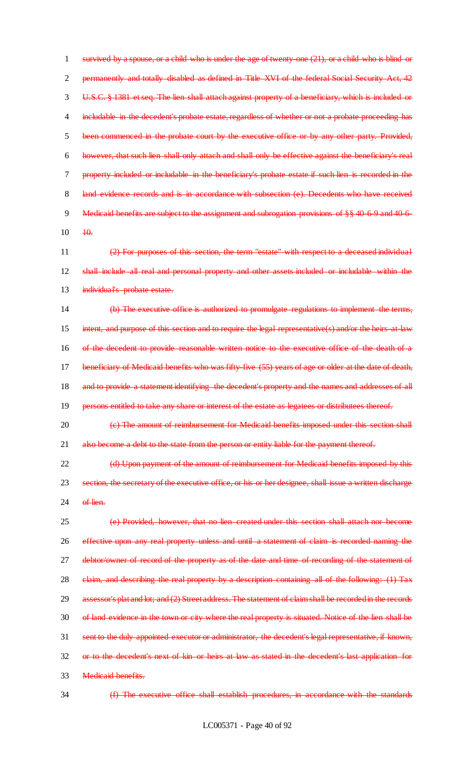1 survived by a spouse, or a child who is under the age of twenty-one (21), or a child who is blind or 2 permanently and totally disabled as defined in Title XVI of the federal Social Security Act, 42 3 U.S.C. § 1381 et seq. The lien shall attach against property of a beneficiary, which is included or 4 includable in the decedent's probate estate, regardless of whether or not a probate proceeding has 5 been commenced in the probate court by the executive office or by any other party. Provided, 6 however, that such lien shall only attach and shall only be effective against the beneficiary's real 7 property included or includable in the beneficiary's probate estate if such lien is recorded in the 8 land evidence records and is in accordance with subsection (e). Decedents who have received 9 Medicaid benefits are subject to the assignment and subrogation provisions of §§ 40-6-9 and 40-6- $10 \frac{10}{100}$ 

11 (2) For purposes of this section, the term "estate" with respect to a deceased individual 12 shall include all real and personal property and other assets included or includable within the 13 individual's probate estate.

14 (b) The executive office is authorized to promulgate regulations to implement the terms, 15 intent, and purpose of this section and to require the legal representative(s) and/or the heirs-at-law 16 of the decedent to provide reasonable written notice to the executive office of the death of a 17 beneficiary of Medicaid benefits who was fifty-five (55) years of age or older at the date of death, 18 and to provide a statement identifying the decedent's property and the names and addresses of all 19 persons entitled to take any share or interest of the estate as legatees or distributees thereof.

20 (e) The amount of reimbursement for Medicaid benefits imposed under this section shall 21 also become a debt to the state from the person or entity liable for the payment thereof.

22 (d) Upon payment of the amount of reimbursement for Medicaid benefits imposed by this 23 section, the secretary of the executive office, or his or her designee, shall issue a written discharge  $24$  of lien.

 (e) Provided, however, that no lien created under this section shall attach nor become effective upon any real property unless and until a statement of claim is recorded naming the 27 debtor/owner of record of the property as of the date and time of recording of the statement of 28 claim, and describing the real property by a description containing all of the following: (1) Tax 29 assessor's plat and lot; and (2) Street address. The statement of claim shall be recorded in the records of land evidence in the town or city where the real property is situated. Notice of the lien shall be sent to the duly appointed executor or administrator, the decedent's legal representative, if known, or to the decedent's next of kin or heirs at law as stated in the decedent's last application for Medicaid benefits.

34 (f) The executive office shall establish procedures, in accordance with the standards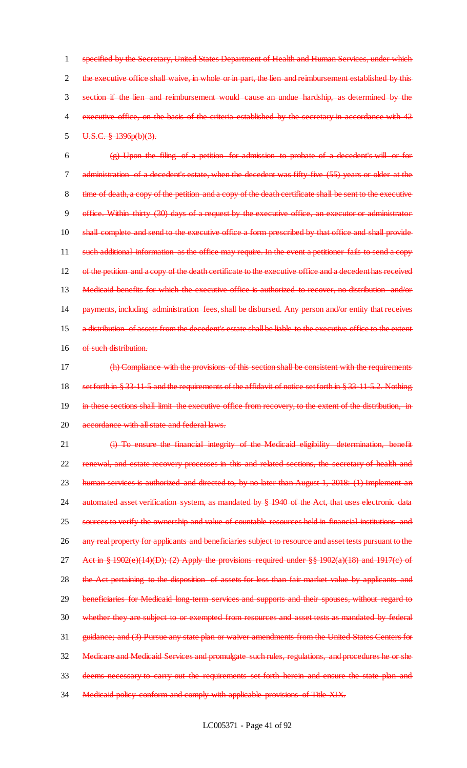1 specified by the Secretary, United States Department of Health and Human Services, under which 2 the executive office shall waive, in whole or in part, the lien and reimbursement established by this 3 section if the lien and reimbursement would cause an undue hardship, as determined by the 4 executive office, on the basis of the criteria established by the secretary in accordance with 42 5 U.S.C. § 1396p(b)(3).

 $\frac{1}{2}$  (g) Upon the filing of a petition for admission to probate of a decedent's will or for 7 administration of a decedent's estate, when the decedent was fifty-five (55) years or older at the 8 time of death, a copy of the petition and a copy of the death certificate shall be sent to the executive 9 office. Within thirty (30) days of a request by the executive office, an executor or administrator 10 shall complete and send to the executive office a form prescribed by that office and shall provide 11 such additional information as the office may require. In the event a petitioner fails to send a copy 12 of the petition and a copy of the death certificate to the executive office and a decedent has received 13 Medicaid benefits for which the executive office is authorized to recover, no distribution and/or 14 payments, including administration fees, shall be disbursed. Any person and/or entity that receives 15 a distribution of assets from the decedent's estate shall be liable to the executive office to the extent 16 of such distribution.

17 (h) Compliance with the provisions of this section shall be consistent with the requirements 18 set forth in § 33-11-5 and the requirements of the affidavit of notice set forth in § 33-11-5.2. Nothing 19 in these sections shall limit the executive office from recovery, to the extent of the distribution, in 20 accordance with all state and federal laws.

21 (i) To ensure the financial integrity of the Medicaid eligibility determination, benefit 22 renewal, and estate recovery processes in this and related sections, the secretary of health and 23 human services is authorized and directed to, by no later than August 1, 2018: (1) Implement an 24 automated asset verification system, as mandated by § 1940 of the Act, that uses electronic data 25 sources to verify the ownership and value of countable resources held in financial institutions and 26 any real property for applicants and beneficiaries subject to resource and asset tests pursuant to the 27 Act in  $\frac{1}{2}$  1902(e)(14)(D); (2) Apply the provisions required under  $\frac{1}{2}$  1902(a)(18) and 1917(c) of 28 the Act pertaining to the disposition of assets for less than fair market value by applicants and 29 beneficiaries for Medicaid long-term services and supports and their spouses, without regard to 30 whether they are subject to or exempted from resources and asset tests as mandated by federal 31 guidance; and (3) Pursue any state plan or waiver amendments from the United States Centers for 32 Medicare and Medicaid Services and promulgate such rules, regulations, and procedures he or she 33 deems necessary to carry out the requirements set forth herein and ensure the state plan and 34 Medicaid policy conform and comply with applicable provisions of Title XIX.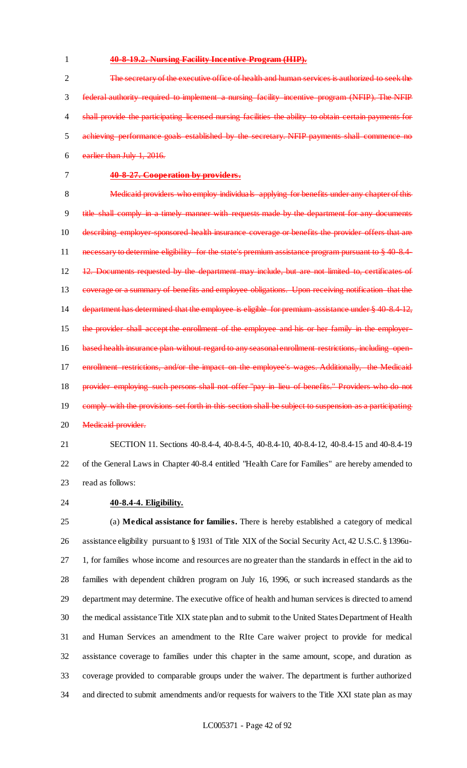### 1 **40-8-19.2. Nursing Facility Incentive Program (HIP).**

 The secretary of the executive office of health and human services is authorized to seek the federal authority required to implement a nursing facility incentive program (NFIP). The NFIP 4 shall provide the participating licensed nursing facilities the ability to obtain certain payments for achieving performance goals established by the secretary. NFIP payments shall commence no earlier than July 1, 2016.

## 7 **40-8-27. Cooperation by providers.**

8 Medicaid providers who employ individuals applying for benefits under any chapter of this 9 title shall comply in a timely manner with requests made by the department for any documents 10 describing employer sponsored health insurance coverage or benefits the provider offers that are 11 necessary to determine eligibility for the state's premium assistance program pursuant to § 40-8.4-12 12. Documents requested by the department may include, but are not limited to, certificates of 13 coverage or a summary of benefits and employee obligations. Upon receiving notification that the 14 department has determined that the employee is eligible for premium assistance under § 40-8.4-12, 15 the provider shall accept the enrollment of the employee and his or her family in the employer-16 based health insurance plan without regard to any seasonal enrollment restrictions, including open-17 enrollment restrictions, and/or the impact on the employee's wages. Additionally, the Medicaid 18 provider employing such persons shall not offer "pay in lieu of benefits." Providers who do not 19 comply with the provisions set forth in this section shall be subject to suspension as a participating 20 Medicaid provider.

21 SECTION 11. Sections 40-8.4-4, 40-8.4-5, 40-8.4-10, 40-8.4-12, 40-8.4-15 and 40-8.4-19 22 of the General Laws in Chapter 40-8.4 entitled "Health Care for Families" are hereby amended to 23 read as follows:

24 **40-8.4-4. Eligibility.**

 (a) **Medical assistance for families.** There is hereby established a category of medical assistance eligibility pursuant to § 1931 of Title XIX of the Social Security Act, 42 U.S.C. § 1396u- 1, for families whose income and resources are no greater than the standards in effect in the aid to families with dependent children program on July 16, 1996, or such increased standards as the department may determine. The executive office of health and human services is directed to amend the medical assistance Title XIX state plan and to submit to the United States Department of Health and Human Services an amendment to the RIte Care waiver project to provide for medical assistance coverage to families under this chapter in the same amount, scope, and duration as coverage provided to comparable groups under the waiver. The department is further authorized and directed to submit amendments and/or requests for waivers to the Title XXI state plan as may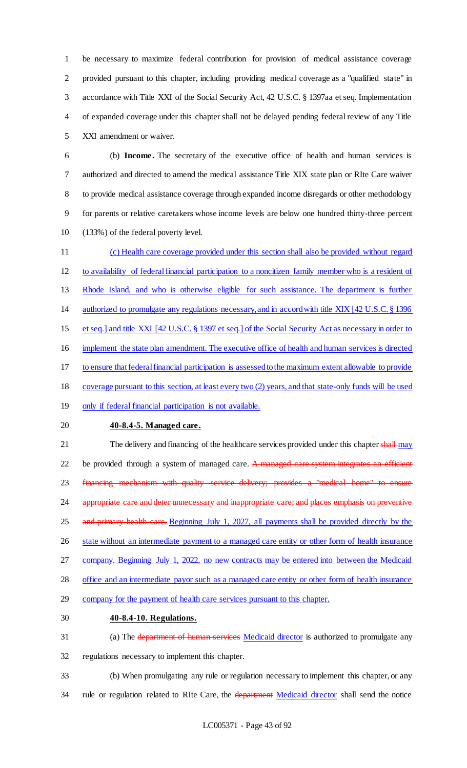be necessary to maximize federal contribution for provision of medical assistance coverage provided pursuant to this chapter, including providing medical coverage as a "qualified state" in accordance with Title XXI of the Social Security Act, 42 U.S.C. § 1397aa et seq. Implementation of expanded coverage under this chapter shall not be delayed pending federal review of any Title XXI amendment or waiver.

 (b) **Income.** The secretary of the executive office of health and human services is authorized and directed to amend the medical assistance Title XIX state plan or RIte Care waiver to provide medical assistance coverage through expanded income disregards or other methodology for parents or relative caretakers whose income levels are below one hundred thirty-three percent (133%) of the federal poverty level.

 (c) Health care coverage provided under this section shall also be provided without regard to availability of federal financial participation to a noncitizen family member who is a resident of Rhode Island, and who is otherwise eligible for such assistance. The department is further authorized to promulgate any regulations necessary, and in accord with title XIX [42 U.S.C. § 1396 et seq.] and title XXI [42 U.S.C. § 1397 et seq.] of the Social Security Act as necessary in order to implement the state plan amendment. The executive office of health and human services is directed to ensure that federal financial participation is assessed to the maximum extent allowable to provide coverage pursuant to this section, at least every two (2) years, and that state-only funds will be used 19 only if federal financial participation is not available. **40-8.4-5. Managed care.** 21 The delivery and financing of the healthcare services provided under this chapter shall may 22 be provided through a system of managed care. A managed care system integrates an efficient 23 financing mechanism with quality service delivery; provides a "medical home" to 24 appropriate care and deter unnecessary and inappropriate care; and places emphasis on preventive 25 and primary health care. Beginning July 1, 2027, all payments shall be provided directly by the 26 state without an intermediate payment to a managed care entity or other form of health insurance company. Beginning July 1, 2022, no new contracts may be entered into between the Medicaid 28 office and an intermediate payor such as a managed care entity or other form of health insurance

- company for the payment of health care services pursuant to this chapter.
- **40-8.4-10. Regulations.**
- 31 (a) The department of human services Medicaid director is authorized to promulgate any regulations necessary to implement this chapter.
- (b) When promulgating any rule or regulation necessary to implement this chapter, or any 34 rule or regulation related to RIte Care, the department Medicaid director shall send the notice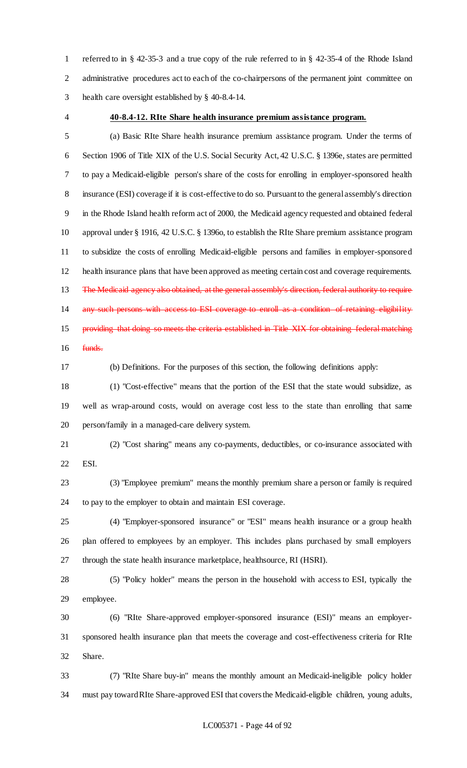referred to in § 42-35-3 and a true copy of the rule referred to in § 42-35-4 of the Rhode Island administrative procedures act to each of the co-chairpersons of the permanent joint committee on health care oversight established by § 40-8.4-14.

### **40-8.4-12. RIte Share health insurance premium assistance program.**

 (a) Basic RIte Share health insurance premium assistance program. Under the terms of Section 1906 of Title XIX of the U.S. Social Security Act, 42 U.S.C. § 1396e, states are permitted to pay a Medicaid-eligible person's share of the costs for enrolling in employer-sponsored health insurance (ESI) coverage if it is cost-effective to do so. Pursuant to the general assembly's direction in the Rhode Island health reform act of 2000, the Medicaid agency requested and obtained federal approval under § 1916, 42 U.S.C. § 1396o, to establish the RIte Share premium assistance program to subsidize the costs of enrolling Medicaid-eligible persons and families in employer-sponsored health insurance plans that have been approved as meeting certain cost and coverage requirements. 13 The Medicaid agency also obtained, at the general assembly's direction, federal authority to require any such persons with access to ESI coverage to enroll as a condition of retaining eligibility 15 providing that doing so meets the criteria established in Title XIX for obtaining federal matching funds.

(b) Definitions. For the purposes of this section, the following definitions apply:

 (1) "Cost-effective" means that the portion of the ESI that the state would subsidize, as well as wrap-around costs, would on average cost less to the state than enrolling that same person/family in a managed-care delivery system.

 (2) "Cost sharing" means any co-payments, deductibles, or co-insurance associated with ESI.

 (3) "Employee premium" means the monthly premium share a person or family is required to pay to the employer to obtain and maintain ESI coverage.

 (4) "Employer-sponsored insurance" or "ESI" means health insurance or a group health plan offered to employees by an employer. This includes plans purchased by small employers through the state health insurance marketplace, healthsource, RI (HSRI).

 (5) "Policy holder" means the person in the household with access to ESI, typically the employee.

 (6) "RIte Share-approved employer-sponsored insurance (ESI)" means an employer- sponsored health insurance plan that meets the coverage and cost-effectiveness criteria for RIte Share.

 (7) "RIte Share buy-in" means the monthly amount an Medicaid-ineligible policy holder must pay toward RIte Share-approved ESI that covers the Medicaid-eligible children, young adults,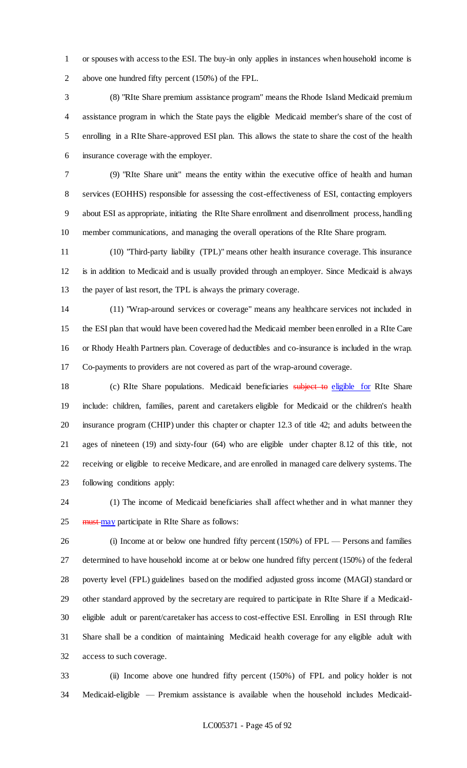or spouses with access to the ESI. The buy-in only applies in instances when household income is above one hundred fifty percent (150%) of the FPL.

 (8) "RIte Share premium assistance program" means the Rhode Island Medicaid premium assistance program in which the State pays the eligible Medicaid member's share of the cost of enrolling in a RIte Share-approved ESI plan. This allows the state to share the cost of the health insurance coverage with the employer.

 (9) "RIte Share unit" means the entity within the executive office of health and human services (EOHHS) responsible for assessing the cost-effectiveness of ESI, contacting employers about ESI as appropriate, initiating the RIte Share enrollment and disenrollment process, handling member communications, and managing the overall operations of the RIte Share program.

 (10) "Third-party liability (TPL)" means other health insurance coverage. This insurance is in addition to Medicaid and is usually provided through an employer. Since Medicaid is always the payer of last resort, the TPL is always the primary coverage.

 (11) "Wrap-around services or coverage" means any healthcare services not included in the ESI plan that would have been covered had the Medicaid member been enrolled in a RIte Care or Rhody Health Partners plan. Coverage of deductibles and co-insurance is included in the wrap. Co-payments to providers are not covered as part of the wrap-around coverage.

18 (c) RIte Share populations. Medicaid beneficiaries subject to eligible for RIte Share include: children, families, parent and caretakers eligible for Medicaid or the children's health insurance program (CHIP) under this chapter or chapter 12.3 of title 42; and adults between the ages of nineteen (19) and sixty-four (64) who are eligible under chapter 8.12 of this title, not receiving or eligible to receive Medicare, and are enrolled in managed care delivery systems. The following conditions apply:

 (1) The income of Medicaid beneficiaries shall affect whether and in what manner they 25 must may participate in RIte Share as follows:

 (i) Income at or below one hundred fifty percent (150%) of FPL — Persons and families determined to have household income at or below one hundred fifty percent (150%) of the federal poverty level (FPL) guidelines based on the modified adjusted gross income (MAGI) standard or other standard approved by the secretary are required to participate in RIte Share if a Medicaid- eligible adult or parent/caretaker has access to cost-effective ESI. Enrolling in ESI through RIte Share shall be a condition of maintaining Medicaid health coverage for any eligible adult with access to such coverage.

 (ii) Income above one hundred fifty percent (150%) of FPL and policy holder is not Medicaid-eligible — Premium assistance is available when the household includes Medicaid-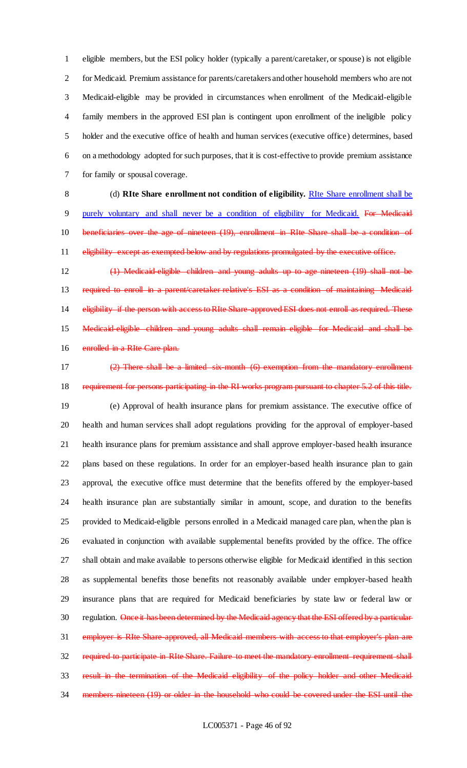eligible members, but the ESI policy holder (typically a parent/caretaker, or spouse) is not eligible for Medicaid. Premium assistance for parents/caretakers and other household members who are not Medicaid-eligible may be provided in circumstances when enrollment of the Medicaid-eligible family members in the approved ESI plan is contingent upon enrollment of the ineligible policy holder and the executive office of health and human services (executive office) determines, based on a methodology adopted for such purposes, that it is cost-effective to provide premium assistance for family or spousal coverage.

 (d) **RIte Share enrollment not condition of eligibility.** RIte Share enrollment shall be 9 purely voluntary and shall never be a condition of eligibility for Medicaid. For Medicaid beneficiaries over the age of nineteen (19), enrollment in RIte Share shall be a condition of eligibility except as exempted below and by regulations promulgated by the executive office.

 (1) Medicaid-eligible children and young adults up to age nineteen (19) shall not be required to enroll in a parent/caretaker relative's ESI as a condition of maintaining Medicaid 14 eligibility if the person with access to RIte Share-approved ESI does not enroll as required. These Medicaid-eligible children and young adults shall remain eligible for Medicaid and shall be 16 enrolled in a RIte Care plan.

 (2) There shall be a limited six-month (6) exemption from the mandatory enrollment requirement for persons participating in the RI works program pursuant to chapter 5.2 of this title. (e) Approval of health insurance plans for premium assistance. The executive office of health and human services shall adopt regulations providing for the approval of employer-based health insurance plans for premium assistance and shall approve employer-based health insurance plans based on these regulations. In order for an employer-based health insurance plan to gain approval, the executive office must determine that the benefits offered by the employer-based health insurance plan are substantially similar in amount, scope, and duration to the benefits provided to Medicaid-eligible persons enrolled in a Medicaid managed care plan, when the plan is evaluated in conjunction with available supplemental benefits provided by the office. The office shall obtain and make available to persons otherwise eligible for Medicaid identified in this section as supplemental benefits those benefits not reasonably available under employer-based health insurance plans that are required for Medicaid beneficiaries by state law or federal law or 30 regulation. Once it has been determined by the Medicaid agency that the ESI offered by a particular employer is RIte Share-approved, all Medicaid members with access to that employer's plan are 32 required to participate in RIte Share. Failure to meet the mandatory enrollment requirement shall result in the termination of the Medicaid eligibility of the policy holder and other Medicaid members nineteen (19) or older in the household who could be covered under the ESI until the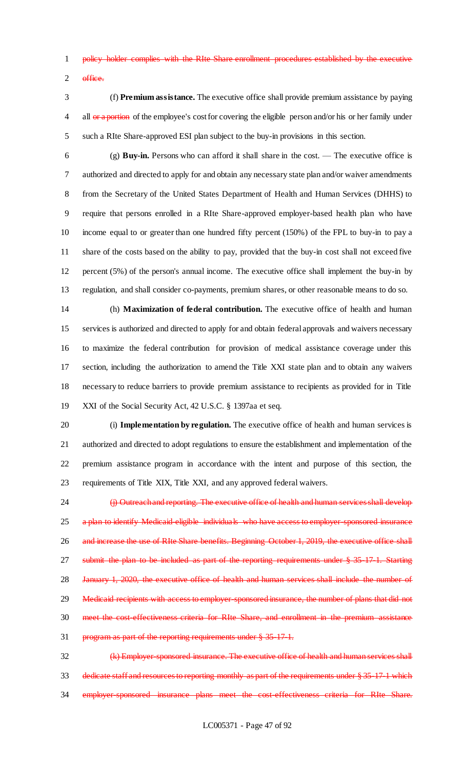policy holder complies with the RIte Share enrollment procedures established by the executive 2 office.

 (f) **Premium assistance.** The executive office shall provide premium assistance by paying 4 all or a portion of the employee's cost for covering the eligible person and/or his or her family under such a RIte Share-approved ESI plan subject to the buy-in provisions in this section.

 (g) **Buy-in.** Persons who can afford it shall share in the cost. — The executive office is authorized and directed to apply for and obtain any necessary state plan and/or waiver amendments from the Secretary of the United States Department of Health and Human Services (DHHS) to require that persons enrolled in a RIte Share-approved employer-based health plan who have income equal to or greater than one hundred fifty percent (150%) of the FPL to buy-in to pay a share of the costs based on the ability to pay, provided that the buy-in cost shall not exceed five percent (5%) of the person's annual income. The executive office shall implement the buy-in by regulation, and shall consider co-payments, premium shares, or other reasonable means to do so.

 (h) **Maximization of federal contribution.** The executive office of health and human services is authorized and directed to apply for and obtain federal approvals and waivers necessary to maximize the federal contribution for provision of medical assistance coverage under this section, including the authorization to amend the Title XXI state plan and to obtain any waivers necessary to reduce barriers to provide premium assistance to recipients as provided for in Title XXI of the Social Security Act, 42 U.S.C. § 1397aa et seq.

 (i) **Implementation by regulation.** The executive office of health and human services is authorized and directed to adopt regulations to ensure the establishment and implementation of the premium assistance program in accordance with the intent and purpose of this section, the requirements of Title XIX, Title XXI, and any approved federal waivers.

24 (j) Outreach and reporting. The executive office of health and human services shall develop 25 a plan to identify Medicaid eligible individuals who have access to employer-sponsored insurance 26 and increase the use of RIte Share benefits. Beginning October 1, 2019, the executive office shall 27 submit the plan to be included as part of the reporting requirements under § 35-17-1. Starting 28 January 1, 2020, the executive office of health and human services shall include the number of 29 Medicaid recipients with access to employer-sponsored insurance, the number of plans that did not 30 meet the cost effectiveness criteria for RIte Share, and enrollment in the premium assistance program as part of the reporting requirements under § 35-17-1.

32 (k) Employer-sponsored insurance. The executive office of health and human services shall dedicate staff and resources to reporting monthly as part of the requirements under § 35-17-1 which 34 employer-sponsored insurance plans meet the cost-effectiveness criteria for RIte Share.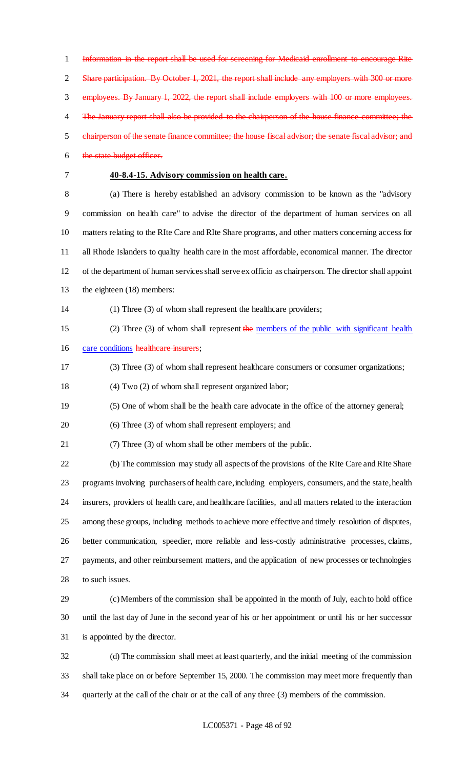Information in the report shall be used for screening for Medicaid enrollment to encourage Rite 2 Share participation. By October 1, 2021, the report shall include any employers with 300 or more employees. By January 1, 2022, the report shall include employers with 100 or more employees. 4 The January report shall also be provided to the chairperson of the house finance committee; the chairperson of the senate finance committee; the house fiscal advisor; the senate fiscal advisor; and the state budget officer. **40-8.4-15. Advisory commission on health care.** (a) There is hereby established an advisory commission to be known as the "advisory commission on health care" to advise the director of the department of human services on all matters relating to the RIte Care and RIte Share programs, and other matters concerning access for all Rhode Islanders to quality health care in the most affordable, economical manner. The director of the department of human services shall serve ex officio as chairperson. The director shall appoint the eighteen (18) members: (1) Three (3) of whom shall represent the healthcare providers; 15 (2) Three (3) of whom shall represent the members of the public with significant health 16 care conditions healthcare insurers; (3) Three (3) of whom shall represent healthcare consumers or consumer organizations; (4) Two (2) of whom shall represent organized labor; (5) One of whom shall be the health care advocate in the office of the attorney general; (6) Three (3) of whom shall represent employers; and (7) Three (3) of whom shall be other members of the public. (b) The commission may study all aspects of the provisions of the RIte Care and RIte Share programs involving purchasers of health care, including employers, consumers, and the state, health insurers, providers of health care, and healthcare facilities, and all matters related to the interaction among these groups, including methods to achieve more effective and timely resolution of disputes, better communication, speedier, more reliable and less-costly administrative processes, claims, payments, and other reimbursement matters, and the application of new processes or technologies 28 to such issues. (c) Members of the commission shall be appointed in the month of July, each to hold office until the last day of June in the second year of his or her appointment or until his or her successor is appointed by the director. (d) The commission shall meet at least quarterly, and the initial meeting of the commission shall take place on or before September 15, 2000. The commission may meet more frequently than

quarterly at the call of the chair or at the call of any three (3) members of the commission.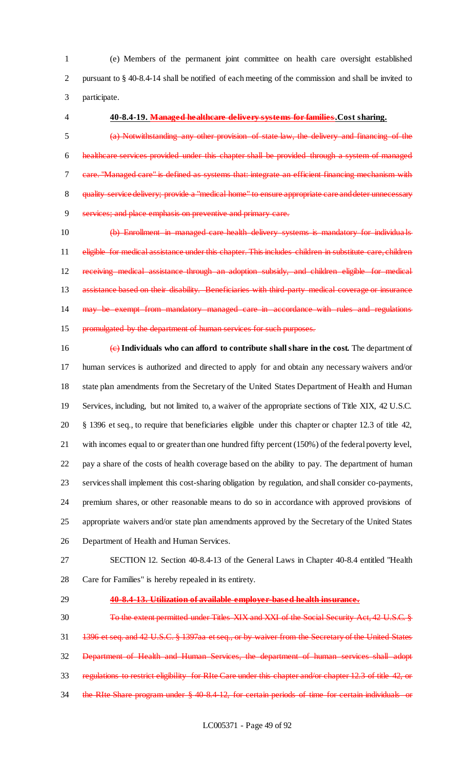(e) Members of the permanent joint committee on health care oversight established pursuant to § 40-8.4-14 shall be notified of each meeting of the commission and shall be invited to participate.

### **40-8.4-19. Managed healthcare delivery systems for families.Cost sharing.**

 (a) Notwithstanding any other provision of state law, the delivery and financing of the healthcare services provided under this chapter shall be provided through a system of managed care. "Managed care" is defined as systems that: integrate an efficient financing mechanism with 8 quality service delivery; provide a "medical home" to ensure appropriate care and deter unnecessary services; and place emphasis on preventive and primary care.

 (b) Enrollment in managed care health delivery systems is mandatory for individua ls 11 eligible for medical assistance under this chapter. This includes children in substitute care, children receiving medical assistance through an adoption subsidy, and children eligible for medical 13 assistance based on their disability. Beneficiaries with third-party medical coverage or insurance may be exempt from mandatory managed care in accordance with rules and regulations promulgated by the department of human services for such purposes.

 (c) **Individuals who can afford to contribute shall share in the cost.** The department of human services is authorized and directed to apply for and obtain any necessary waivers and/or state plan amendments from the Secretary of the United States Department of Health and Human Services, including, but not limited to, a waiver of the appropriate sections of Title XIX, 42 U.S.C. § 1396 et seq., to require that beneficiaries eligible under this chapter or chapter 12.3 of title 42, with incomes equal to or greater than one hundred fifty percent (150%) of the federal poverty level, pay a share of the costs of health coverage based on the ability to pay. The department of human services shall implement this cost-sharing obligation by regulation, and shall consider co-payments, premium shares, or other reasonable means to do so in accordance with approved provisions of appropriate waivers and/or state plan amendments approved by the Secretary of the United States Department of Health and Human Services.

- SECTION 12. Section 40-8.4-13 of the General Laws in Chapter 40-8.4 entitled "Health Care for Families" is hereby repealed in its entirety.
- 

## **40-8.4-13. Utilization of available employer-based health insurance.**

 To the extent permitted under Titles XIX and XXI of the Social Security Act, 42 U.S.C. § 1396 et seq. and 42 U.S.C. § 1397aa et seq., or by waiver from the Secretary of the United States Department of Health and Human Services, the department of human services shall adopt regulations to restrict eligibility for RIte Care under this chapter and/or chapter 12.3 of title 42, or 34 the RIte Share program under § 40-8.4-12, for certain periods of time for certain individuals or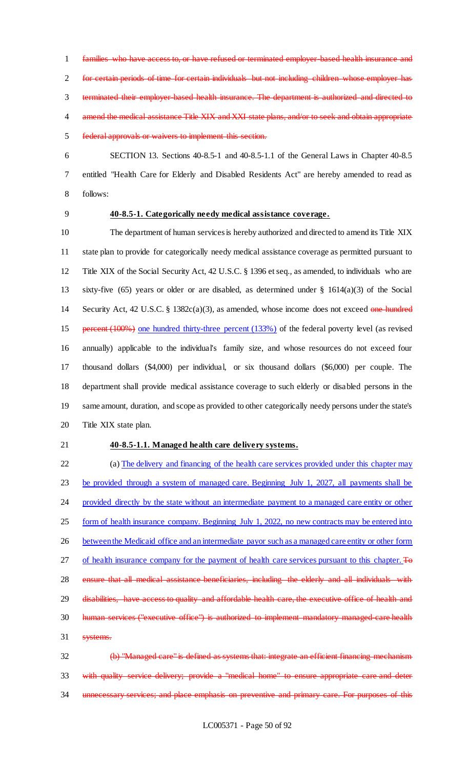families who have access to, or have refused or terminated employer-based health insurance and for certain periods of time for certain individuals but not including children whose employer has terminated their employer-based health insurance. The department is authorized and directed to 4 amend the medical assistance Title XIX and XXI state plans, and/or to seek and obtain appropriate federal approvals or waivers to implement this section.

 SECTION 13. Sections 40-8.5-1 and 40-8.5-1.1 of the General Laws in Chapter 40-8.5 entitled "Health Care for Elderly and Disabled Residents Act" are hereby amended to read as follows:

## **40-8.5-1. Categorically needy medical assistance coverage.**

 The department of human services is hereby authorized and directed to amend its Title XIX state plan to provide for categorically needy medical assistance coverage as permitted pursuant to Title XIX of the Social Security Act, 42 U.S.C. § 1396 et seq., as amended, to individuals who are sixty-five (65) years or older or are disabled, as determined under § 1614(a)(3) of the Social 14 Security Act, 42 U.S.C. § 1382c(a)(3), as amended, whose income does not exceed one hundred percent (100%) one hundred thirty-three percent (133%) of the federal poverty level (as revised annually) applicable to the individual's family size, and whose resources do not exceed four thousand dollars (\$4,000) per individual, or six thousand dollars (\$6,000) per couple. The department shall provide medical assistance coverage to such elderly or disabled persons in the same amount, duration, and scope as provided to other categorically needy persons under the state's Title XIX state plan.

## **40-8.5-1.1. Managed health care delivery systems.**

 (a) The delivery and financing of the health care services provided under this chapter may be provided through a system of managed care. Beginning July 1, 2027, all payments shall be 24 provided directly by the state without an intermediate payment to a managed care entity or other form of health insurance company. Beginning July 1, 2022, no new contracts may be entered into 26 between the Medicaid office and an intermediate payor such as a managed care entity or other form of health insurance company for the payment of health care services pursuant to this chapter. To 28 ensure that all medical assistance beneficiaries, including the elderly and all individuals with 29 disabilities, have access to quality and affordable health care, the executive office of health and human services ("executive office") is authorized to implement mandatory managed-care health systems.

 (b) "Managed care" is defined as systems that: integrate an efficient financing mechanism with quality service delivery; provide a "medical home" to ensure appropriate care and deter unnecessary services; and place emphasis on preventive and primary care. For purposes of this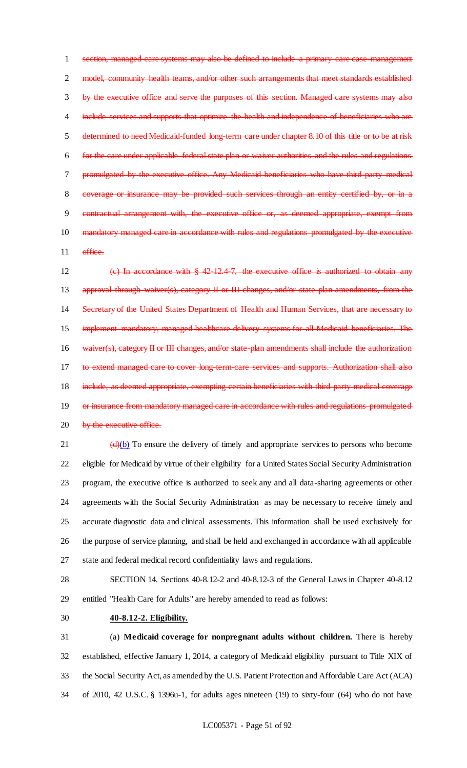section, managed care systems may also be defined to include a primary care case-management 2 model, community health teams, and/or other such arrangements that meet standards established by the executive office and serve the purposes of this section. Managed care systems may also 4 include services and supports that optimize the health and independence of beneficiaries who are determined to need Medicaid-funded long-term care under chapter 8.10 of this title or to be at risk for the care under applicable federal state plan or waiver authorities and the rules and regulations promulgated by the executive office. Any Medicaid beneficiaries who have third-party medical coverage or insurance may be provided such services through an entity certified by, or in a contractual arrangement with, the executive office or, as deemed appropriate, exempt from mandatory managed care in accordance with rules and regulations promulgated by the executive 11 office.

 (c) In accordance with § 42-12.4-7, the executive office is authorized to obtain any 13 approval through waiver(s), category II or III changes, and/or state-plan amendments, from the Secretary of the United States Department of Health and Human Services, that are necessary to implement mandatory, managed healthcare delivery systems for all Medicaid beneficiaries. The 16 waiver(s), category II or III changes, and/or state plan amendments shall include the authorization 17 to extend managed care to cover long-term-care services and supports. Authorization shall also 18 include, as deemed appropriate, exempting certain beneficiaries with third-party medical coverage 19 or insurance from mandatory managed care in accordance with rules and regulations promulgated 20 by the executive office.

 $(d)(b)$  To ensure the delivery of timely and appropriate services to persons who become eligible for Medicaid by virtue of their eligibility for a United States Social Security Administration program, the executive office is authorized to seek any and all data-sharing agreements or other agreements with the Social Security Administration as may be necessary to receive timely and accurate diagnostic data and clinical assessments. This information shall be used exclusively for the purpose of service planning, and shall be held and exchanged in accordance with all applicable state and federal medical record confidentiality laws and regulations.

 SECTION 14. Sections 40-8.12-2 and 40-8.12-3 of the General Laws in Chapter 40-8.12 entitled "Health Care for Adults" are hereby amended to read as follows:

**40-8.12-2. Eligibility.**

 (a) **Medicaid coverage for nonpregnant adults without children.** There is hereby established, effective January 1, 2014, a category of Medicaid eligibility pursuant to Title XIX of the Social Security Act, as amended by the U.S. Patient Protection and Affordable Care Act (ACA) of 2010, 42 U.S.C. § 1396u-1, for adults ages nineteen (19) to sixty-four (64) who do not have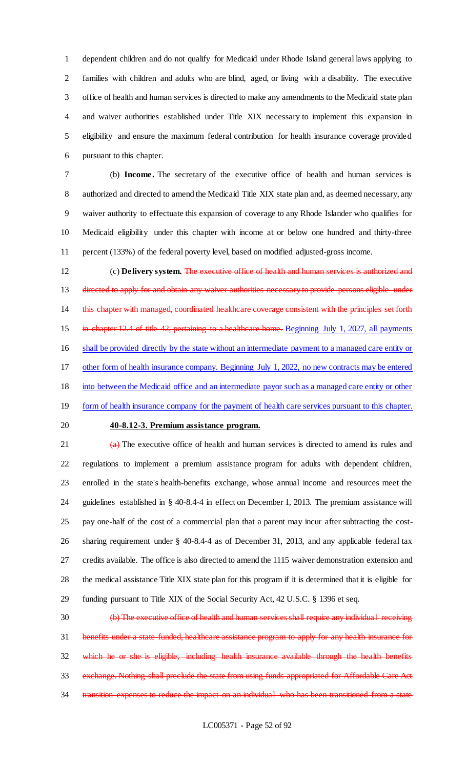dependent children and do not qualify for Medicaid under Rhode Island general laws applying to families with children and adults who are blind, aged, or living with a disability. The executive office of health and human services is directed to make any amendments to the Medicaid state plan and waiver authorities established under Title XIX necessary to implement this expansion in eligibility and ensure the maximum federal contribution for health insurance coverage provided pursuant to this chapter.

 (b) **Income.** The secretary of the executive office of health and human services is 8 authorized and directed to amend the Medicaid Title XIX state plan and, as deemed necessary, any waiver authority to effectuate this expansion of coverage to any Rhode Islander who qualifies for Medicaid eligibility under this chapter with income at or below one hundred and thirty-three percent (133%) of the federal poverty level, based on modified adjusted-gross income.

 (c) **Delivery system.** The executive office of health and human services is authorized and 13 directed to apply for and obtain any waiver authorities necessary to provide persons eligible under 14 this chapter with managed, coordinated healthcare coverage consistent with the principles set forth 15 in chapter 12.4 of title 42, pertaining to a healthcare home. Beginning July 1, 2027, all payments shall be provided directly by the state without an intermediate payment to a managed care entity or other form of health insurance company. Beginning July 1, 2022, no new contracts may be entered into between the Medicaid office and an intermediate payor such as a managed care entity or other 19 form of health insurance company for the payment of health care services pursuant to this chapter.

### **40-8.12-3. Premium assistance program.**

 $\left(\frac{a}{b}\right)$  The executive office of health and human services is directed to amend its rules and regulations to implement a premium assistance program for adults with dependent children, enrolled in the state's health-benefits exchange, whose annual income and resources meet the guidelines established in § 40-8.4-4 in effect on December 1, 2013. The premium assistance will pay one-half of the cost of a commercial plan that a parent may incur after subtracting the cost- sharing requirement under § 40-8.4-4 as of December 31, 2013, and any applicable federal tax credits available. The office is also directed to amend the 1115 waiver demonstration extension and the medical assistance Title XIX state plan for this program if it is determined that it is eligible for funding pursuant to Title XIX of the Social Security Act, 42 U.S.C. § 1396 et seq.

 (b) The executive office of health and human services shall require any individual receiving benefits under a state-funded, healthcare assistance program to apply for any health insurance for which he or she is eligible, including health insurance available through the health benefits exchange. Nothing shall preclude the state from using funds appropriated for Affordable Care Act 34 transition expenses to reduce the impact on an individual who has been transitioned from a state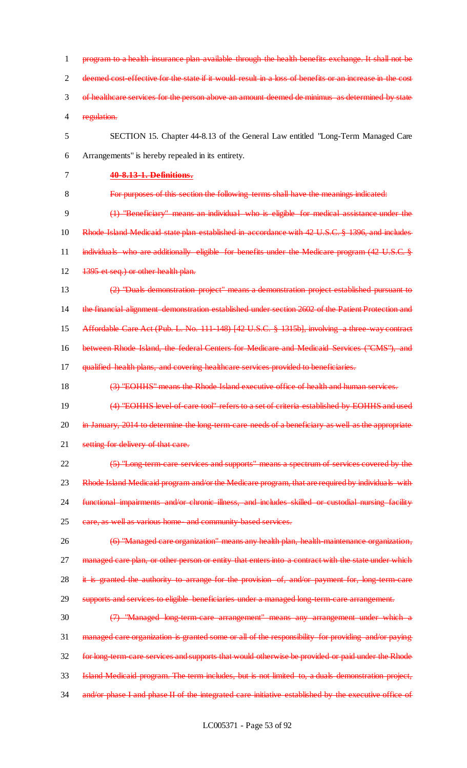1 program to a health insurance plan available through the health benefits exchange. It shall not be 2 deemed cost-effective for the state if it would result in a loss of benefits or an increase in the cost 3 of healthcare services for the person above an amount deemed de minimus as determined by state 4 regulation. 5 SECTION 15. Chapter 44-8.13 of the General Law entitled "Long-Term Managed Care 6 Arrangements" is hereby repealed in its entirety. 7 **40-8.13-1. Definitions.** 8 For purposes of this section the following terms shall have the meanings indicated: 9 (1) "Beneficiary" means an individual who is eligible for medical assistance under the 10 Rhode Island Medicaid state plan established in accordance with 42 U.S.C. § 1396, and includes 11 individuals who are additionally eligible for benefits under the Medicare program (42 U.S.C. § 12 1395 et seq.) or other health plan. 13 (2) "Duals demonstration project" means a demonstration project established pursuant to 14 the financial alignment demonstration established under section 2602 of the Patient Protection and 15 Affordable Care Act (Pub. L. No. 111-148) [42 U.S.C. § 1315b], involving a three-way contract 16 between Rhode Island, the federal Centers for Medicare and Medicaid Services ("CMS"), and 17 qualified health plans, and covering healthcare services provided to beneficiaries. 18 (3) "EOHHS" means the Rhode Island executive office of health and human services. 19 (4) "EOHHS level-of-care tool" refers to a set of criteria established by EOHHS and used 20 in January, 2014 to determine the long-term-care needs of a beneficiary as well as the appropriate 21 setting for delivery of that care. 22 (5) "Long-term-care services and supports" means a spectrum of services covered by the 23 Rhode Island Medicaid program and/or the Medicare program, that are required by individuals with 24 functional impairments and/or chronic illness, and includes skilled or custodial nursing facility 25 eare, as well as various home and community based services. 26 (6) "Managed care organization" means any health plan, health-maintenance organization, 27 managed care plan, or other person or entity that enters into a contract with the state under which 28 it is granted the authority to arrange for the provision of, and/or payment for, long-term-care 29 supports and services to eligible beneficiaries under a managed long-term-care arrangement. 30 (7) "Managed long-term-care arrangement" means any arrangement under which a 31 managed care organization is granted some or all of the responsibility for providing and/or paying 32 for long-term-care services and supports that would otherwise be provided or paid under the Rhode 33 Island Medicaid program. The term includes, but is not limited to, a duals demonstration project, 34 and/or phase I and phase II of the integrated care initiative established by the executive office of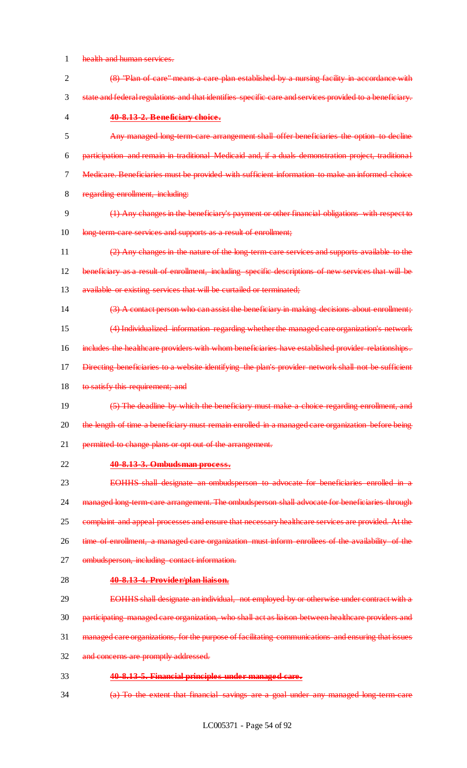## health and human services.

| $\overline{2}$ | (8) "Plan of care" means a care plan established by a nursing facility in accordance with               |
|----------------|---------------------------------------------------------------------------------------------------------|
| 3              | state and federal regulations and that identifies specific care and services provided to a beneficiary. |
| $\overline{4}$ | 40-8.13-2. Beneficiary choice.                                                                          |
| 5              | Any managed long term care arrangement shall offer beneficiaries the option to decline                  |
| 6              | participation and remain in traditional Medicaid and, if a duals demonstration project, traditional     |
| 7              | Medicare. Beneficiaries must be provided with sufficient information to make an informed choice         |
| 8              | regarding enrollment, including:                                                                        |
| 9              | (1) Any changes in the beneficiary's payment or other financial obligations with respect to             |
| 10             | long term care services and supports as a result of enrollment;                                         |
| 11             | (2) Any changes in the nature of the long-term-care services and supports available to the              |
| 12             | beneficiary as a result of enrollment, including specific descriptions of new services that will be     |
| 13             | available or existing services that will be curtailed or terminated;                                    |
| 14             | (3) A contact person who can assist the beneficiary in making decisions about enrollment;               |
| 15             | (4) Individualized information regarding whether the managed care organization's network                |
| 16             | includes the healthcare providers with whom beneficiaries have established provider relationships.      |
| 17             | Directing beneficiaries to a website identifying the plan's provider network shall not be sufficient    |
| 18             | to satisfy this requirement; and                                                                        |
| 19             | (5) The deadline by which the beneficiary must make a choice regarding enrollment, and                  |
| 20             | the length of time a beneficiary must remain enrolled in a managed care organization before being       |
| 21             | permitted to change plans or opt out of the arrangement.                                                |
| 22             | 40-8.13-3. Ombudsman process.                                                                           |
| 23             | EOHHS shall designate an ombudsperson to advocate for beneficiaries enrolled in a                       |
| 24             | managed long term care arrangement. The ombudsperson shall advocate for beneficiaries through           |
| 25             | complaint and appeal processes and ensure that necessary healthcare services are provided. At the       |
| 26             | time of enrollment, a managed care organization must inform enrollees of the availability of the        |
| 27             | ombudsperson, including contact information.                                                            |
| 28             | 40-8.13-4. Provider/plan liaison.                                                                       |
| 29             | EOHHS shall designate an individual, not employed by or otherwise under contract with a                 |
| 30             | participating managed care organization, who shall act as liaison between healthcare providers and      |
| 31             | managed care organizations, for the purpose of facilitating communications and ensuring that issues     |
| 32             | and concerns are promptly addressed.                                                                    |
| 33             | 40-8.13-5. Financial principles under managed care.                                                     |
| 34             | (a) To the extent that financial savings are a goal under any managed long term care                    |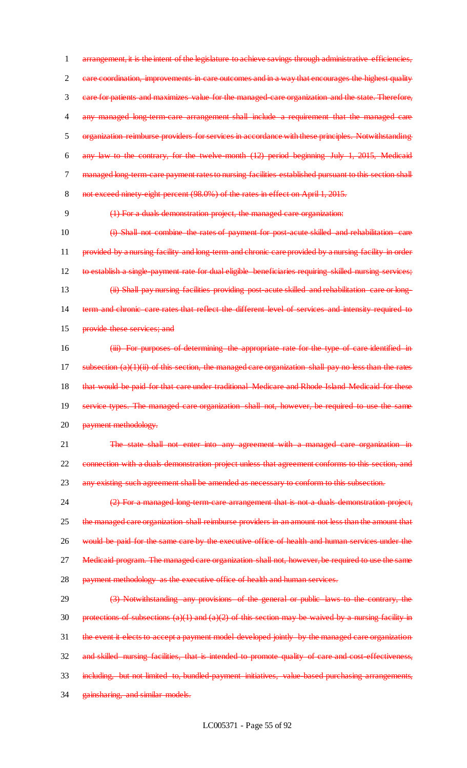arrangement, it is the intent of the legislature to achieve savings through administrative efficiencies, 2 care coordination, improvements in care outcomes and in a way that encourages the highest quality care for patients and maximizes value for the managed-care organization and the state. Therefore, 4 any managed long-term-care arrangement shall include a requirement that the managed care organization reimburse providers for services in accordance with these principles. Notwithstanding any law to the contrary, for the twelve-month (12) period beginning July 1, 2015, Medicaid managed long-term-care payment rates to nursing facilities established pursuant to this section shall 8 not exceed ninety-eight percent (98.0%) of the rates in effect on April 1, 2015.

9 (1) For a duals demonstration project, the managed care organization:

 (i) Shall not combine the rates of payment for post-acute skilled and rehabilitation care 11 provided by a nursing facility and long-term and chronic care provided by a nursing facility in order to establish a single-payment rate for dual eligible beneficiaries requiring skilled nursing services; (ii) Shall pay nursing facilities providing post-acute skilled and rehabilitation care or long- term and chronic care rates that reflect the different level of services and intensity required to provide these services; and

16 (iii) For purposes of determining the appropriate rate for the type of care identified in 17 subsection (a)(1)(ii) of this section, the managed care organization shall pay no less than the rates 18 that would be paid for that care under traditional Medicare and Rhode Island Medicaid for these 19 service types. The managed care organization shall not, however, be required to use the same 20 payment methodology.

21 The state shall not enter into any agreement with a managed care organization in 22 connection with a duals demonstration project unless that agreement conforms to this section, and 23 any existing such agreement shall be amended as necessary to conform to this subsection.

24 (2) For a managed long-term-care arrangement that is not a duals demonstration project, 25 the managed care organization shall reimburse providers in an amount not less than the amount that 26 would be paid for the same care by the executive office of health and human services under the 27 Medicaid program. The managed care organization shall not, however, be required to use the same 28 payment methodology as the executive office of health and human services.

29 (3) Notwithstanding any provisions of the general or public laws to the contrary, the 30 protections of subsections  $(a)(1)$  and  $(a)(2)$  of this section may be waived by a nursing facility in 31 the event it elects to accept a payment model developed jointly by the managed care organization 32 and skilled nursing facilities, that is intended to promote quality of care and cost-effectiveness, 33 including, but not limited to, bundled-payment initiatives, value-based purchasing arrangements, 34 gainsharing, and similar models.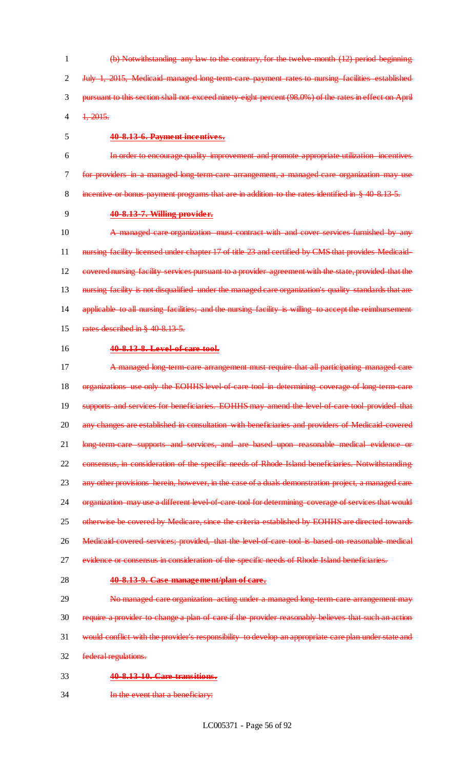(b) Notwithstanding any law to the contrary, for the twelve-month (12) period beginning July 1, 2015, Medicaid managed long-term-care payment rates to nursing facilities established pursuant to this section shall not exceed ninety-eight percent (98.0%) of the rates in effect on April 4 1, 2015.

## 5 **40-8.13-6. Payment incentives.**

6 In order to encourage quality improvement and promote appropriate utilization incentives 7 for providers in a managed long-term-care arrangement, a managed care organization may use 8 incentive or bonus payment programs that are in addition to the rates identified in § 40-8.13-5.

## 9 **40-8.13-7. Willing provider.**

10 A managed care organization must contract with and cover services furnished by any 11 nursing facility licensed under chapter 17 of title 23 and certified by CMS that provides Medicaid-12 covered nursing facility services pursuant to a provider agreement with the state, provided that the 13 nursing facility is not disqualified under the managed care organization's quality standards that are 14 applicable to all nursing facilities; and the nursing facility is willing to accept the reimbursement 15 rates described in § 40 8.13-5.

### 16 **40-8.13-8. Level-of-care tool.**

17 A managed long-term-care arrangement must require that all participating managed care 18 organizations use only the EOHHS level of care tool in determining coverage of long-term-care 19 supports and services for beneficiaries. EOHHS may amend the level-of-care tool provided that 20 any changes are established in consultation with beneficiaries and providers of Medicaid covered 21 long-term-care supports and services, and are based upon reasonable medical evidence or 22 consensus, in consideration of the specific needs of Rhode Island beneficiaries. Notwithstanding 23 any other provisions herein, however, in the case of a duals demonstration project, a managed care 24 organization may use a different level of care tool for determining coverage of services that would 25 otherwise be covered by Medicare, since the criteria established by EOHHS are directed towards 26 Medicaid-covered services; provided, that the level-of-care tool is based on reasonable medical 27 evidence or consensus in consideration of the specific needs of Rhode Island beneficiaries.

### 28 **40-8.13-9. Case management/plan of care.**

29 No managed care organization acting under a managed long-term-care arrangement may require a provider to change a plan of care if the provider reasonably believes that such an action would conflict with the provider's responsibility to develop an appropriate care plan under state and federal regulations.

- 33 **40-8.13-10. Care transitions.**
- 34 **In the event that a beneficiary:**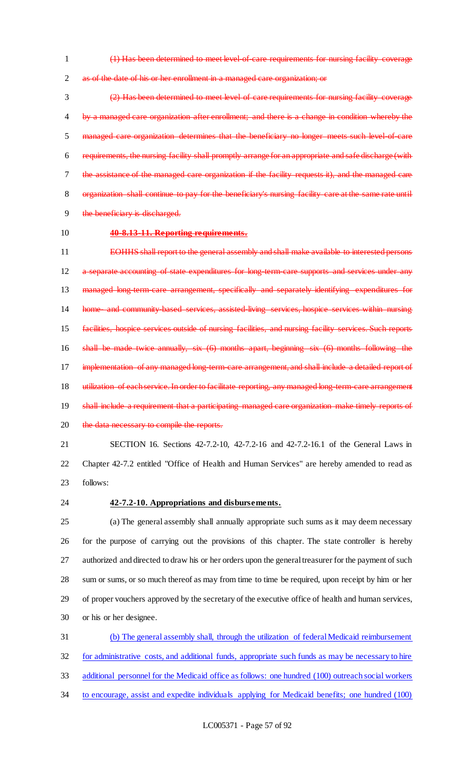(1) Has been determined to meet level-of-care requirements for nursing facility coverage 2 as of the date of his or her enrollment in a managed care organization; or

 (2) Has been determined to meet level of care requirements for nursing facility coverage 4 by a managed care organization after enrollment; and there is a change in condition whereby the 5 managed care organization determines that the beneficiary no longer meets such level of care requirements, the nursing facility shall promptly arrange for an appropriate and safe discharge (with the assistance of the managed care organization if the facility requests it), and the managed care organization shall continue to pay for the beneficiary's nursing facility care at the same rate until 9 the beneficiary is discharged.

## **40-8.13-11. Reporting requirements.**

11 EOHHS shall report to the general assembly and shall make available to interested persons 12 a separate accounting of state expenditures for long-term-care supports and services under any 13 managed long-term-care arrangement, specifically and separately identifying expenditures for 14 home and community based services, assisted-living services, hospice services within nursing facilities, hospice services outside of nursing facilities, and nursing facility services. Such reports shall be made twice annually, six (6) months apart, beginning six (6) months following the 17 implementation of any managed long-term-care arrangement, and shall include a detailed report of 18 utilization of each service. In order to facilitate reporting, any managed long-term-care arrangement 19 shall include a requirement that a participating managed care organization make timely reports of 20 the data necessary to compile the reports.

 SECTION 16. Sections 42-7.2-10, 42-7.2-16 and 42-7.2-16.1 of the General Laws in Chapter 42-7.2 entitled "Office of Health and Human Services" are hereby amended to read as follows:

## **42-7.2-10. Appropriations and disbursements.**

 (a) The general assembly shall annually appropriate such sums as it may deem necessary for the purpose of carrying out the provisions of this chapter. The state controller is hereby authorized and directed to draw his or her orders upon the general treasurer for the payment of such sum or sums, or so much thereof as may from time to time be required, upon receipt by him or her of proper vouchers approved by the secretary of the executive office of health and human services, or his or her designee.

 (b) The general assembly shall, through the utilization of federal Medicaid reimbursement for administrative costs, and additional funds, appropriate such funds as may be necessary to hire additional personnel for the Medicaid office as follows: one hundred (100) outreach social workers to encourage, assist and expedite individuals applying for Medicaid benefits; one hundred (100)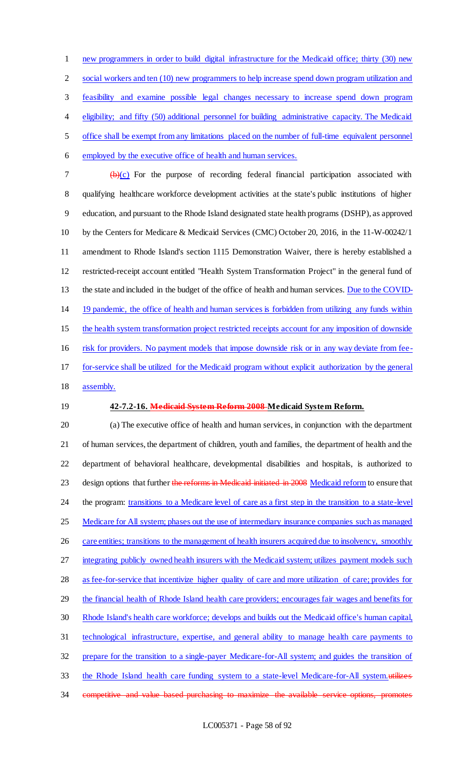new programmers in order to build digital infrastructure for the Medicaid office; thirty (30) new 2 social workers and ten (10) new programmers to help increase spend down program utilization and feasibility and examine possible legal changes necessary to increase spend down program eligibility; and fifty (50) additional personnel for building administrative capacity. The Medicaid office shall be exempt from any limitations placed on the number of full-time equivalent personnel employed by the executive office of health and human services.  $7 \left( \frac{b}{c} \right)$  For the purpose of recording federal financial participation associated with qualifying healthcare workforce development activities at the state's public institutions of higher education, and pursuant to the Rhode Island designated state health programs (DSHP), as approved

 by the Centers for Medicare & Medicaid Services (CMC) October 20, 2016, in the 11-W-00242/1 amendment to Rhode Island's section 1115 Demonstration Waiver, there is hereby established a restricted-receipt account entitled "Health System Transformation Project" in the general fund of 13 the state and included in the budget of the office of health and human services. Due to the COVID- 19 pandemic, the office of health and human services is forbidden from utilizing any funds within the health system transformation project restricted receipts account for any imposition of downside risk for providers. No payment models that impose downside risk or in any way deviate from fee-for-service shall be utilized for the Medicaid program without explicit authorization by the general

- assembly.
- 

### **42-7.2-16. Medicaid System Reform 2008 Medicaid System Reform.**

 (a) The executive office of health and human services, in conjunction with the department of human services, the department of children, youth and families, the department of health and the department of behavioral healthcare, developmental disabilities and hospitals, is authorized to 23 design options that further the reforms in Medicaid initiated in 2008 Medicaid reform to ensure that 24 the program: transitions to a Medicare level of care as a first step in the transition to a state-level 25 Medicare for All system; phases out the use of intermediary insurance companies such as managed 26 care entities; transitions to the management of health insurers acquired due to insolvency, smoothly 27 integrating publicly owned health insurers with the Medicaid system; utilizes payment models such as fee-for-service that incentivize higher quality of care and more utilization of care; provides for the financial health of Rhode Island health care providers; encourages fair wages and benefits for Rhode Island's health care workforce; develops and builds out the Medicaid office's human capital, technological infrastructure, expertise, and general ability to manage health care payments to prepare for the transition to a single-payer Medicare-for-All system; and guides the transition of 33 the Rhode Island health care funding system to a state-level Medicare-for-All system.utilizes competitive and value based purchasing to maximize the available service options, promotes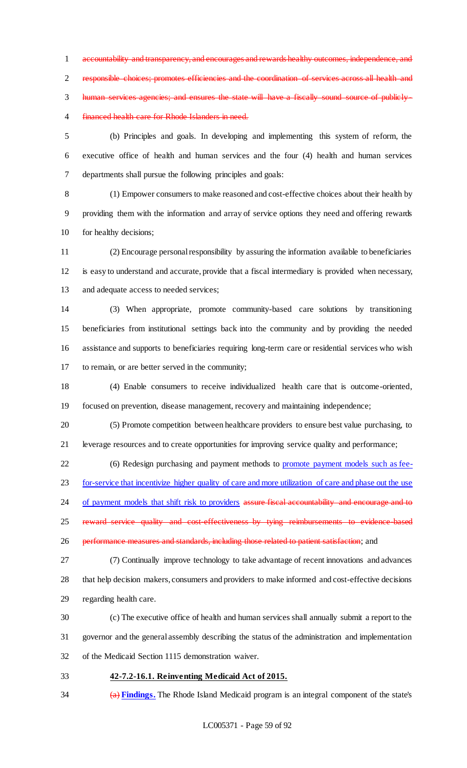accountability and transparency, and encourages and rewards healthy outcomes, independence, and responsible choices; promotes efficiencies and the coordination of services across all health and 3 human services agencies; and ensures the state will have a fiscally sound source of publicly-financed health care for Rhode Islanders in need.

 (b) Principles and goals. In developing and implementing this system of reform, the executive office of health and human services and the four (4) health and human services departments shall pursue the following principles and goals:

 (1) Empower consumers to make reasoned and cost-effective choices about their health by providing them with the information and array of service options they need and offering rewards for healthy decisions;

 (2) Encourage personal responsibility by assuring the information available to beneficiaries is easy to understand and accurate, provide that a fiscal intermediary is provided when necessary, 13 and adequate access to needed services;

 (3) When appropriate, promote community-based care solutions by transitioning beneficiaries from institutional settings back into the community and by providing the needed assistance and supports to beneficiaries requiring long-term care or residential services who wish to remain, or are better served in the community;

 (4) Enable consumers to receive individualized health care that is outcome-oriented, focused on prevention, disease management, recovery and maintaining independence;

 (5) Promote competition between healthcare providers to ensure best value purchasing, to leverage resources and to create opportunities for improving service quality and performance;

(6) Redesign purchasing and payment methods to promote payment models such as fee-

23 for-service that incentivize higher quality of care and more utilization of care and phase out the use

24 of payment models that shift risk to providers assure fiscal accountability and encourage and to

25 reward service quality and cost-effectiveness by tying reimbursements to evidence-based

26 performance measures and standards, including those related to patient satisfaction; and

 (7) Continually improve technology to take advantage of recent innovations and advances that help decision makers, consumers and providers to make informed and cost-effective decisions regarding health care.

 (c) The executive office of health and human services shall annually submit a report to the governor and the general assembly describing the status of the administration and implementation of the Medicaid Section 1115 demonstration waiver.

**42-7.2-16.1. Reinventing Medicaid Act of 2015.**

(a) **Findings.** The Rhode Island Medicaid program is an integral component of the state's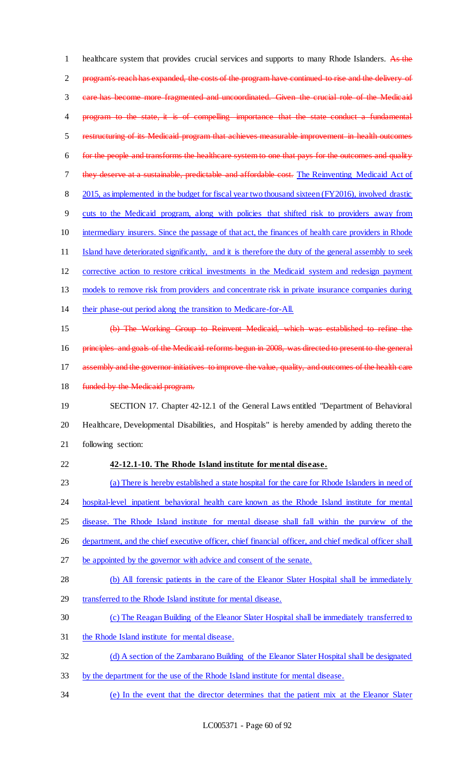1 healthcare system that provides crucial services and supports to many Rhode Islanders. As the program's reach has expanded, the costs of the program have continued to rise and the delivery of care has become more fragmented and uncoordinated. Given the crucial role of the Medicaid 4 program to the state, it is of compelling importance that the state conduct a fundamental restructuring of its Medicaid program that achieves measurable improvement in health outcomes for the people and transforms the healthcare system to one that pays for the outcomes and quality 7 they deserve at a sustainable, predictable and affordable cost. The Reinventing Medicaid Act of 8 2015, as implemented in the budget for fiscal year two thousand sixteen (FY2016), involved drastic cuts to the Medicaid program, along with policies that shifted risk to providers away from intermediary insurers. Since the passage of that act, the finances of health care providers in Rhode Island have deteriorated significantly, and it is therefore the duty of the general assembly to seek corrective action to restore critical investments in the Medicaid system and redesign payment models to remove risk from providers and concentrate risk in private insurance companies during their phase-out period along the transition to Medicare-for-All. (b) The Working Group to Reinvent Medicaid, which was established to refine the 16 principles and goals of the Medicaid reforms begun in 2008, was directed to present to the general 17 assembly and the governor initiatives to improve the value, quality, and outcomes of the health care 18 funded by the Medicaid program. SECTION 17. Chapter 42-12.1 of the General Laws entitled "Department of Behavioral Healthcare, Developmental Disabilities, and Hospitals" is hereby amended by adding thereto the following section: **42-12.1-10. The Rhode Island institute for mental disease.** 23 (a) There is hereby established a state hospital for the care for Rhode Islanders in need of 24 hospital-level inpatient behavioral health care known as the Rhode Island institute for mental disease. The Rhode Island institute for mental disease shall fall within the purview of the 26 department, and the chief executive officer, chief financial officer, and chief medical officer shall 27 be appointed by the governor with advice and consent of the senate. 28 (b) All forensic patients in the care of the Eleanor Slater Hospital shall be immediately

- transferred to the Rhode Island institute for mental disease.
- (c) The Reagan Building of the Eleanor Slater Hospital shall be immediately transferred to
- the Rhode Island institute for mental disease.
- (d) A section of the Zambarano Building of the Eleanor Slater Hospital shall be designated
- by the department for the use of the Rhode Island institute for mental disease.
- (e) In the event that the director determines that the patient mix at the Eleanor Slater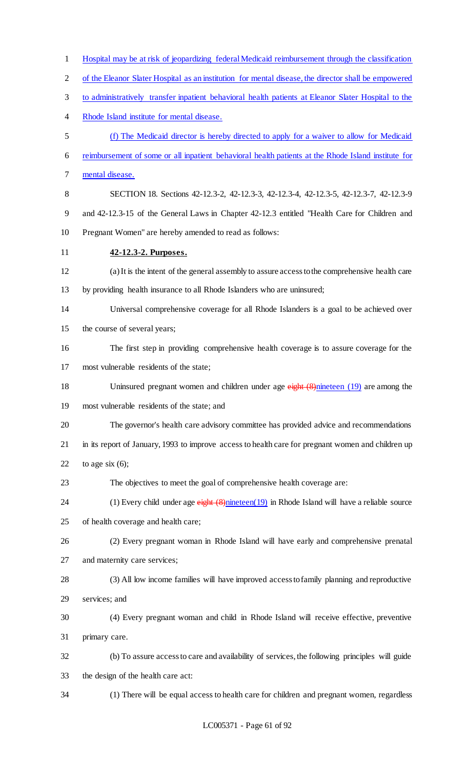| $\mathbf{1}$             | Hospital may be at risk of jeopardizing federal Medicaid reimbursement through the classification    |
|--------------------------|------------------------------------------------------------------------------------------------------|
| $\overline{2}$           | of the Eleanor Slater Hospital as an institution for mental disease, the director shall be empowered |
| 3                        | to administratively transfer inpatient behavioral health patients at Eleanor Slater Hospital to the  |
| $\overline{\mathcal{A}}$ | Rhode Island institute for mental disease.                                                           |
| 5                        | (f) The Medicaid director is hereby directed to apply for a waiver to allow for Medicaid             |
| 6                        | reimbursement of some or all inpatient behavioral health patients at the Rhode Island institute for  |
| 7                        | mental disease.                                                                                      |
| $8\,$                    | SECTION 18. Sections 42-12.3-2, 42-12.3-3, 42-12.3-4, 42-12.3-5, 42-12.3-7, 42-12.3-9                |
| 9                        | and 42-12.3-15 of the General Laws in Chapter 42-12.3 entitled "Health Care for Children and         |
| 10                       | Pregnant Women" are hereby amended to read as follows:                                               |
| 11                       | 42-12.3-2. Purposes.                                                                                 |
| 12                       | (a) It is the intent of the general assembly to assure access to the comprehensive health care       |
| 13                       | by providing health insurance to all Rhode Islanders who are uninsured;                              |
| 14                       | Universal comprehensive coverage for all Rhode Islanders is a goal to be achieved over               |
| 15                       | the course of several years;                                                                         |
| 16                       | The first step in providing comprehensive health coverage is to assure coverage for the              |
| 17                       | most vulnerable residents of the state;                                                              |
| 18                       | Uninsured pregnant women and children under age $e^{i\theta}$ (8) nineteen (19) are among the        |
| 19                       | most vulnerable residents of the state; and                                                          |
| 20                       | The governor's health care advisory committee has provided advice and recommendations                |
| 21                       | in its report of January, 1993 to improve access to health care for pregnant women and children up   |
| 22                       | to age six $(6)$ ;                                                                                   |
| 23                       | The objectives to meet the goal of comprehensive health coverage are:                                |
| 24                       | (1) Every child under age $e^{i\theta}$ (8) nineteen(19) in Rhode Island will have a reliable source |
| 25                       | of health coverage and health care;                                                                  |
| 26                       | (2) Every pregnant woman in Rhode Island will have early and comprehensive prenatal                  |
| 27                       | and maternity care services;                                                                         |
| 28                       | (3) All low income families will have improved access to family planning and reproductive            |
| 29                       | services; and                                                                                        |
| 30                       | (4) Every pregnant woman and child in Rhode Island will receive effective, preventive                |
| 31                       | primary care.                                                                                        |
| 32                       | (b) To assure access to care and availability of services, the following principles will guide       |
| 33                       | the design of the health care act:                                                                   |
| 34                       | (1) There will be equal access to health care for children and pregnant women, regardless            |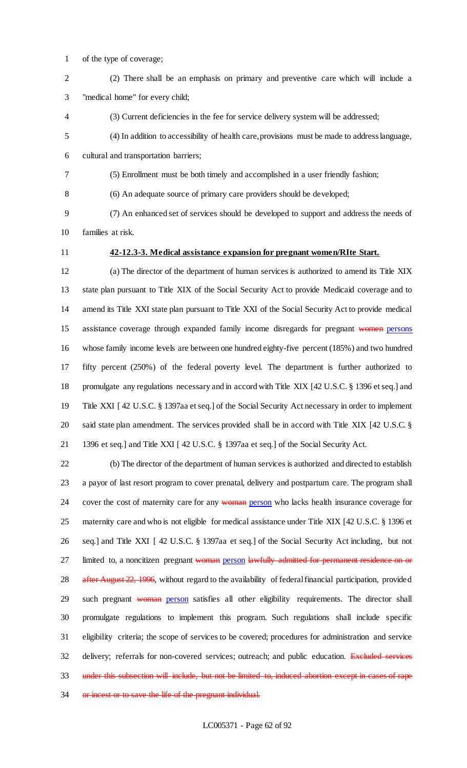- of the type of coverage;
- (2) There shall be an emphasis on primary and preventive care which will include a "medical home" for every child;
- (3) Current deficiencies in the fee for service delivery system will be addressed;
- (4) In addition to accessibility of health care, provisions must be made to address language, cultural and transportation barriers;
- (5) Enrollment must be both timely and accomplished in a user friendly fashion;

(6) An adequate source of primary care providers should be developed;

 (7) An enhanced set of services should be developed to support and address the needs of families at risk.

# **42-12.3-3. Medical assistance expansion for pregnant women/RIte Start.**

 (a) The director of the department of human services is authorized to amend its Title XIX state plan pursuant to Title XIX of the Social Security Act to provide Medicaid coverage and to amend its Title XXI state plan pursuant to Title XXI of the Social Security Act to provide medical 15 assistance coverage through expanded family income disregards for pregnant women persons whose family income levels are between one hundred eighty-five percent (185%) and two hundred fifty percent (250%) of the federal poverty level. The department is further authorized to promulgate any regulations necessary and in accord with Title XIX [42 U.S.C. § 1396 et seq.] and Title XXI [ 42 U.S.C. § 1397aa et seq.] of the Social Security Act necessary in order to implement said state plan amendment. The services provided shall be in accord with Title XIX [42 U.S.C. § 1396 et seq.] and Title XXI [ 42 U.S.C. § 1397aa et seq.] of the Social Security Act.

 (b) The director of the department of human services is authorized and directed to establish a payor of last resort program to cover prenatal, delivery and postpartum care. The program shall 24 cover the cost of maternity care for any woman person who lacks health insurance coverage for maternity care and who is not eligible for medical assistance under Title XIX [42 U.S.C. § 1396 et seq.] and Title XXI [ 42 U.S.C. § 1397aa et seq.] of the Social Security Act including, but not 27 limited to, a noncitizen pregnant woman person lawfully admitted for permanent residence on or 28 after August 22, 1996, without regard to the availability of federal financial participation, provided 29 such pregnant woman person satisfies all other eligibility requirements. The director shall promulgate regulations to implement this program. Such regulations shall include specific eligibility criteria; the scope of services to be covered; procedures for administration and service 32 delivery; referrals for non-covered services; outreach; and public education. Excluded services under this subsection will include, but not be limited to, induced abortion except in cases of rape 34 or incest or to save the life of the pregnant individual.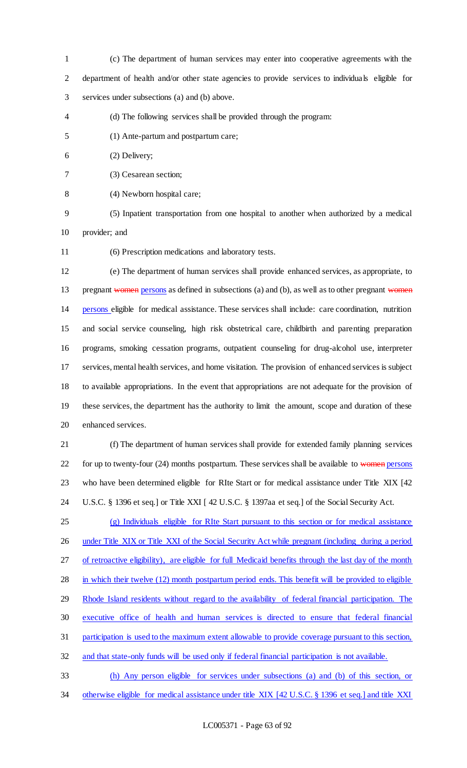- (c) The department of human services may enter into cooperative agreements with the department of health and/or other state agencies to provide services to individuals eligible for services under subsections (a) and (b) above.
- (d) The following services shall be provided through the program:
- (1) Ante-partum and postpartum care;
- (2) Delivery;
- (3) Cesarean section;
- (4) Newborn hospital care;
- 

- (5) Inpatient transportation from one hospital to another when authorized by a medical provider; and
- 

(6) Prescription medications and laboratory tests.

 (e) The department of human services shall provide enhanced services, as appropriate, to 13 pregnant women persons as defined in subsections (a) and (b), as well as to other pregnant women persons eligible for medical assistance. These services shall include: care coordination, nutrition and social service counseling, high risk obstetrical care, childbirth and parenting preparation programs, smoking cessation programs, outpatient counseling for drug-alcohol use, interpreter services, mental health services, and home visitation. The provision of enhanced services is subject to available appropriations. In the event that appropriations are not adequate for the provision of these services, the department has the authority to limit the amount, scope and duration of these enhanced services.

 (f) The department of human services shall provide for extended family planning services 22 for up to twenty-four (24) months postpartum. These services shall be available to women persons who have been determined eligible for RIte Start or for medical assistance under Title XIX [42 U.S.C. § 1396 et seq.] or Title XXI [ 42 U.S.C. § 1397aa et seq.] of the Social Security Act.

 (g) Individuals eligible for RIte Start pursuant to this section or for medical assistance 26 under Title XIX or Title XXI of the Social Security Act while pregnant (including during a period 27 of retroactive eligibility), are eligible for full Medicaid benefits through the last day of the month 28 in which their twelve (12) month postpartum period ends. This benefit will be provided to eligible Rhode Island residents without regard to the availability of federal financial participation. The executive office of health and human services is directed to ensure that federal financial participation is used to the maximum extent allowable to provide coverage pursuant to this section,

- and that state-only funds will be used only if federal financial participation is not available.
- (h) Any person eligible for services under subsections (a) and (b) of this section, or 34 otherwise eligible for medical assistance under title XIX [42 U.S.C. § 1396 et seq.] and title XXI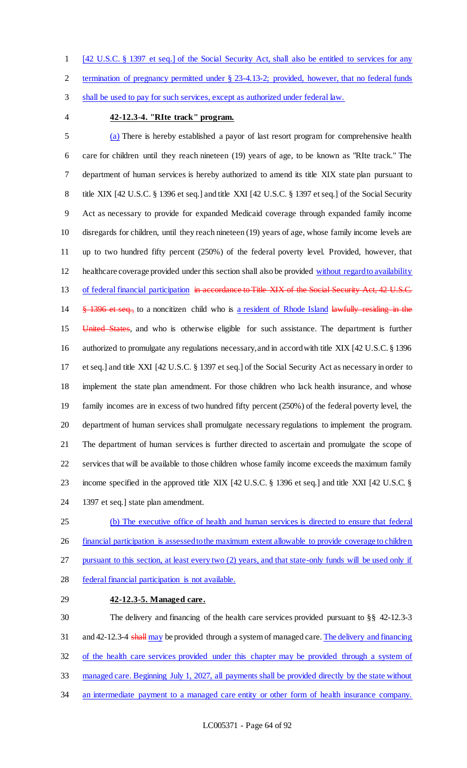[42 U.S.C. § 1397 et seq.] of the Social Security Act, shall also be entitled to services for any

termination of pregnancy permitted under § 23-4.13-2; provided, however, that no federal funds

shall be used to pay for such services, except as authorized under federal law.

### **42-12.3-4. "RIte track" program.**

 (a) There is hereby established a payor of last resort program for comprehensive health care for children until they reach nineteen (19) years of age, to be known as "RIte track." The department of human services is hereby authorized to amend its title XIX state plan pursuant to 8 title XIX [42 U.S.C. § 1396 et seq.] and title XXI [42 U.S.C. § 1397 et seq.] of the Social Security Act as necessary to provide for expanded Medicaid coverage through expanded family income disregards for children, until they reach nineteen (19) years of age, whose family income levels are up to two hundred fifty percent (250%) of the federal poverty level. Provided, however, that healthcare coverage provided under this section shall also be provided without regard to availability 13 of federal financial participation in accordance to Title XIX of the Social Security Act, 42 U.S.C. 14 § 1396 et seq., to a noncitizen child who is a resident of Rhode Island lawfully residing in the 15 United States, and who is otherwise eligible for such assistance. The department is further authorized to promulgate any regulations necessary, and in accord with title XIX [42 U.S.C. § 1396 et seq.] and title XXI [42 U.S.C. § 1397 et seq.] of the Social Security Act as necessary in order to implement the state plan amendment. For those children who lack health insurance, and whose family incomes are in excess of two hundred fifty percent (250%) of the federal poverty level, the department of human services shall promulgate necessary regulations to implement the program. The department of human services is further directed to ascertain and promulgate the scope of services that will be available to those children whose family income exceeds the maximum family 23 income specified in the approved title XIX [42 U.S.C. § 1396 et seq.] and title XXI [42 U.S.C. § 1397 et seq.] state plan amendment.

 (b) The executive office of health and human services is directed to ensure that federal financial participation is assessed to the maximum extent allowable to provide coverage to children 27 pursuant to this section, at least every two (2) years, and that state-only funds will be used only if

- federal financial participation is not available.
- **42-12.3-5. Managed care.**

 The delivery and financing of the health care services provided pursuant to §§ 42-12.3-3 31 and 42-12.3-4 shall may be provided through a system of managed care. The delivery and financing of the health care services provided under this chapter may be provided through a system of managed care. Beginning July 1, 2027, all payments shall be provided directly by the state without 34 an intermediate payment to a managed care entity or other form of health insurance company.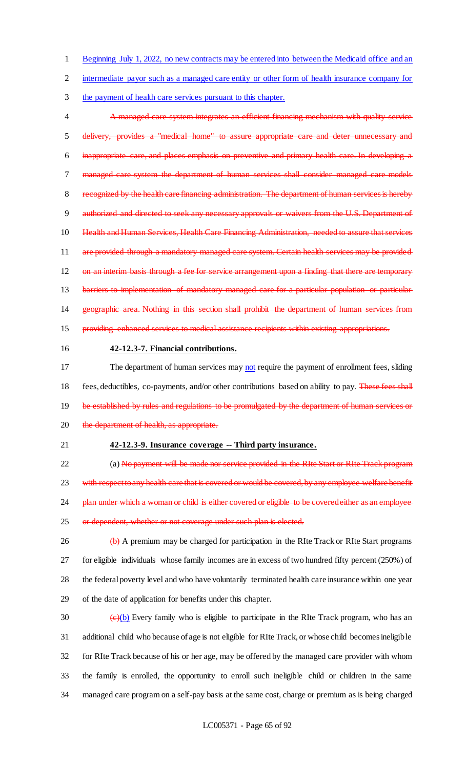1 Beginning July 1, 2022, no new contracts may be entered into between the Medicaid office and an

2 intermediate payor such as a managed care entity or other form of health insurance company for

3 the payment of health care services pursuant to this chapter.

 A managed care system integrates an efficient financing mechanism with quality service delivery, provides a "medical home" to assure appropriate care and deter unnecessary and inappropriate care, and places emphasis on preventive and primary health care. In developing a managed care system the department of human services shall consider managed care models recognized by the health care financing administration. The department of human services is hereby 9 authorized and directed to seek any necessary approvals or waivers from the U.S. Department of 10 Health and Human Services, Health Care Financing Administration, needed to assure that services 11 are provided through a mandatory managed care system. Certain health services may be provided 12 on an interim basis through a fee for service arrangement upon a finding that there are temporary 13 barriers to implementation of mandatory managed care for a particular population or particular geographic area. Nothing in this section shall prohibit the department of human services from providing enhanced services to medical assistance recipients within existing appropriations. **42-12.3-7. Financial contributions.**

17 The department of human services may not require the payment of enrollment fees, sliding 18 fees, deductibles, co-payments, and/or other contributions based on ability to pay. These fees shall 19 be established by rules and regulations to be promulgated by the department of human services or 20 the department of health, as appropriate.

### 21 **42-12.3-9. Insurance coverage -- Third party insurance.**

22 (a) No payment will be made nor service provided in the RIte Start or RIte Track program 23 with respect to any health care that is covered or would be covered, by any employee welfare benefit 24 plan under which a woman or child is either covered or eligible to be covered either as an employee 25 or dependent, whether or not coverage under such plan is elected.

26 (b) A premium may be charged for participation in the RIte Track or RIte Start programs for eligible individuals whose family incomes are in excess of two hundred fifty percent (250%) of the federal poverty level and who have voluntarily terminated health care insurance within one year of the date of application for benefits under this chapter.

 $\left(\frac{e}{b}\right)$  Every family who is eligible to participate in the RIte Track program, who has an additional child who because of age is not eligible for RIte Track, or whose child becomes ineligible for RIte Track because of his or her age, may be offered by the managed care provider with whom the family is enrolled, the opportunity to enroll such ineligible child or children in the same managed care program on a self-pay basis at the same cost, charge or premium as is being charged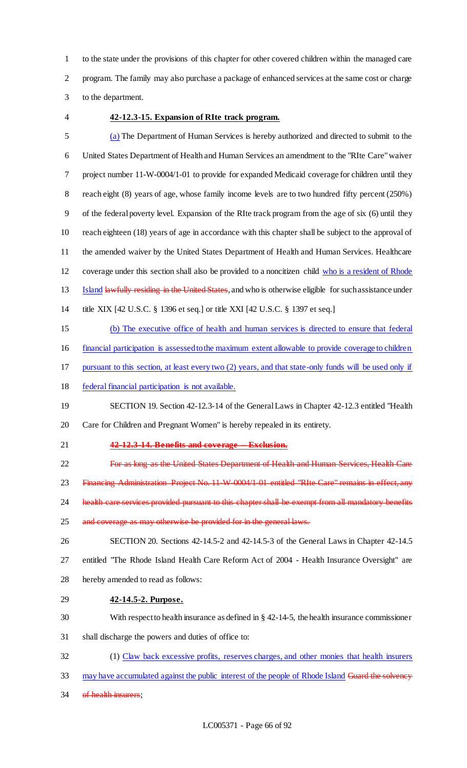to the state under the provisions of this chapter for other covered children within the managed care program. The family may also purchase a package of enhanced services at the same cost or charge to the department.

## **42-12.3-15. Expansion of RIte track program.**

 (a) The Department of Human Services is hereby authorized and directed to submit to the United States Department of Health and Human Services an amendment to the "RIte Care" waiver project number 11-W-0004/1-01 to provide for expanded Medicaid coverage for children until they reach eight (8) years of age, whose family income levels are to two hundred fifty percent (250%) of the federal poverty level. Expansion of the RIte track program from the age of six (6) until they reach eighteen (18) years of age in accordance with this chapter shall be subject to the approval of the amended waiver by the United States Department of Health and Human Services. Healthcare coverage under this section shall also be provided to a noncitizen child who is a resident of Rhode 13 Island lawfully residing in the United States, and who is otherwise eligible for such assistance under title XIX [42 U.S.C. § 1396 et seq.] or title XXI [42 U.S.C. § 1397 et seq.] (b) The executive office of health and human services is directed to ensure that federal financial participation is assessed to the maximum extent allowable to provide coverage to children pursuant to this section, at least every two (2) years, and that state-only funds will be used only if federal financial participation is not available. SECTION 19. Section 42-12.3-14 of the General Laws in Chapter 42-12.3 entitled "Health Care for Children and Pregnant Women" is hereby repealed in its entirety. **42-12.3-14. Benefits and coverage -- Exclusion. For as long as the United States Department of Health and Human Services, Health Care** 23 Financing Administration Project No. 11-W-0004/1-01 entitled "RIte Care" remains in effect, any 24 health care services provided pursuant to this chapter shall be exempt from all mandatory benefits 25 and coverage as may otherwise be provided for in the general laws. SECTION 20. Sections 42-14.5-2 and 42-14.5-3 of the General Laws in Chapter 42-14.5 entitled "The Rhode Island Health Care Reform Act of 2004 - Health Insurance Oversight" are hereby amended to read as follows: **42-14.5-2. Purpose.** With respect to health insurance as defined in § 42-14-5, the health insurance commissioner shall discharge the powers and duties of office to: (1) Claw back excessive profits, reserves charges, and other monies that health insurers

- 33 may have accumulated against the public interest of the people of Rhode Island Guard the solvency
- 34 of health insurers;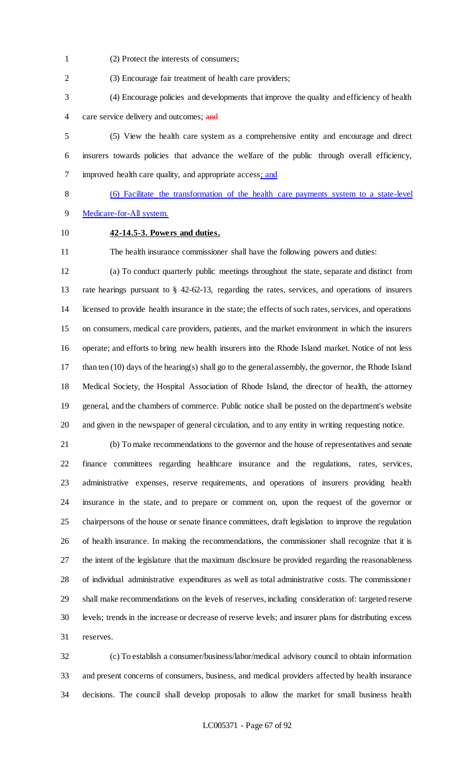(2) Protect the interests of consumers;

(3) Encourage fair treatment of health care providers;

 (4) Encourage policies and developments that improve the quality and efficiency of health 4 care service delivery and outcomes; and

 (5) View the health care system as a comprehensive entity and encourage and direct insurers towards policies that advance the welfare of the public through overall efficiency, improved health care quality, and appropriate access; and

(6) Facilitate the transformation of the health care payments system to a state-level

- Medicare-for-All system.
- 

## **42-14.5-3. Powers and duties.**

The health insurance commissioner shall have the following powers and duties:

 (a) To conduct quarterly public meetings throughout the state, separate and distinct from rate hearings pursuant to § 42-62-13, regarding the rates, services, and operations of insurers licensed to provide health insurance in the state; the effects of such rates, services, and operations on consumers, medical care providers, patients, and the market environment in which the insurers operate; and efforts to bring new health insurers into the Rhode Island market. Notice of not less than ten (10) days of the hearing(s) shall go to the general assembly, the governor, the Rhode Island Medical Society, the Hospital Association of Rhode Island, the director of health, the attorney general, and the chambers of commerce. Public notice shall be posted on the department's website and given in the newspaper of general circulation, and to any entity in writing requesting notice.

 (b) To make recommendations to the governor and the house of representatives and senate finance committees regarding healthcare insurance and the regulations, rates, services, administrative expenses, reserve requirements, and operations of insurers providing health insurance in the state, and to prepare or comment on, upon the request of the governor or chairpersons of the house or senate finance committees, draft legislation to improve the regulation of health insurance. In making the recommendations, the commissioner shall recognize that it is the intent of the legislature that the maximum disclosure be provided regarding the reasonableness of individual administrative expenditures as well as total administrative costs. The commissioner shall make recommendations on the levels of reserves, including consideration of: targeted reserve levels; trends in the increase or decrease of reserve levels; and insurer plans for distributing excess reserves.

 (c) To establish a consumer/business/labor/medical advisory council to obtain information and present concerns of consumers, business, and medical providers affected by health insurance decisions. The council shall develop proposals to allow the market for small business health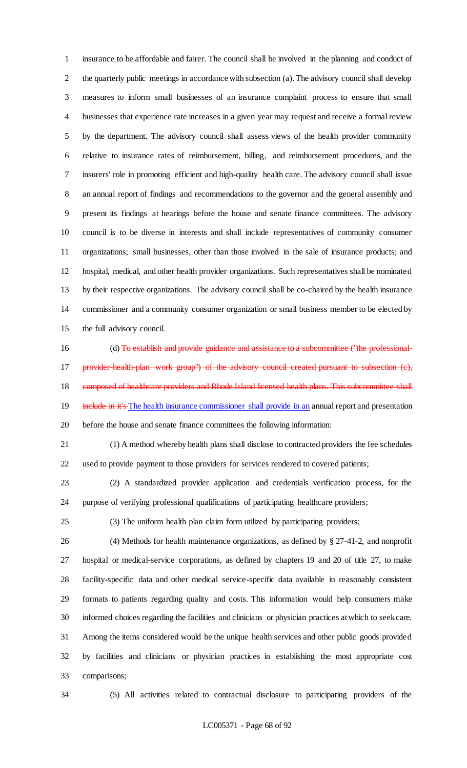insurance to be affordable and fairer. The council shall be involved in the planning and conduct of 2 the quarterly public meetings in accordance with subsection (a). The advisory council shall develop measures to inform small businesses of an insurance complaint process to ensure that small businesses that experience rate increases in a given year may request and receive a formal review by the department. The advisory council shall assess views of the health provider community relative to insurance rates of reimbursement, billing, and reimbursement procedures, and the insurers' role in promoting efficient and high-quality health care. The advisory council shall issue an annual report of findings and recommendations to the governor and the general assembly and present its findings at hearings before the house and senate finance committees. The advisory council is to be diverse in interests and shall include representatives of community consumer organizations; small businesses, other than those involved in the sale of insurance products; and hospital, medical, and other health provider organizations. Such representatives shall be nominated by their respective organizations. The advisory council shall be co-chaired by the health insurance commissioner and a community consumer organization or small business member to be elected by the full advisory council.

16 (d) To establish and provide guidance and assistance to a subcommittee ("the professional-17 provider-health-plan work group") of the advisory council created pursuant to subsection (c), 18 composed of healthcare providers and Rhode Island licensed health plans. This subcommittee shall 19 include in it's The health insurance commissioner shall provide in an annual report and presentation before the house and senate finance committees the following information:

 (1) A method whereby health plans shall disclose to contracted providers the fee schedules used to provide payment to those providers for services rendered to covered patients;

 (2) A standardized provider application and credentials verification process, for the purpose of verifying professional qualifications of participating healthcare providers;

(3) The uniform health plan claim form utilized by participating providers;

 (4) Methods for health maintenance organizations, as defined by § 27-41-2, and nonprofit hospital or medical-service corporations, as defined by chapters 19 and 20 of title 27, to make facility-specific data and other medical service-specific data available in reasonably consistent formats to patients regarding quality and costs. This information would help consumers make informed choices regarding the facilities and clinicians or physician practices at which to seek care. Among the items considered would be the unique health services and other public goods provided by facilities and clinicians or physician practices in establishing the most appropriate cost comparisons;

(5) All activities related to contractual disclosure to participating providers of the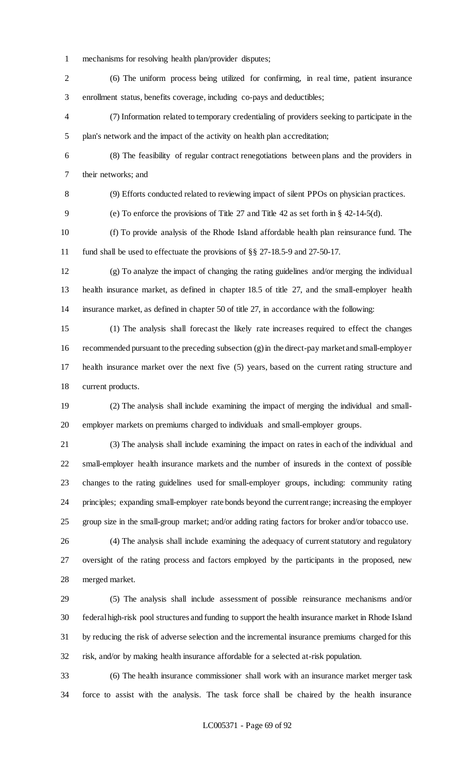mechanisms for resolving health plan/provider disputes;

 (6) The uniform process being utilized for confirming, in real time, patient insurance enrollment status, benefits coverage, including co-pays and deductibles;

 (7) Information related to temporary credentialing of providers seeking to participate in the plan's network and the impact of the activity on health plan accreditation;

 (8) The feasibility of regular contract renegotiations between plans and the providers in their networks; and

(9) Efforts conducted related to reviewing impact of silent PPOs on physician practices.

(e) To enforce the provisions of Title 27 and Title 42 as set forth in § 42-14-5(d).

 (f) To provide analysis of the Rhode Island affordable health plan reinsurance fund. The fund shall be used to effectuate the provisions of §§ 27-18.5-9 and 27-50-17.

 (g) To analyze the impact of changing the rating guidelines and/or merging the individual health insurance market, as defined in chapter 18.5 of title 27, and the small-employer health insurance market, as defined in chapter 50 of title 27, in accordance with the following:

 (1) The analysis shall forecast the likely rate increases required to effect the changes 16 recommended pursuant to the preceding subsection  $(g)$  in the direct-pay market and small-employer health insurance market over the next five (5) years, based on the current rating structure and current products.

 (2) The analysis shall include examining the impact of merging the individual and small-employer markets on premiums charged to individuals and small-employer groups.

 (3) The analysis shall include examining the impact on rates in each of the individual and small-employer health insurance markets and the number of insureds in the context of possible changes to the rating guidelines used for small-employer groups, including: community rating principles; expanding small-employer rate bonds beyond the current range; increasing the employer group size in the small-group market; and/or adding rating factors for broker and/or tobacco use.

 (4) The analysis shall include examining the adequacy of current statutory and regulatory oversight of the rating process and factors employed by the participants in the proposed, new merged market.

 (5) The analysis shall include assessment of possible reinsurance mechanisms and/or federal high-risk pool structures and funding to support the health insurance market in Rhode Island by reducing the risk of adverse selection and the incremental insurance premiums charged for this risk, and/or by making health insurance affordable for a selected at-risk population.

 (6) The health insurance commissioner shall work with an insurance market merger task force to assist with the analysis. The task force shall be chaired by the health insurance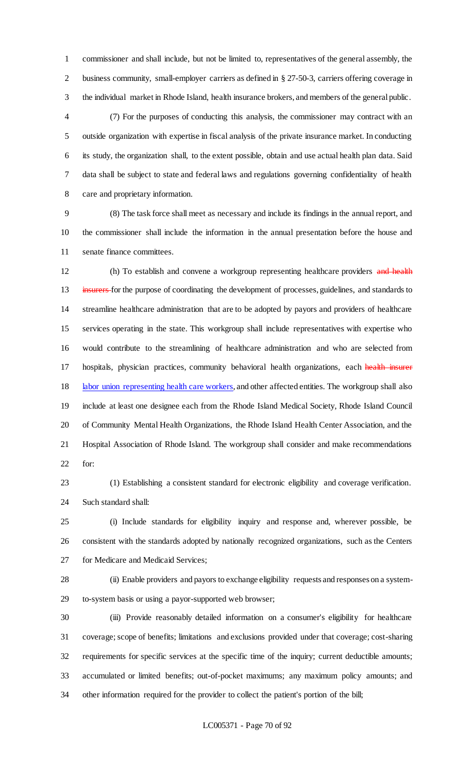commissioner and shall include, but not be limited to, representatives of the general assembly, the business community, small-employer carriers as defined in § 27-50-3, carriers offering coverage in the individual market in Rhode Island, health insurance brokers, and members of the general public.

 (7) For the purposes of conducting this analysis, the commissioner may contract with an outside organization with expertise in fiscal analysis of the private insurance market. In conducting its study, the organization shall, to the extent possible, obtain and use actual health plan data. Said data shall be subject to state and federal laws and regulations governing confidentiality of health care and proprietary information.

 (8) The task force shall meet as necessary and include its findings in the annual report, and the commissioner shall include the information in the annual presentation before the house and senate finance committees.

12 (h) To establish and convene a workgroup representing healthcare providers and health 13 insurers-for the purpose of coordinating the development of processes, guidelines, and standards to streamline healthcare administration that are to be adopted by payors and providers of healthcare services operating in the state. This workgroup shall include representatives with expertise who would contribute to the streamlining of healthcare administration and who are selected from 17 hospitals, physician practices, community behavioral health organizations, each health insurer 18 labor union representing health care workers, and other affected entities. The workgroup shall also include at least one designee each from the Rhode Island Medical Society, Rhode Island Council of Community Mental Health Organizations, the Rhode Island Health Center Association, and the Hospital Association of Rhode Island. The workgroup shall consider and make recommendations for:

 (1) Establishing a consistent standard for electronic eligibility and coverage verification. Such standard shall:

 (i) Include standards for eligibility inquiry and response and, wherever possible, be consistent with the standards adopted by nationally recognized organizations, such as the Centers for Medicare and Medicaid Services;

 (ii) Enable providers and payors to exchange eligibility requests and responses on a system-to-system basis or using a payor-supported web browser;

 (iii) Provide reasonably detailed information on a consumer's eligibility for healthcare coverage; scope of benefits; limitations and exclusions provided under that coverage; cost-sharing requirements for specific services at the specific time of the inquiry; current deductible amounts; accumulated or limited benefits; out-of-pocket maximums; any maximum policy amounts; and other information required for the provider to collect the patient's portion of the bill;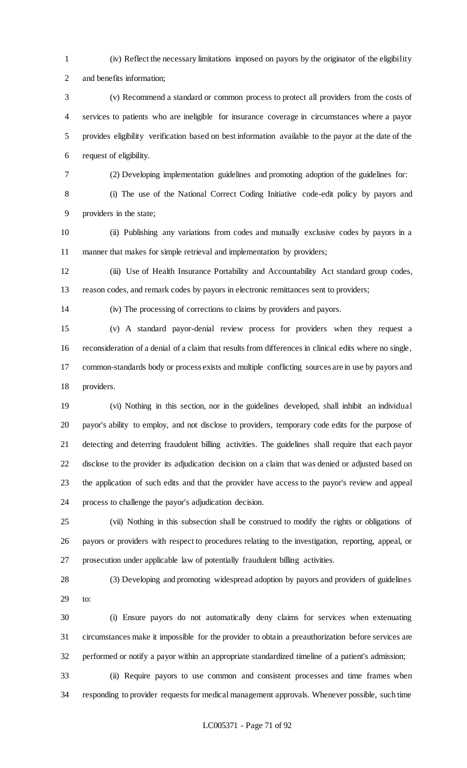- (iv) Reflect the necessary limitations imposed on payors by the originator of the eligibility and benefits information;
- (v) Recommend a standard or common process to protect all providers from the costs of services to patients who are ineligible for insurance coverage in circumstances where a payor provides eligibility verification based on best information available to the payor at the date of the request of eligibility.
- 

(2) Developing implementation guidelines and promoting adoption of the guidelines for:

 (i) The use of the National Correct Coding Initiative code-edit policy by payors and providers in the state;

 (ii) Publishing any variations from codes and mutually exclusive codes by payors in a manner that makes for simple retrieval and implementation by providers;

 (iii) Use of Health Insurance Portability and Accountability Act standard group codes, reason codes, and remark codes by payors in electronic remittances sent to providers;

(iv) The processing of corrections to claims by providers and payors.

 (v) A standard payor-denial review process for providers when they request a reconsideration of a denial of a claim that results from differences in clinical edits where no single, common-standards body or process exists and multiple conflicting sources are in use by payors and providers.

 (vi) Nothing in this section, nor in the guidelines developed, shall inhibit an individual payor's ability to employ, and not disclose to providers, temporary code edits for the purpose of detecting and deterring fraudulent billing activities. The guidelines shall require that each payor disclose to the provider its adjudication decision on a claim that was denied or adjusted based on the application of such edits and that the provider have access to the payor's review and appeal process to challenge the payor's adjudication decision.

 (vii) Nothing in this subsection shall be construed to modify the rights or obligations of payors or providers with respect to procedures relating to the investigation, reporting, appeal, or prosecution under applicable law of potentially fraudulent billing activities.

 (3) Developing and promoting widespread adoption by payors and providers of guidelines to:

 (i) Ensure payors do not automatically deny claims for services when extenuating circumstances make it impossible for the provider to obtain a preauthorization before services are performed or notify a payor within an appropriate standardized timeline of a patient's admission;

 (ii) Require payors to use common and consistent processes and time frames when responding to provider requests for medical management approvals. Whenever possible, such time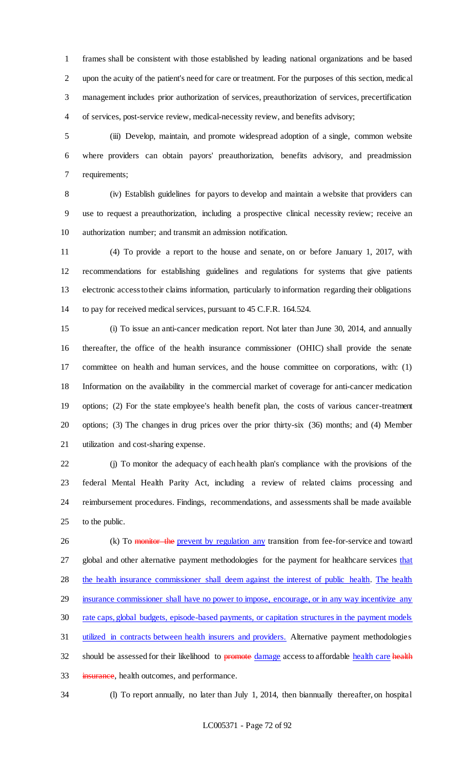frames shall be consistent with those established by leading national organizations and be based upon the acuity of the patient's need for care or treatment. For the purposes of this section, medical management includes prior authorization of services, preauthorization of services, precertification of services, post-service review, medical-necessity review, and benefits advisory;

 (iii) Develop, maintain, and promote widespread adoption of a single, common website where providers can obtain payors' preauthorization, benefits advisory, and preadmission requirements;

 (iv) Establish guidelines for payors to develop and maintain a website that providers can use to request a preauthorization, including a prospective clinical necessity review; receive an authorization number; and transmit an admission notification.

 (4) To provide a report to the house and senate, on or before January 1, 2017, with recommendations for establishing guidelines and regulations for systems that give patients electronic access to their claims information, particularly to information regarding their obligations to pay for received medical services, pursuant to 45 C.F.R. 164.524.

 (i) To issue an anti-cancer medication report. Not later than June 30, 2014, and annually thereafter, the office of the health insurance commissioner (OHIC) shall provide the senate committee on health and human services, and the house committee on corporations, with: (1) Information on the availability in the commercial market of coverage for anti-cancer medication options; (2) For the state employee's health benefit plan, the costs of various cancer-treatment options; (3) The changes in drug prices over the prior thirty-six (36) months; and (4) Member utilization and cost-sharing expense.

 (j) To monitor the adequacy of each health plan's compliance with the provisions of the federal Mental Health Parity Act, including a review of related claims processing and reimbursement procedures. Findings, recommendations, and assessments shall be made available 25 to the public.

26 (k) To monitor the prevent by regulation any transition from fee-for-service and toward 27 global and other alternative payment methodologies for the payment for healthcare services that 28 the health insurance commissioner shall deem against the interest of public health. The health 29 insurance commissioner shall have no power to impose, encourage, or in any way incentivize any rate caps, global budgets, episode-based payments, or capitation structures in the payment models utilized in contracts between health insurers and providers. Alternative payment methodologies 32 should be assessed for their likelihood to promote damage access to affordable health care health 33 insurance, health outcomes, and performance.

(l) To report annually, no later than July 1, 2014, then biannually thereafter, on hospital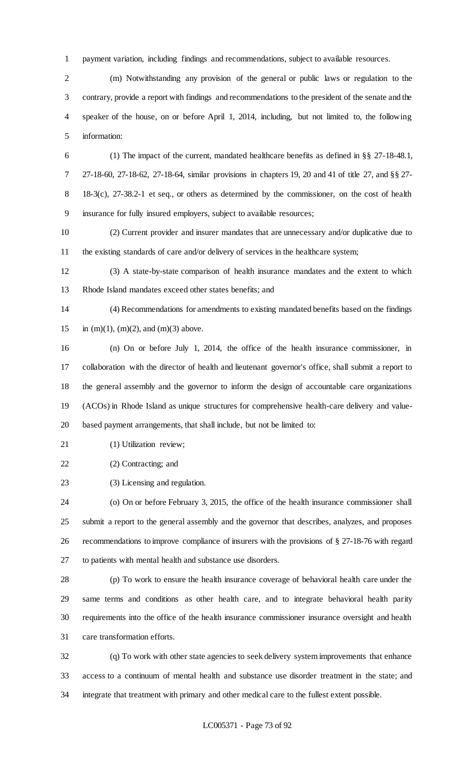payment variation, including findings and recommendations, subject to available resources.

 (m) Notwithstanding any provision of the general or public laws or regulation to the contrary, provide a report with findings and recommendations to the president of the senate and the speaker of the house, on or before April 1, 2014, including, but not limited to, the following information:

 (1) The impact of the current, mandated healthcare benefits as defined in §§ 27-18-48.1, 27-18-60, 27-18-62, 27-18-64, similar provisions in chapters 19, 20 and 41 of title 27, and §§ 27- 18-3(c), 27-38.2-1 et seq., or others as determined by the commissioner, on the cost of health insurance for fully insured employers, subject to available resources;

 (2) Current provider and insurer mandates that are unnecessary and/or duplicative due to the existing standards of care and/or delivery of services in the healthcare system;

 (3) A state-by-state comparison of health insurance mandates and the extent to which Rhode Island mandates exceed other states benefits; and

 (4) Recommendations for amendments to existing mandated benefits based on the findings 15 in (m)(1), (m)(2), and (m)(3) above.

 (n) On or before July 1, 2014, the office of the health insurance commissioner, in collaboration with the director of health and lieutenant governor's office, shall submit a report to the general assembly and the governor to inform the design of accountable care organizations (ACOs) in Rhode Island as unique structures for comprehensive health-care delivery and value-based payment arrangements, that shall include, but not be limited to:

21 (1) Utilization review;

(2) Contracting; and

(3) Licensing and regulation.

 (o) On or before February 3, 2015, the office of the health insurance commissioner shall submit a report to the general assembly and the governor that describes, analyzes, and proposes recommendations to improve compliance of insurers with the provisions of § 27-18-76 with regard to patients with mental health and substance use disorders.

 (p) To work to ensure the health insurance coverage of behavioral health care under the same terms and conditions as other health care, and to integrate behavioral health parity requirements into the office of the health insurance commissioner insurance oversight and health care transformation efforts.

 (q) To work with other state agencies to seek delivery system improvements that enhance access to a continuum of mental health and substance use disorder treatment in the state; and integrate that treatment with primary and other medical care to the fullest extent possible.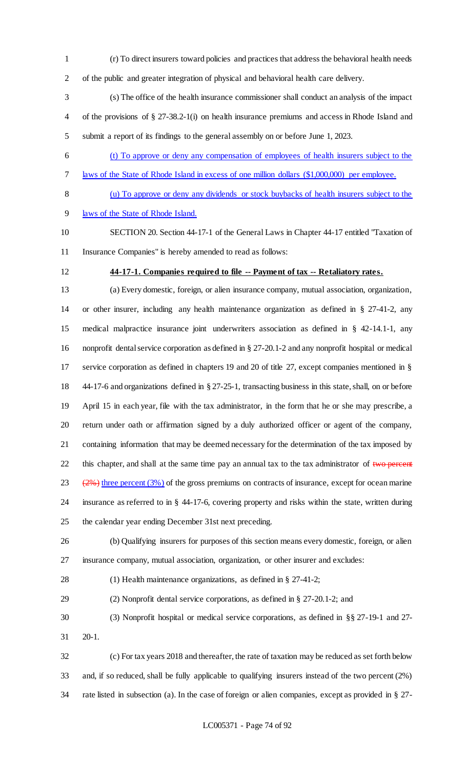- (r) To direct insurers toward policies and practices that address the behavioral health needs
- of the public and greater integration of physical and behavioral health care delivery.
- (s) The office of the health insurance commissioner shall conduct an analysis of the impact of the provisions of § 27-38.2-1(i) on health insurance premiums and access in Rhode Island and submit a report of its findings to the general assembly on or before June 1, 2023.
- (t) To approve or deny any compensation of employees of health insurers subject to the
- laws of the State of Rhode Island in excess of one million dollars (\$1,000,000) per employee.
- 

# (u) To approve or deny any dividends or stock buybacks of health insurers subject to the

laws of the State of Rhode Island.

 SECTION 20. Section 44-17-1 of the General Laws in Chapter 44-17 entitled "Taxation of Insurance Companies" is hereby amended to read as follows:

**44-17-1. Companies required to file -- Payment of tax -- Retaliatory rates.**

 (a) Every domestic, foreign, or alien insurance company, mutual association, organization, or other insurer, including any health maintenance organization as defined in § 27-41-2, any medical malpractice insurance joint underwriters association as defined in § 42-14.1-1, any nonprofit dental service corporation as defined in § 27-20.1-2 and any nonprofit hospital or medical service corporation as defined in chapters 19 and 20 of title 27, except companies mentioned in § 44-17-6 and organizations defined in § 27-25-1, transacting business in this state, shall, on or before April 15 in each year, file with the tax administrator, in the form that he or she may prescribe, a return under oath or affirmation signed by a duly authorized officer or agent of the company, containing information that may be deemed necessary for the determination of the tax imposed by 22 this chapter, and shall at the same time pay an annual tax to the tax administrator of  $\frac{1}{2}$  two percent  $(2\%)$  three percent (3%) of the gross premiums on contracts of insurance, except for ocean marine insurance as referred to in § 44-17-6, covering property and risks within the state, written during the calendar year ending December 31st next preceding.

 (b) Qualifying insurers for purposes of this section means every domestic, foreign, or alien insurance company, mutual association, organization, or other insurer and excludes:

- (1) Health maintenance organizations, as defined in § 27-41-2;
- (2) Nonprofit dental service corporations, as defined in § 27-20.1-2; and
- (3) Nonprofit hospital or medical service corporations, as defined in §§ 27-19-1 and 27-
- 20-1.

 (c) For tax years 2018 and thereafter, the rate of taxation may be reduced as set forth below and, if so reduced, shall be fully applicable to qualifying insurers instead of the two percent (2%) rate listed in subsection (a). In the case of foreign or alien companies, except as provided in § 27-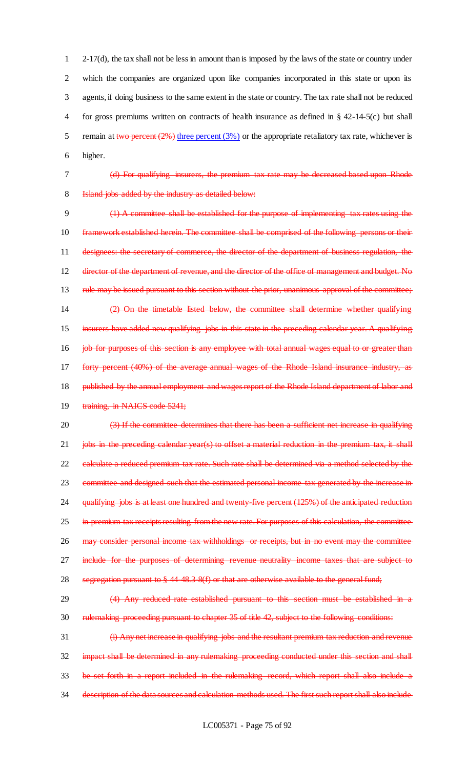2-17(d), the tax shall not be less in amount than is imposed by the laws of the state or country under which the companies are organized upon like companies incorporated in this state or upon its agents, if doing business to the same extent in the state or country. The tax rate shall not be reduced for gross premiums written on contracts of health insurance as defined in § 42-14-5(c) but shall 5 remain at two percent  $(2%)$  three percent  $(3%)$  or the appropriate retaliatory tax rate, whichever is 6 higher.

7 (d) For qualifying insurers, the premium tax rate may be decreased based upon Rhode

8 Island jobs added by the industry as detailed below:

9 (1) A committee shall be established for the purpose of implementing tax rates using the 10 framework established herein. The committee shall be comprised of the following persons or their 11 designees: the secretary of commerce, the director of the department of business regulation, the 12 director of the department of revenue, and the director of the office of management and budget. No 13 rule may be issued pursuant to this section without the prior, unanimous approval of the committee; 14 (2) On the timetable listed below, the committee shall determine whether qualifying 15 insurers have added new qualifying jobs in this state in the preceding calendar year. A qualifying 16 **job for purposes of this section is any employee with total annual wages equal to or greater than** 17 forty percent (40%) of the average annual wages of the Rhode Island insurance industry, as 18 published by the annual employment and wages report of the Rhode Island department of labor and 19 training, in NAICS code 5241;

20 (3) If the committee determines that there has been a sufficient net increase in qualifying 21 jobs in the preceding calendar year(s) to offset a material reduction in the premium tax, it shall 22 calculate a reduced premium tax rate. Such rate shall be determined via a method selected by the 23 committee and designed such that the estimated personal income tax generated by the increase in 24 qualifying jobs is at least one hundred and twenty-five percent (125%) of the anticipated reduction 25 in premium tax receipts resulting from the new rate. For purposes of this calculation, the committee 26 may consider personal income tax withholdings or receipts, but in no event may the committee 27 include for the purposes of determining revenue neutrality income taxes that are subject to

28 segregation pursuant to § 44-48.3-8(f) or that are otherwise available to the general fund;

29 (4) Any reduced rate established pursuant to this section must be established in a 30 rulemaking proceeding pursuant to chapter 35 of title 42, subject to the following conditions:

31 (i) Any net increase in qualifying jobs and the resultant premium tax reduction and revenue 32 impact shall be determined in any rulemaking proceeding conducted under this section and shall 33 be set forth in a report included in the rulemaking record, which report shall also include a 34 description of the data sources and calculation methods used. The first such report shall also include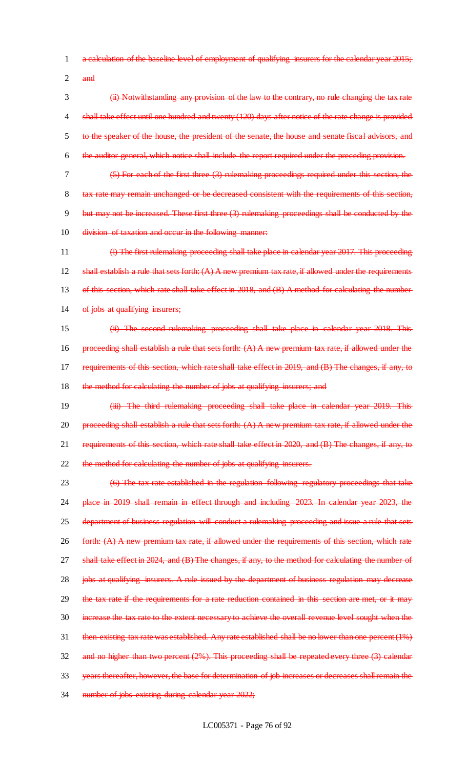- 1 a calculation of the baseline level of employment of qualifying insurers for the calendar year 2015;
- $2$  and

 (ii) Notwithstanding any provision of the law to the contrary, no rule changing the tax rate 4 shall take effect until one hundred and twenty (120) days after notice of the rate change is provided to the speaker of the house, the president of the senate, the house and senate fiscal advisors, and the auditor general, which notice shall include the report required under the preceding provision.

7 (5) For each of the first three (3) rulemaking proceedings required under this section, the

8 tax rate may remain unchanged or be decreased consistent with the requirements of this section, 9 but may not be increased. These first three (3) rulemaking proceedings shall be conducted by the 10 division of taxation and occur in the following manner:

11 (i) The first rulemaking proceeding shall take place in calendar year 2017. This proceeding 12 shall establish a rule that sets forth:  $(A)$  A new premium tax rate, if allowed under the requirements 13 of this section, which rate shall take effect in 2018, and (B) A method for calculating the number 14 of jobs at qualifying insurers;

15 (ii) The second rulemaking proceeding shall take place in calendar year 2018. This 16 proceeding shall establish a rule that sets forth:  $(A)$  A new premium tax rate, if allowed under the 17 requirements of this section, which rate shall take effect in 2019, and (B) The changes, if any, to 18 the method for calculating the number of jobs at qualifying insurers; and

19 **(iii) The third rulemaking proceeding shall take place in calendar year 2019. This** 20 proceeding shall establish a rule that sets forth:  $(A)$  A new premium tax rate, if allowed under the 21 requirements of this section, which rate shall take effect in 2020, and (B) The changes, if any, to 22 the method for calculating the number of jobs at qualifying insurers.

23 (6) The tax rate established in the regulation following regulatory proceedings that take 24 place in 2019 shall remain in effect through and including 2023. In calendar year 2023, the 25 department of business regulation will conduct a rulemaking proceeding and issue a rule that sets 26 forth: (A) A new premium tax rate, if allowed under the requirements of this section, which rate 27 shall take effect in 2024, and (B) The changes, if any, to the method for calculating the number of 28 jobs at qualifying insurers. A rule issued by the department of business regulation may decrease 29 the tax rate if the requirements for a rate reduction contained in this section are met, or it may 30 increase the tax rate to the extent necessary to achieve the overall revenue level sought when the 31 then-existing tax rate was established. Any rate established shall be no lower than one percent (1%) 32 and no higher than two percent (2%). This proceeding shall be repeated every three (3) calendar 33 years thereafter, however, the base for determination of job increases or decreases shall remain the 34 number of jobs existing during calendar year 2022;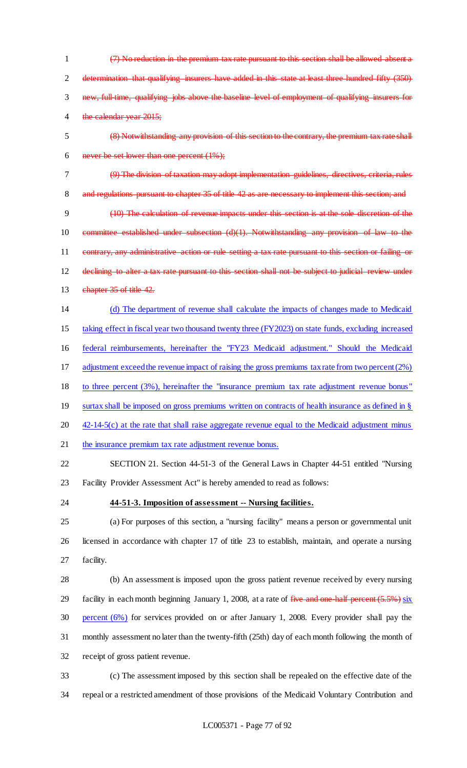- (7) No reduction in the premium tax rate pursuant to this section shall be allowed absent a 2 determination that qualifying insurers have added in this state at least three hundred fifty (350) new, full-time, qualifying jobs above the baseline level of employment of qualifying insurers for 4 the calendar year 2015;
- (8) Notwithstanding any provision of this section to the contrary, the premium tax rate shall 6 never be set lower than one percent  $(1\%)$ ;
- (9) The division of taxation may adopt implementation guidelines, directives, criteria, rules

8 and regulations pursuant to chapter 35 of title 42 as are necessary to implement this section; and

 (10) The calculation of revenue impacts under this section is at the sole discretion of the committee established under subsection (d)(1). Notwithstanding any provision of law to the contrary, any administrative action or rule setting a tax rate pursuant to this section or failing or declining to alter a tax rate pursuant to this section shall not be subject to judicial review under 13 chapter 35 of title 42.

 (d) The department of revenue shall calculate the impacts of changes made to Medicaid taking effect in fiscal year two thousand twenty three (FY2023) on state funds, excluding increased

federal reimbursements, hereinafter the "FY23 Medicaid adjustment." Should the Medicaid

adjustment exceed the revenue impact of raising the gross premiums tax rate from two percent (2%)

to three percent (3%), hereinafter the "insurance premium tax rate adjustment revenue bonus"

- 19 surtax shall be imposed on gross premiums written on contracts of health insurance as defined in §
- 20 42-14-5(c) at the rate that shall raise aggregate revenue equal to the Medicaid adjustment minus

21 the insurance premium tax rate adjustment revenue bonus.

 SECTION 21. Section 44-51-3 of the General Laws in Chapter 44-51 entitled "Nursing Facility Provider Assessment Act" is hereby amended to read as follows:

## **44-51-3. Imposition of assessment -- Nursing facilities.**

 (a) For purposes of this section, a "nursing facility" means a person or governmental unit licensed in accordance with chapter 17 of title 23 to establish, maintain, and operate a nursing facility.

 (b) An assessment is imposed upon the gross patient revenue received by every nursing 29 facility in each month beginning January 1, 2008, at a rate of five and one-half percent (5.5%) six percent (6%) for services provided on or after January 1, 2008. Every provider shall pay the monthly assessment no later than the twenty-fifth (25th) day of each month following the month of receipt of gross patient revenue.

 (c) The assessment imposed by this section shall be repealed on the effective date of the repeal or a restricted amendment of those provisions of the Medicaid Voluntary Contribution and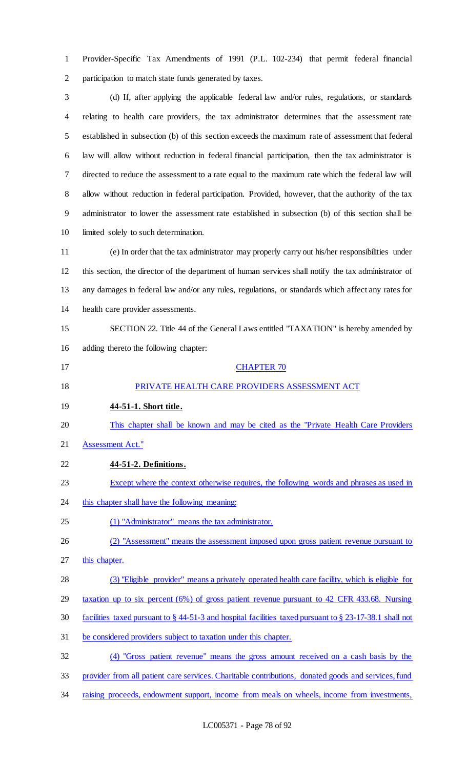Provider-Specific Tax Amendments of 1991 (P.L. 102-234) that permit federal financial participation to match state funds generated by taxes.

 (d) If, after applying the applicable federal law and/or rules, regulations, or standards relating to health care providers, the tax administrator determines that the assessment rate established in subsection (b) of this section exceeds the maximum rate of assessment that federal law will allow without reduction in federal financial participation, then the tax administrator is directed to reduce the assessment to a rate equal to the maximum rate which the federal law will allow without reduction in federal participation. Provided, however, that the authority of the tax administrator to lower the assessment rate established in subsection (b) of this section shall be limited solely to such determination.

 (e) In order that the tax administrator may properly carry out his/her responsibilities under this section, the director of the department of human services shall notify the tax administrator of any damages in federal law and/or any rules, regulations, or standards which affect any rates for health care provider assessments.

 SECTION 22. Title 44 of the General Laws entitled "TAXATION" is hereby amended by adding thereto the following chapter:

- **CHAPTER 70**  PRIVATE HEALTH CARE PROVIDERS ASSESSMENT ACT **44-51-1. Short title.** This chapter shall be known and may be cited as the "Private Health Care Providers Assessment Act." **44-51-2. Definitions.**
- 23 Except where the context otherwise requires, the following words and phrases as used in
- 24 this chapter shall have the following meaning:
- (1) "Administrator" means the tax administrator.

(2) "Assessment" means the assessment imposed upon gross patient revenue pursuant to

- 27 this chapter.
- (3) "Eligible provider" means a privately operated health care facility, which is eligible for
- taxation up to six percent (6%) of gross patient revenue pursuant to 42 CFR 433.68. Nursing
- facilities taxed pursuant to § 44-51-3 and hospital facilities taxed pursuant to § 23-17-38.1 shall not
- be considered providers subject to taxation under this chapter.

(4) "Gross patient revenue" means the gross amount received on a cash basis by the

- provider from all patient care services. Charitable contributions, donated goods and services, fund
- 34 raising proceeds, endowment support, income from meals on wheels, income from investments,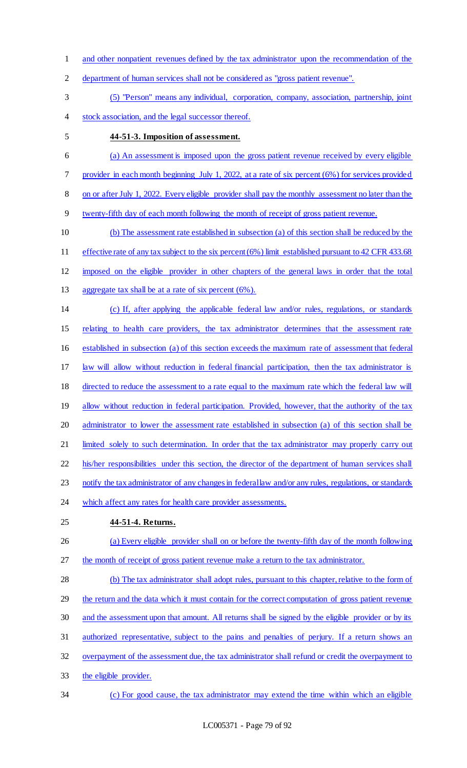- and other nonpatient revenues defined by the tax administrator upon the recommendation of the
- department of human services shall not be considered as "gross patient revenue".
- (5) "Person" means any individual, corporation, company, association, partnership, joint stock association, and the legal successor thereof.
- 

## **44-51-3. Imposition of assessment.**

- (a) An assessment is imposed upon the gross patient revenue received by every eligible
- provider in each month beginning July 1, 2022, at a rate of six percent (6%) for services provided
- on or after July 1, 2022. Every eligible provider shall pay the monthly assessment no later than the
- twenty-fifth day of each month following the month of receipt of gross patient revenue.
- (b) The assessment rate established in subsection (a) of this section shall be reduced by the
- 11 effective rate of any tax subject to the six percent (6%) limit established pursuant to 42 CFR 433.68
- imposed on the eligible provider in other chapters of the general laws in order that the total
- aggregate tax shall be at a rate of six percent (6%).
- (c) If, after applying the applicable federal law and/or rules, regulations, or standards
- relating to health care providers, the tax administrator determines that the assessment rate
- established in subsection (a) of this section exceeds the maximum rate of assessment that federal
- 17 law will allow without reduction in federal financial participation, then the tax administrator is
- directed to reduce the assessment to a rate equal to the maximum rate which the federal law will
- 19 allow without reduction in federal participation. Provided, however, that the authority of the tax
- administrator to lower the assessment rate established in subsection (a) of this section shall be
- 21 limited solely to such determination. In order that the tax administrator may properly carry out
- 22 his/her responsibilities under this section, the director of the department of human services shall
- 23 notify the tax administrator of any changes in federal law and/or any rules, regulations, or standards
- 24 which affect any rates for health care provider assessments.
- **44-51-4. Returns.**
- (a) Every eligible provider shall on or before the twenty-fifth day of the month following the month of receipt of gross patient revenue make a return to the tax administrator.
- 28 (b) The tax administrator shall adopt rules, pursuant to this chapter, relative to the form of the return and the data which it must contain for the correct computation of gross patient revenue and the assessment upon that amount. All returns shall be signed by the eligible provider or by its authorized representative, subject to the pains and penalties of perjury. If a return shows an overpayment of the assessment due, the tax administrator shall refund or credit the overpayment to
- the eligible provider.
- (c) For good cause, the tax administrator may extend the time within which an eligible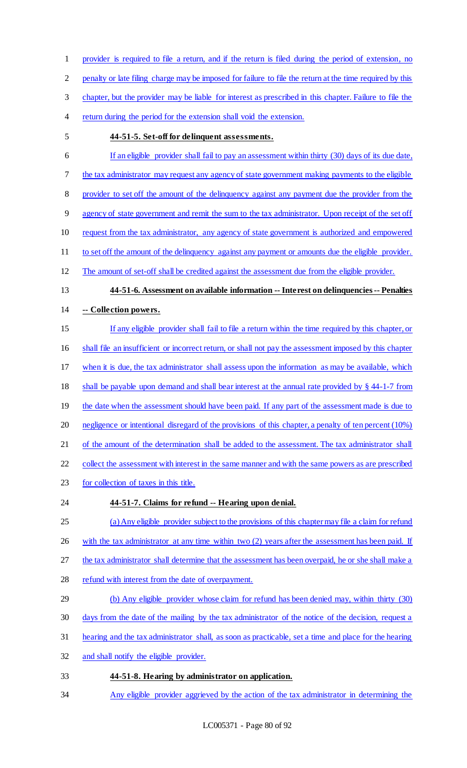provider is required to file a return, and if the return is filed during the period of extension, no penalty or late filing charge may be imposed for failure to file the return at the time required by this chapter, but the provider may be liable for interest as prescribed in this chapter. Failure to file the 4 return during the period for the extension shall void the extension.

## **44-51-5. Set-off for delinquent assessments.**

 If an eligible provider shall fail to pay an assessment within thirty (30) days of its due date, 7 the tax administrator may request any agency of state government making payments to the eligible provider to set off the amount of the delinquency against any payment due the provider from the agency of state government and remit the sum to the tax administrator. Upon receipt of the set off request from the tax administrator, any agency of state government is authorized and empowered 11 to set off the amount of the delinquency against any payment or amounts due the eligible provider. The amount of set-off shall be credited against the assessment due from the eligible provider. **44-51-6. Assessment on available information -- Interest on delinquencies -- Penalties -- Collection powers.** If any eligible provider shall fail to file a return within the time required by this chapter, or shall file an insufficient or incorrect return, or shall not pay the assessment imposed by this chapter when it is due, the tax administrator shall assess upon the information as may be available, which shall be payable upon demand and shall bear interest at the annual rate provided by § 44-1-7 from

- 19 the date when the assessment should have been paid. If any part of the assessment made is due to
- negligence or intentional disregard of the provisions of this chapter, a penalty of ten percent (10%)

21 of the amount of the determination shall be added to the assessment. The tax administrator shall

22 collect the assessment with interest in the same manner and with the same powers as are prescribed

- for collection of taxes in this title.
- 

## **44-51-7. Claims for refund -- Hearing upon denial.**

- (a) Any eligible provider subject to the provisions of this chapter may file a claim for refund
- 26 with the tax administrator at any time within two (2) years after the assessment has been paid. If
- the tax administrator shall determine that the assessment has been overpaid, he or she shall make a
- refund with interest from the date of overpayment.
- (b) Any eligible provider whose claim for refund has been denied may, within thirty (30)
- days from the date of the mailing by the tax administrator of the notice of the decision, request a
- hearing and the tax administrator shall, as soon as practicable, set a time and place for the hearing
- and shall notify the eligible provider.
- **44-51-8. Hearing by administrator on application.**
- Any eligible provider aggrieved by the action of the tax administrator in determining the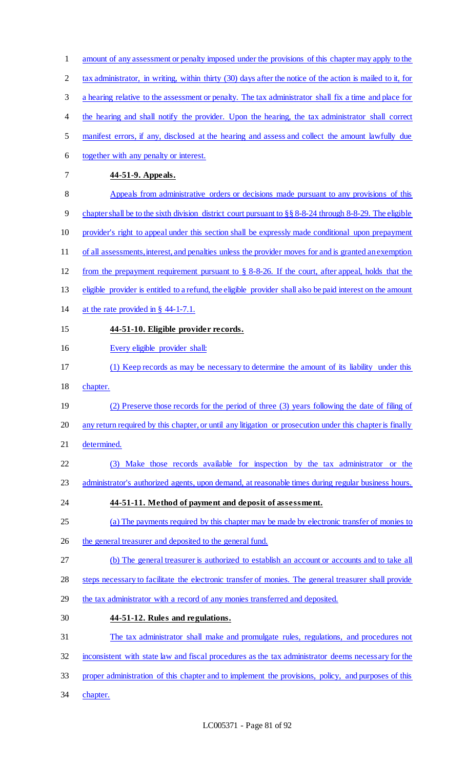- amount of any assessment or penalty imposed under the provisions of this chapter may apply to the
- 2 tax administrator, in writing, within thirty (30) days after the notice of the action is mailed to it, for
- a hearing relative to the assessment or penalty. The tax administrator shall fix a time and place for
- 4 the hearing and shall notify the provider. Upon the hearing, the tax administrator shall correct
- manifest errors, if any, disclosed at the hearing and assess and collect the amount lawfully due
- together with any penalty or interest.
- **44-51-9. Appeals.**
- Appeals from administrative orders or decisions made pursuant to any provisions of this
- chapter shall be to the sixth division district court pursuant to §§ 8-8-24 through 8-8-29. The eligible
- provider's right to appeal under this section shall be expressly made conditional upon prepayment
- of all assessments, interest, and penalties unless the provider moves for and is granted an exemption
- from the prepayment requirement pursuant to § 8-8-26. If the court, after appeal, holds that the
- eligible provider is entitled to a refund, the eligible provider shall also be paid interest on the amount
- at the rate provided in § 44-1-7.1.
- **44-51-10. Eligible provider records.**
- Every eligible provider shall:
- (1) Keep records as may be necessary to determine the amount of its liability under this
- chapter.
- (2) Preserve those records for the period of three (3) years following the date of filing of
- any return required by this chapter, or until any litigation or prosecution under this chapter is finally
- determined.
- (3) Make those records available for inspection by the tax administrator or the
- 23 administrator's authorized agents, upon demand, at reasonable times during regular business hours.
- **44-51-11. Method of payment and deposit of assessment.**
- (a) The payments required by this chapter may be made by electronic transfer of monies to
- 26 the general treasurer and deposited to the general fund.
- (b) The general treasurer is authorized to establish an account or accounts and to take all
- steps necessary to facilitate the electronic transfer of monies. The general treasurer shall provide
- the tax administrator with a record of any monies transferred and deposited.
- **44-51-12. Rules and regulations.**
- The tax administrator shall make and promulgate rules, regulations, and procedures not
- inconsistent with state law and fiscal procedures as the tax administrator deems necessary for the
- proper administration of this chapter and to implement the provisions, policy, and purposes of this
- 34 chapter.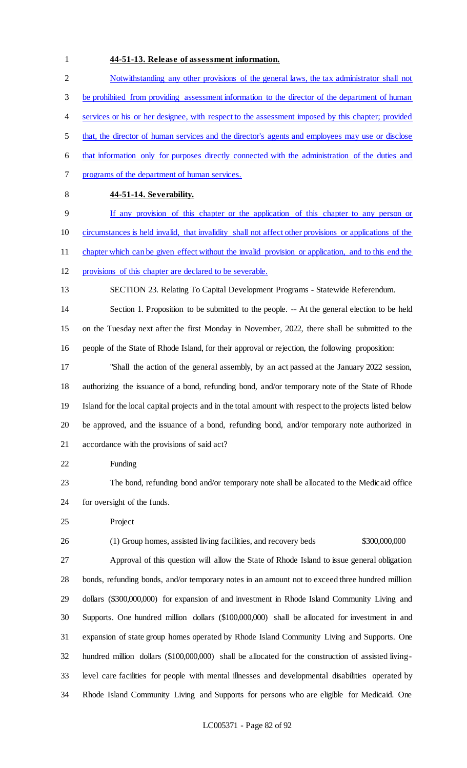## **44-51-13. Release of assessment information.**

 Notwithstanding any other provisions of the general laws, the tax administrator shall not be prohibited from providing assessment information to the director of the department of human services or his or her designee, with respect to the assessment imposed by this chapter; provided that, the director of human services and the director's agents and employees may use or disclose that information only for purposes directly connected with the administration of the duties and programs of the department of human services. **44-51-14. Severability.** If any provision of this chapter or the application of this chapter to any person or circumstances is held invalid, that invalidity shall not affect other provisions or applications of the chapter which can be given effect without the invalid provision or application, and to this end the provisions of this chapter are declared to be severable. SECTION 23. Relating To Capital Development Programs - Statewide Referendum. Section 1. Proposition to be submitted to the people. -- At the general election to be held on the Tuesday next after the first Monday in November, 2022, there shall be submitted to the people of the State of Rhode Island, for their approval or rejection, the following proposition: "Shall the action of the general assembly, by an act passed at the January 2022 session, authorizing the issuance of a bond, refunding bond, and/or temporary note of the State of Rhode Island for the local capital projects and in the total amount with respect to the projects listed below be approved, and the issuance of a bond, refunding bond, and/or temporary note authorized in accordance with the provisions of said act? Funding The bond, refunding bond and/or temporary note shall be allocated to the Medicaid office for oversight of the funds. Project (1) Group homes, assisted living facilities, and recovery beds \$300,000,000 Approval of this question will allow the State of Rhode Island to issue general obligation bonds, refunding bonds, and/or temporary notes in an amount not to exceed three hundred million dollars (\$300,000,000) for expansion of and investment in Rhode Island Community Living and Supports. One hundred million dollars (\$100,000,000) shall be allocated for investment in and expansion of state group homes operated by Rhode Island Community Living and Supports. One

 hundred million dollars (\$100,000,000) shall be allocated for the construction of assisted living-level care facilities for people with mental illnesses and developmental disabilities operated by

Rhode Island Community Living and Supports for persons who are eligible for Medicaid. One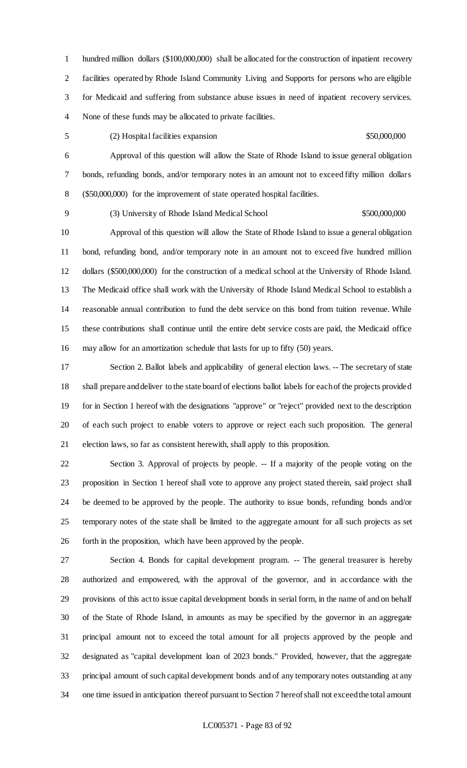hundred million dollars (\$100,000,000) shall be allocated for the construction of inpatient recovery facilities operated by Rhode Island Community Living and Supports for persons who are eligible for Medicaid and suffering from substance abuse issues in need of inpatient recovery services. None of these funds may be allocated to private facilities.

(2) Hospital facilities expansion \$50,000,000

 Approval of this question will allow the State of Rhode Island to issue general obligation bonds, refunding bonds, and/or temporary notes in an amount not to exceed fifty million dollars (\$50,000,000) for the improvement of state operated hospital facilities.

(3) University of Rhode Island Medical School \$500,000,000

 Approval of this question will allow the State of Rhode Island to issue a general obligation bond, refunding bond, and/or temporary note in an amount not to exceed five hundred million dollars (\$500,000,000) for the construction of a medical school at the University of Rhode Island. The Medicaid office shall work with the University of Rhode Island Medical School to establish a reasonable annual contribution to fund the debt service on this bond from tuition revenue. While these contributions shall continue until the entire debt service costs are paid, the Medicaid office may allow for an amortization schedule that lasts for up to fifty (50) years.

 Section 2. Ballot labels and applicability of general election laws. -- The secretary of state shall prepare and deliver to the state board of elections ballot labels for each of the projects provided for in Section 1 hereof with the designations "approve" or "reject" provided next to the description of each such project to enable voters to approve or reject each such proposition. The general election laws, so far as consistent herewith, shall apply to this proposition.

 Section 3. Approval of projects by people. -- If a majority of the people voting on the proposition in Section 1 hereof shall vote to approve any project stated therein, said project shall be deemed to be approved by the people. The authority to issue bonds, refunding bonds and/or temporary notes of the state shall be limited to the aggregate amount for all such projects as set forth in the proposition, which have been approved by the people.

 Section 4. Bonds for capital development program. -- The general treasurer is hereby authorized and empowered, with the approval of the governor, and in accordance with the provisions of this act to issue capital development bonds in serial form, in the name of and on behalf of the State of Rhode Island, in amounts as may be specified by the governor in an aggregate principal amount not to exceed the total amount for all projects approved by the people and designated as "capital development loan of 2023 bonds." Provided, however, that the aggregate principal amount of such capital development bonds and of any temporary notes outstanding at any one time issued in anticipation thereof pursuant to Section 7 hereof shall not exceed the total amount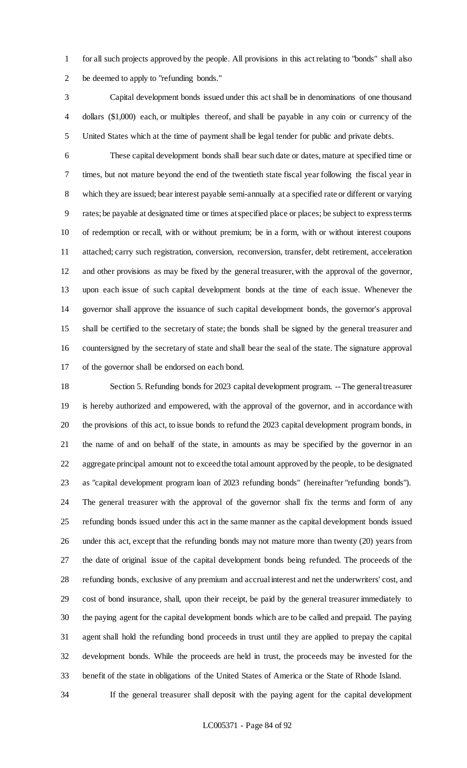for all such projects approved by the people. All provisions in this act relating to "bonds" shall also be deemed to apply to "refunding bonds."

 Capital development bonds issued under this act shall be in denominations of one thousand dollars (\$1,000) each, or multiples thereof, and shall be payable in any coin or currency of the United States which at the time of payment shall be legal tender for public and private debts.

 These capital development bonds shall bear such date or dates, mature at specified time or times, but not mature beyond the end of the twentieth state fiscal year following the fiscal year in which they are issued; bear interest payable semi-annually at a specified rate or different or varying rates; be payable at designated time or times at specified place or places; be subject to express terms of redemption or recall, with or without premium; be in a form, with or without interest coupons attached; carry such registration, conversion, reconversion, transfer, debt retirement, acceleration and other provisions as may be fixed by the general treasurer, with the approval of the governor, upon each issue of such capital development bonds at the time of each issue. Whenever the governor shall approve the issuance of such capital development bonds, the governor's approval shall be certified to the secretary of state; the bonds shall be signed by the general treasurer and countersigned by the secretary of state and shall bear the seal of the state. The signature approval of the governor shall be endorsed on each bond.

 Section 5. Refunding bonds for 2023 capital development program. --The general treasurer is hereby authorized and empowered, with the approval of the governor, and in accordance with the provisions of this act, to issue bonds to refund the 2023 capital development program bonds, in the name of and on behalf of the state, in amounts as may be specified by the governor in an aggregate principal amount not to exceed the total amount approved by the people, to be designated as "capital development program loan of 2023 refunding bonds" (hereinafter "refunding bonds"). The general treasurer with the approval of the governor shall fix the terms and form of any refunding bonds issued under this act in the same manner as the capital development bonds issued under this act, except that the refunding bonds may not mature more than twenty (20) years from the date of original issue of the capital development bonds being refunded. The proceeds of the refunding bonds, exclusive of any premium and accrual interest and net the underwriters' cost, and cost of bond insurance, shall, upon their receipt, be paid by the general treasurer immediately to the paying agent for the capital development bonds which are to be called and prepaid. The paying agent shall hold the refunding bond proceeds in trust until they are applied to prepay the capital development bonds. While the proceeds are held in trust, the proceeds may be invested for the benefit of the state in obligations of the United States of America or the State of Rhode Island.

If the general treasurer shall deposit with the paying agent for the capital development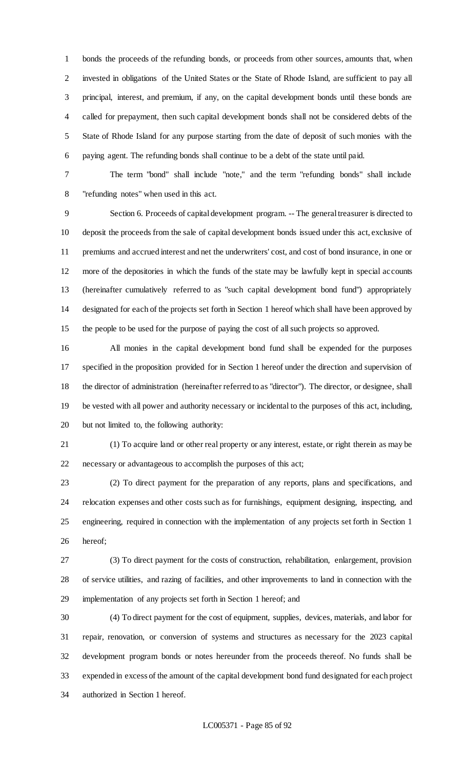bonds the proceeds of the refunding bonds, or proceeds from other sources, amounts that, when invested in obligations of the United States or the State of Rhode Island, are sufficient to pay all principal, interest, and premium, if any, on the capital development bonds until these bonds are called for prepayment, then such capital development bonds shall not be considered debts of the State of Rhode Island for any purpose starting from the date of deposit of such monies with the paying agent. The refunding bonds shall continue to be a debt of the state until paid.

 The term "bond" shall include "note," and the term "refunding bonds" shall include "refunding notes" when used in this act.

 Section 6. Proceeds of capital development program. -- The general treasurer is directed to deposit the proceeds from the sale of capital development bonds issued under this act, exclusive of premiums and accrued interest and net the underwriters' cost, and cost of bond insurance, in one or more of the depositories in which the funds of the state may be lawfully kept in special accounts (hereinafter cumulatively referred to as "such capital development bond fund") appropriately designated for each of the projects set forth in Section 1 hereof which shall have been approved by the people to be used for the purpose of paying the cost of all such projects so approved.

 All monies in the capital development bond fund shall be expended for the purposes specified in the proposition provided for in Section 1 hereof under the direction and supervision of the director of administration (hereinafter referred to as "director"). The director, or designee, shall be vested with all power and authority necessary or incidental to the purposes of this act, including, but not limited to, the following authority:

 (1) To acquire land or other real property or any interest, estate, or right therein as may be necessary or advantageous to accomplish the purposes of this act;

 (2) To direct payment for the preparation of any reports, plans and specifications, and relocation expenses and other costs such as for furnishings, equipment designing, inspecting, and engineering, required in connection with the implementation of any projects set forth in Section 1 hereof;

 (3) To direct payment for the costs of construction, rehabilitation, enlargement, provision of service utilities, and razing of facilities, and other improvements to land in connection with the implementation of any projects set forth in Section 1 hereof; and

 (4) To direct payment for the cost of equipment, supplies, devices, materials, and labor for repair, renovation, or conversion of systems and structures as necessary for the 2023 capital development program bonds or notes hereunder from the proceeds thereof. No funds shall be expended in excess of the amount of the capital development bond fund designated for each project authorized in Section 1 hereof.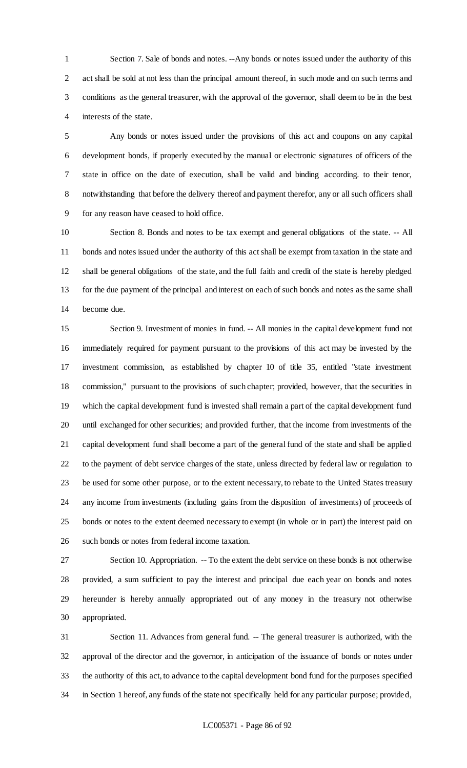Section 7. Sale of bonds and notes. --Any bonds or notes issued under the authority of this act shall be sold at not less than the principal amount thereof, in such mode and on such terms and conditions as the general treasurer, with the approval of the governor, shall deem to be in the best interests of the state.

 Any bonds or notes issued under the provisions of this act and coupons on any capital development bonds, if properly executed by the manual or electronic signatures of officers of the state in office on the date of execution, shall be valid and binding according. to their tenor, notwithstanding that before the delivery thereof and payment therefor, any or all such officers shall for any reason have ceased to hold office.

 Section 8. Bonds and notes to be tax exempt and general obligations of the state. -- All bonds and notes issued under the authority of this act shall be exempt from taxation in the state and shall be general obligations of the state, and the full faith and credit of the state is hereby pledged for the due payment of the principal and interest on each of such bonds and notes as the same shall become due.

 Section 9. Investment of monies in fund. -- All monies in the capital development fund not immediately required for payment pursuant to the provisions of this act may be invested by the investment commission, as established by chapter 10 of title 35, entitled "state investment commission," pursuant to the provisions of such chapter; provided, however, that the securities in which the capital development fund is invested shall remain a part of the capital development fund until exchanged for other securities; and provided further, that the income from investments of the capital development fund shall become a part of the general fund of the state and shall be applied to the payment of debt service charges of the state, unless directed by federal law or regulation to be used for some other purpose, or to the extent necessary, to rebate to the United States treasury any income from investments (including gains from the disposition of investments) of proceeds of bonds or notes to the extent deemed necessary to exempt (in whole or in part) the interest paid on such bonds or notes from federal income taxation.

 Section 10. Appropriation. -- To the extent the debt service on these bonds is not otherwise provided, a sum sufficient to pay the interest and principal due each year on bonds and notes hereunder is hereby annually appropriated out of any money in the treasury not otherwise appropriated.

 Section 11. Advances from general fund. -- The general treasurer is authorized, with the approval of the director and the governor, in anticipation of the issuance of bonds or notes under the authority of this act, to advance to the capital development bond fund for the purposes specified in Section 1 hereof, any funds of the state not specifically held for any particular purpose; provided,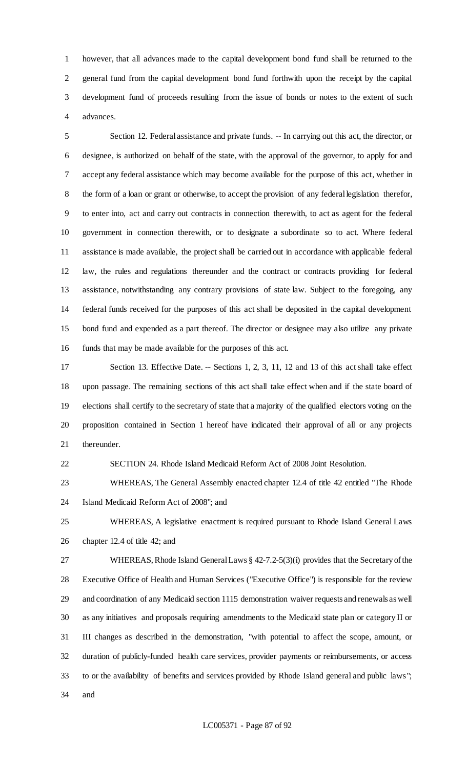however, that all advances made to the capital development bond fund shall be returned to the general fund from the capital development bond fund forthwith upon the receipt by the capital development fund of proceeds resulting from the issue of bonds or notes to the extent of such advances.

 Section 12. Federal assistance and private funds. -- In carrying out this act, the director, or designee, is authorized on behalf of the state, with the approval of the governor, to apply for and accept any federal assistance which may become available for the purpose of this act, whether in the form of a loan or grant or otherwise, to accept the provision of any federal legislation therefor, to enter into, act and carry out contracts in connection therewith, to act as agent for the federal government in connection therewith, or to designate a subordinate so to act. Where federal assistance is made available, the project shall be carried out in accordance with applicable federal law, the rules and regulations thereunder and the contract or contracts providing for federal assistance, notwithstanding any contrary provisions of state law. Subject to the foregoing, any federal funds received for the purposes of this act shall be deposited in the capital development bond fund and expended as a part thereof. The director or designee may also utilize any private funds that may be made available for the purposes of this act.

 Section 13. Effective Date. -- Sections 1, 2, 3, 11, 12 and 13 of this act shall take effect upon passage. The remaining sections of this act shall take effect when and if the state board of elections shall certify to the secretary of state that a majority of the qualified electors voting on the proposition contained in Section 1 hereof have indicated their approval of all or any projects thereunder.

SECTION 24. Rhode Island Medicaid Reform Act of 2008 Joint Resolution.

 WHEREAS, The General Assembly enacted chapter 12.4 of title 42 entitled "The Rhode Island Medicaid Reform Act of 2008"; and

 WHEREAS, A legislative enactment is required pursuant to Rhode Island General Laws chapter 12.4 of title 42; and

 WHEREAS, Rhode Island General Laws § 42-7.2-5(3)(i) provides that the Secretaryof the Executive Office of Health and Human Services ("Executive Office") is responsible for the review and coordination of any Medicaid section 1115 demonstration waiver requests and renewals as well as any initiatives and proposals requiring amendments to the Medicaid state plan or category II or III changes as described in the demonstration, "with potential to affect the scope, amount, or duration of publicly-funded health care services, provider payments or reimbursements, or access to or the availability of benefits and services provided by Rhode Island general and public laws"; and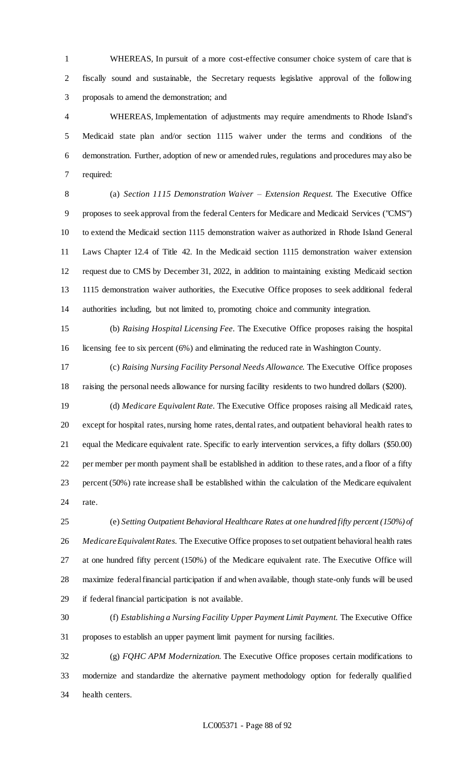WHEREAS, In pursuit of a more cost-effective consumer choice system of care that is fiscally sound and sustainable, the Secretary requests legislative approval of the following proposals to amend the demonstration; and

 WHEREAS, Implementation of adjustments may require amendments to Rhode Island's Medicaid state plan and/or section 1115 waiver under the terms and conditions of the demonstration. Further, adoption of new or amended rules, regulations and procedures may also be required:

 (a) *Section 1115 Demonstration Waiver – Extension Request.* The Executive Office proposes to seek approval from the federal Centers for Medicare and Medicaid Services ("CMS") to extend the Medicaid section 1115 demonstration waiver as authorized in Rhode Island General Laws Chapter 12.4 of Title 42. In the Medicaid section 1115 demonstration waiver extension request due to CMS by December 31, 2022, in addition to maintaining existing Medicaid section 1115 demonstration waiver authorities, the Executive Office proposes to seek additional federal authorities including, but not limited to, promoting choice and community integration.

 (b) *Raising Hospital Licensing Fee.* The Executive Office proposes raising the hospital licensing fee to six percent (6%) and eliminating the reduced rate in Washington County.

 (c) *Raising Nursing Facility Personal Needs Allowance.* The Executive Office proposes raising the personal needs allowance for nursing facility residents to two hundred dollars (\$200).

 (d) *Medicare Equivalent Rate.* The Executive Office proposes raising all Medicaid rates, except for hospital rates, nursing home rates, dental rates, and outpatient behavioral health rates to equal the Medicare equivalent rate. Specific to early intervention services, a fifty dollars (\$50.00) per member per month payment shall be established in addition to these rates, and a floor of a fifty percent (50%) rate increase shall be established within the calculation of the Medicare equivalent rate.

 (e) *Setting Outpatient Behavioral Healthcare Rates at one hundred fifty percent (150%) of MedicareEquivalent Rates.* The Executive Office proposes to set outpatient behavioral health rates at one hundred fifty percent (150%) of the Medicare equivalent rate. The Executive Office will maximize federal financial participation if and when available, though state-only funds will be used if federal financial participation is not available.

 (f) *Establishing a Nursing Facility Upper Payment Limit Payment.* The Executive Office proposes to establish an upper payment limit payment for nursing facilities.

 (g) *FQHC APM Modernization.* The Executive Office proposes certain modifications to modernize and standardize the alternative payment methodology option for federally qualified health centers.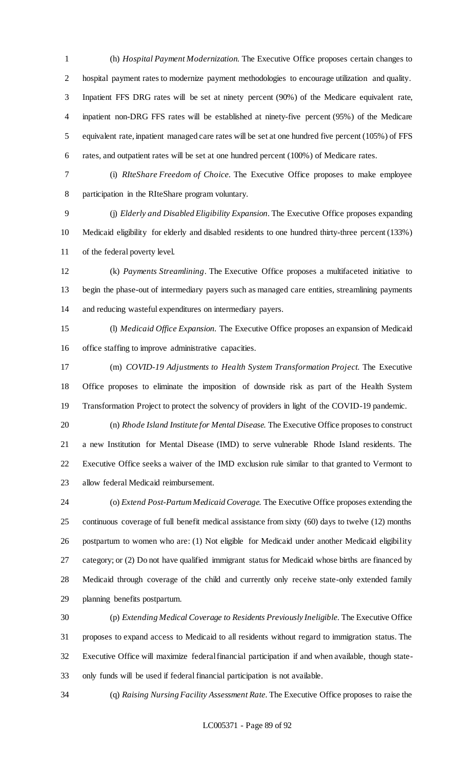(h) *Hospital Payment Modernization.* The Executive Office proposes certain changes to hospital payment rates to modernize payment methodologies to encourage utilization and quality. Inpatient FFS DRG rates will be set at ninety percent (90%) of the Medicare equivalent rate, inpatient non-DRG FFS rates will be established at ninety-five percent (95%) of the Medicare equivalent rate, inpatient managed care rates will be set at one hundred five percent (105%) of FFS rates, and outpatient rates will be set at one hundred percent (100%) of Medicare rates.

 (i) *RIteShare Freedom of Choice.* The Executive Office proposes to make employee participation in the RIteShare program voluntary.

 (j) *Elderly and Disabled Eligibility Expansion.* The Executive Office proposes expanding Medicaid eligibility for elderly and disabled residents to one hundred thirty-three percent (133%) of the federal poverty level.

 (k) *Payments Streamlining*. The Executive Office proposes a multifaceted initiative to begin the phase-out of intermediary payers such as managed care entities, streamlining payments and reducing wasteful expenditures on intermediary payers.

 (l) *Medicaid Office Expansion.* The Executive Office proposes an expansion of Medicaid office staffing to improve administrative capacities.

 (m) *COVID-19 Adjustments to Health System Transformation Project.* The Executive Office proposes to eliminate the imposition of downside risk as part of the Health System Transformation Project to protect the solvency of providers in light of the COVID-19 pandemic.

 (n) *Rhode Island Institute for Mental Disease.* The Executive Office proposes to construct a new Institution for Mental Disease (IMD) to serve vulnerable Rhode Island residents. The Executive Office seeks a waiver of the IMD exclusion rule similar to that granted to Vermont to allow federal Medicaid reimbursement.

 (o) *Extend Post-Partum Medicaid Coverage.* The Executive Office proposes extending the continuous coverage of full benefit medical assistance from sixty (60) days to twelve (12) months postpartum to women who are: (1) Not eligible for Medicaid under another Medicaid eligibility category; or (2) Do not have qualified immigrant status for Medicaid whose births are financed by Medicaid through coverage of the child and currently only receive state-only extended family planning benefits postpartum.

 (p) *Extending Medical Coverage to Residents Previously Ineligible*. The Executive Office proposes to expand access to Medicaid to all residents without regard to immigration status. The Executive Office will maximize federal financial participation if and when available, though state-only funds will be used if federal financial participation is not available.

(q) *Raising Nursing Facility Assessment Rate.* The Executive Office proposes to raise the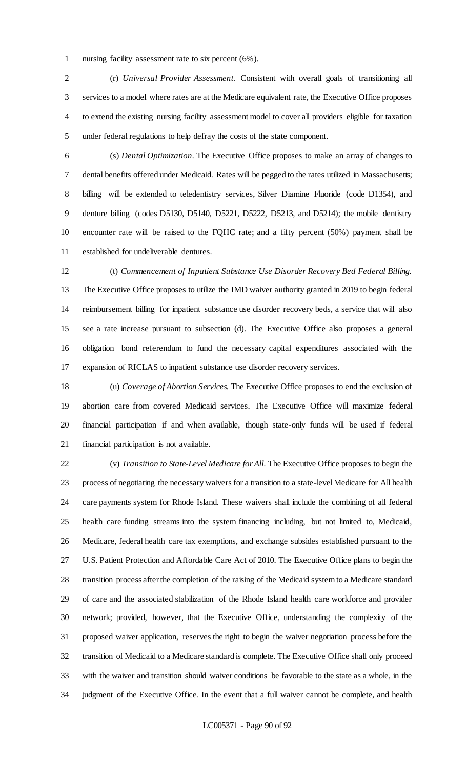nursing facility assessment rate to six percent (6%).

 (r) *Universal Provider Assessment.* Consistent with overall goals of transitioning all services to a model where rates are at the Medicare equivalent rate, the Executive Office proposes to extend the existing nursing facility assessment model to cover all providers eligible for taxation under federal regulations to help defray the costs of the state component.

 (s) *Dental Optimization.* The Executive Office proposes to make an array of changes to dental benefits offered under Medicaid. Rates will be pegged to the rates utilized in Massachusetts; billing will be extended to teledentistry services, Silver Diamine Fluoride (code D1354), and denture billing (codes D5130, D5140, D5221, D5222, D5213, and D5214); the mobile dentistry encounter rate will be raised to the FQHC rate; and a fifty percent (50%) payment shall be established for undeliverable dentures.

 (t) *Commencement of Inpatient Substance Use Disorder Recovery Bed Federal Billing.* The Executive Office proposes to utilize the IMD waiver authority granted in 2019 to begin federal reimbursement billing for inpatient substance use disorder recovery beds, a service that will also see a rate increase pursuant to subsection (d). The Executive Office also proposes a general obligation bond referendum to fund the necessary capital expenditures associated with the expansion of RICLAS to inpatient substance use disorder recovery services.

 (u) *Coverage of Abortion Services.* The Executive Office proposes to end the exclusion of abortion care from covered Medicaid services. The Executive Office will maximize federal financial participation if and when available, though state-only funds will be used if federal financial participation is not available.

 (v) *Transition to State-Level Medicare for All.* The Executive Office proposes to begin the process of negotiating the necessary waivers for a transition to a state-level Medicare for All health care payments system for Rhode Island. These waivers shall include the combining of all federal health care funding streams into the system financing including, but not limited to, Medicaid, Medicare, federal health care tax exemptions, and exchange subsides established pursuant to the U.S. Patient Protection and Affordable Care Act of 2010. The Executive Office plans to begin the transition process after the completion of the raising of the Medicaid system to a Medicare standard of care and the associated stabilization of the Rhode Island health care workforce and provider network; provided, however, that the Executive Office, understanding the complexity of the proposed waiver application, reserves the right to begin the waiver negotiation process before the transition of Medicaid to a Medicare standard is complete. The Executive Office shall only proceed with the waiver and transition should waiver conditions be favorable to the state as a whole, in the judgment of the Executive Office. In the event that a full waiver cannot be complete, and health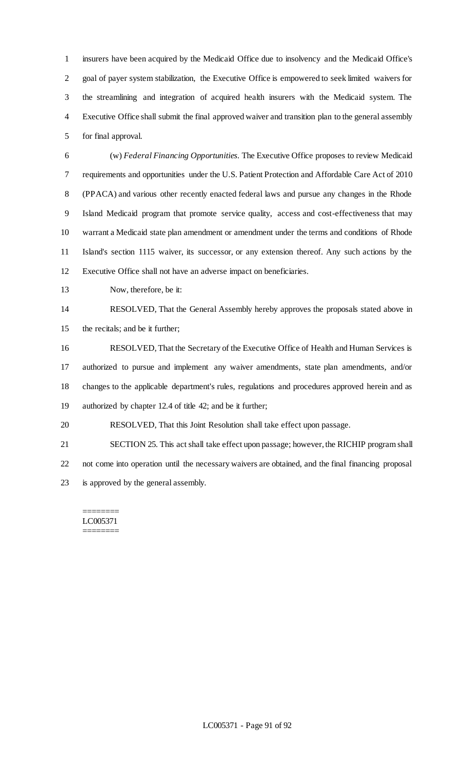insurers have been acquired by the Medicaid Office due to insolvency and the Medicaid Office's goal of payer system stabilization, the Executive Office is empowered to seek limited waivers for the streamlining and integration of acquired health insurers with the Medicaid system. The Executive Office shall submit the final approved waiver and transition plan to the general assembly for final approval.

 (w) *Federal Financing Opportunities.* The Executive Office proposes to review Medicaid requirements and opportunities under the U.S. Patient Protection and Affordable Care Act of 2010 (PPACA) and various other recently enacted federal laws and pursue any changes in the Rhode Island Medicaid program that promote service quality, access and cost-effectiveness that may warrant a Medicaid state plan amendment or amendment under the terms and conditions of Rhode Island's section 1115 waiver, its successor, or any extension thereof. Any such actions by the Executive Office shall not have an adverse impact on beneficiaries.

Now, therefore, be it:

## RESOLVED, That the General Assembly hereby approves the proposals stated above in

the recitals; and be it further;

 RESOLVED, That the Secretary of the Executive Office of Health and Human Services is authorized to pursue and implement any waiver amendments, state plan amendments, and/or changes to the applicable department's rules, regulations and procedures approved herein and as authorized by chapter 12.4 of title 42; and be it further;

RESOLVED, That this Joint Resolution shall take effect upon passage.

 SECTION 25. This act shall take effect upon passage; however, the RICHIP program shall not come into operation until the necessary waivers are obtained, and the final financing proposal is approved by the general assembly.

## ======== LC005371 ========